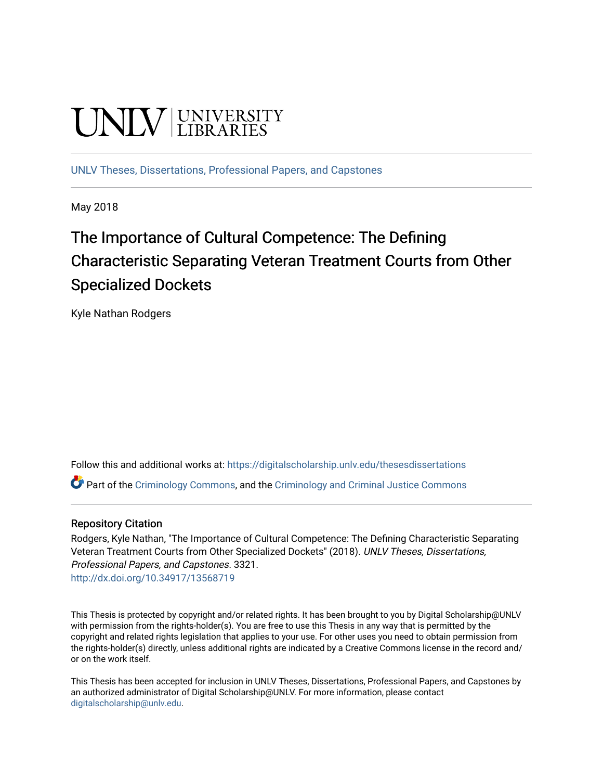# **UNIVERSITY**

[UNLV Theses, Dissertations, Professional Papers, and Capstones](https://digitalscholarship.unlv.edu/thesesdissertations)

May 2018

## The Importance of Cultural Competence: The Defining Characteristic Separating Veteran Treatment Courts from Other Specialized Dockets

Kyle Nathan Rodgers

Follow this and additional works at: [https://digitalscholarship.unlv.edu/thesesdissertations](https://digitalscholarship.unlv.edu/thesesdissertations?utm_source=digitalscholarship.unlv.edu%2Fthesesdissertations%2F3321&utm_medium=PDF&utm_campaign=PDFCoverPages)

 $\bullet$  Part of the [Criminology Commons](http://network.bepress.com/hgg/discipline/417?utm_source=digitalscholarship.unlv.edu%2Fthesesdissertations%2F3321&utm_medium=PDF&utm_campaign=PDFCoverPages), and the [Criminology and Criminal Justice Commons](http://network.bepress.com/hgg/discipline/367?utm_source=digitalscholarship.unlv.edu%2Fthesesdissertations%2F3321&utm_medium=PDF&utm_campaign=PDFCoverPages)

#### Repository Citation

Rodgers, Kyle Nathan, "The Importance of Cultural Competence: The Defining Characteristic Separating Veteran Treatment Courts from Other Specialized Dockets" (2018). UNLV Theses, Dissertations, Professional Papers, and Capstones. 3321. <http://dx.doi.org/10.34917/13568719>

This Thesis is protected by copyright and/or related rights. It has been brought to you by Digital Scholarship@UNLV with permission from the rights-holder(s). You are free to use this Thesis in any way that is permitted by the copyright and related rights legislation that applies to your use. For other uses you need to obtain permission from the rights-holder(s) directly, unless additional rights are indicated by a Creative Commons license in the record and/ or on the work itself.

This Thesis has been accepted for inclusion in UNLV Theses, Dissertations, Professional Papers, and Capstones by an authorized administrator of Digital Scholarship@UNLV. For more information, please contact [digitalscholarship@unlv.edu](mailto:digitalscholarship@unlv.edu).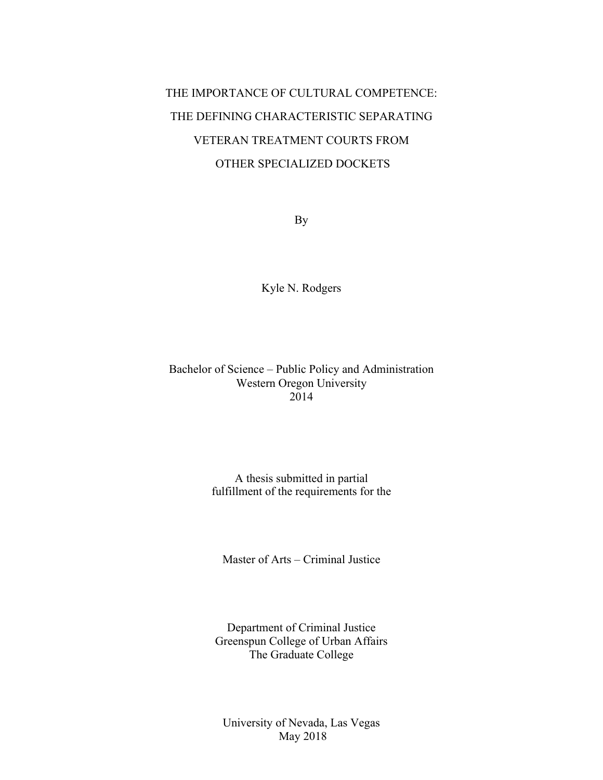## THE IMPORTANCE OF CULTURAL COMPETENCE: THE DEFINING CHARACTERISTIC SEPARATING VETERAN TREATMENT COURTS FROM OTHER SPECIALIZED DOCKETS

By

Kyle N. Rodgers

#### Bachelor of Science – Public Policy and Administration Western Oregon University 2014

#### A thesis submitted in partial fulfillment of the requirements for the

Master of Arts – Criminal Justice

Department of Criminal Justice Greenspun College of Urban Affairs The Graduate College

University of Nevada, Las Vegas May 2018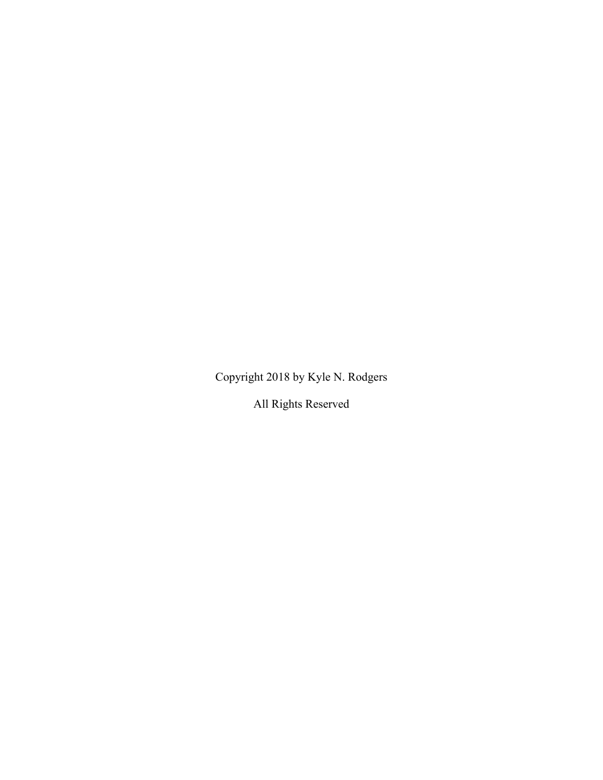Copyright 2018 by Kyle N. Rodgers

All Rights Reserved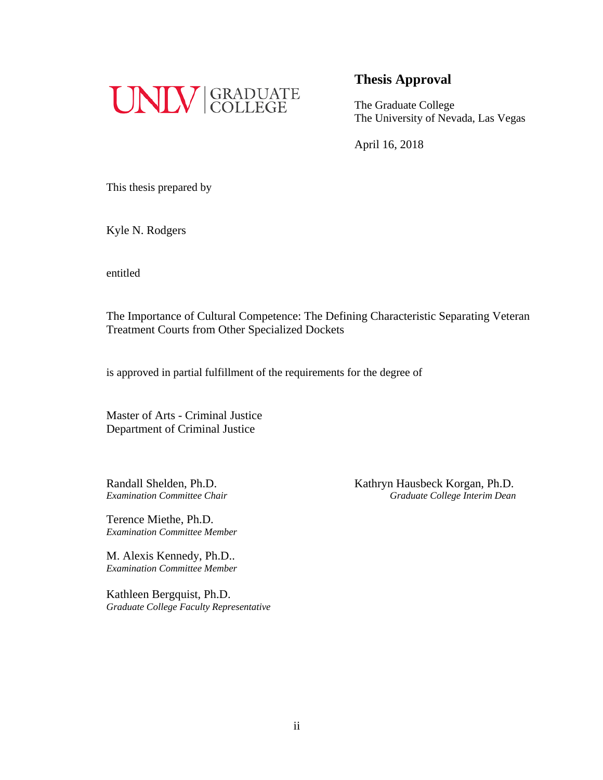

The Graduate College The University of Nevada, Las Vegas

April 16, 2018

This thesis prepared by

Kyle N. Rodgers

entitled

The Importance of Cultural Competence: The Defining Characteristic Separating Veteran Treatment Courts from Other Specialized Dockets

is approved in partial fulfillment of the requirements for the degree of

Master of Arts - Criminal Justice Department of Criminal Justice

Terence Miethe, Ph.D. *Examination Committee Member*

M. Alexis Kennedy, Ph.D.. *Examination Committee Member*

Kathleen Bergquist, Ph.D. *Graduate College Faculty Representative*

Randall Shelden, Ph.D. Kathryn Hausbeck Korgan, Ph.D. *Examination Committee Chair Graduate College Interim Dean*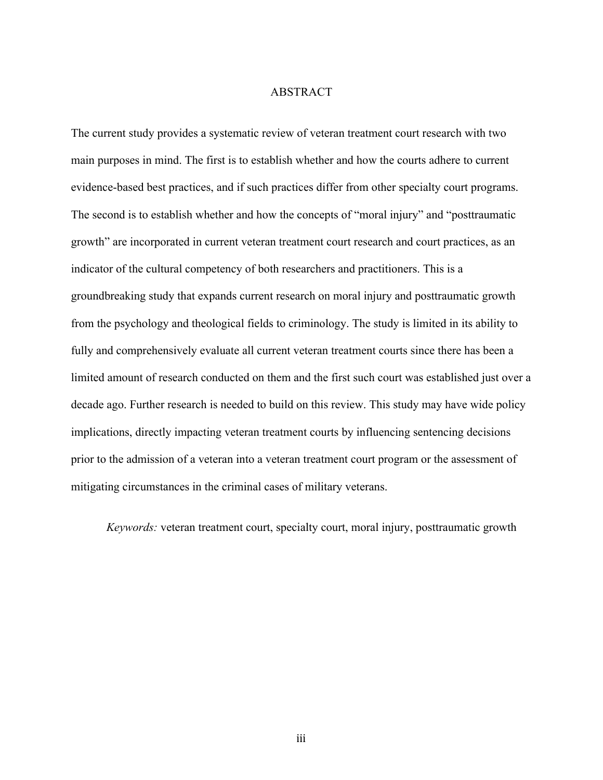#### ABSTRACT

The current study provides a systematic review of veteran treatment court research with two main purposes in mind. The first is to establish whether and how the courts adhere to current evidence-based best practices, and if such practices differ from other specialty court programs. The second is to establish whether and how the concepts of "moral injury" and "posttraumatic growth" are incorporated in current veteran treatment court research and court practices, as an indicator of the cultural competency of both researchers and practitioners. This is a groundbreaking study that expands current research on moral injury and posttraumatic growth from the psychology and theological fields to criminology. The study is limited in its ability to fully and comprehensively evaluate all current veteran treatment courts since there has been a limited amount of research conducted on them and the first such court was established just over a decade ago. Further research is needed to build on this review. This study may have wide policy implications, directly impacting veteran treatment courts by influencing sentencing decisions prior to the admission of a veteran into a veteran treatment court program or the assessment of mitigating circumstances in the criminal cases of military veterans.

*Keywords:* veteran treatment court, specialty court, moral injury, posttraumatic growth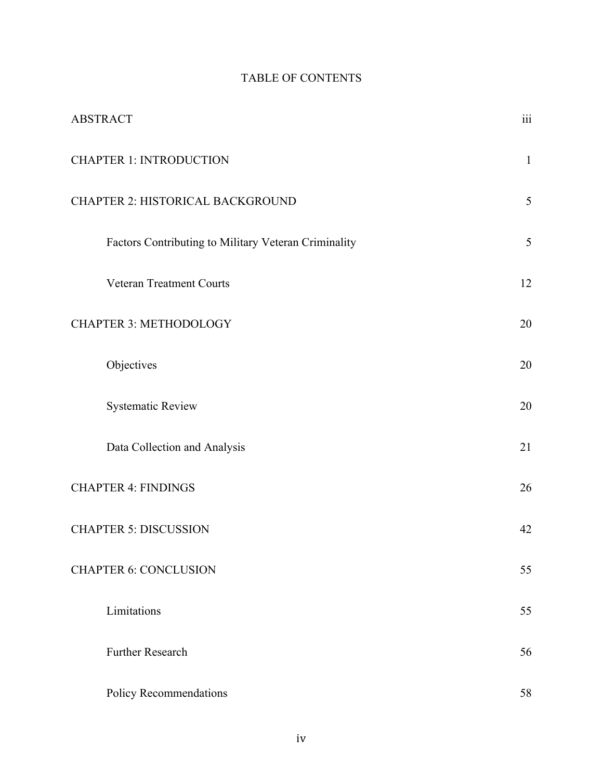### TABLE OF CONTENTS

| <b>ABSTRACT</b>                                      | $\dddot{\mathbf{m}}$ |
|------------------------------------------------------|----------------------|
| <b>CHAPTER 1: INTRODUCTION</b>                       | $\mathbf{1}$         |
| CHAPTER 2: HISTORICAL BACKGROUND                     | 5                    |
| Factors Contributing to Military Veteran Criminality | 5                    |
| Veteran Treatment Courts                             | 12                   |
| <b>CHAPTER 3: METHODOLOGY</b>                        | 20                   |
| Objectives                                           | 20                   |
| <b>Systematic Review</b>                             | 20                   |
| Data Collection and Analysis                         | 21                   |
| <b>CHAPTER 4: FINDINGS</b>                           | 26                   |
| <b>CHAPTER 5: DISCUSSION</b>                         | 42                   |
| <b>CHAPTER 6: CONCLUSION</b>                         | 55                   |
| Limitations                                          | 55                   |
| <b>Further Research</b>                              | 56                   |
| Policy Recommendations                               | 58                   |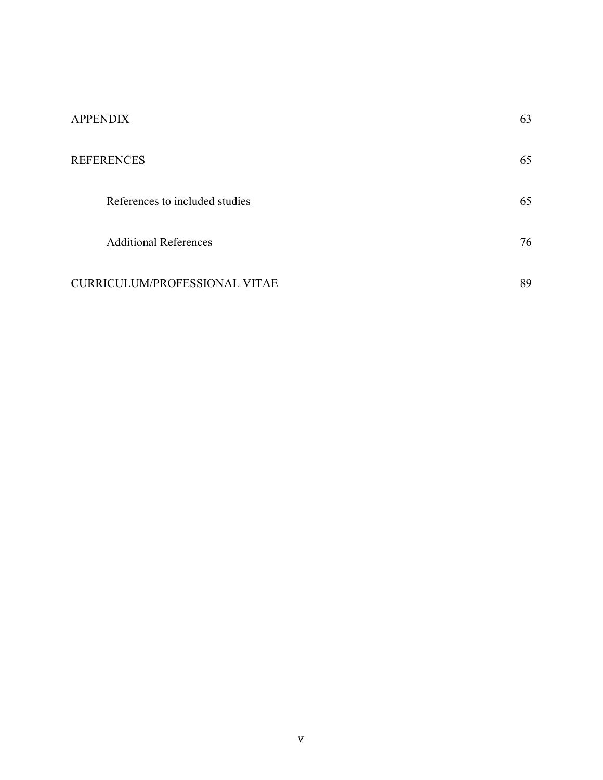| <b>APPENDIX</b>                | 63 |
|--------------------------------|----|
| <b>REFERENCES</b>              | 65 |
| References to included studies | 65 |
| <b>Additional References</b>   | 76 |
| CURRICULUM/PROFESSIONAL VITAE  | 89 |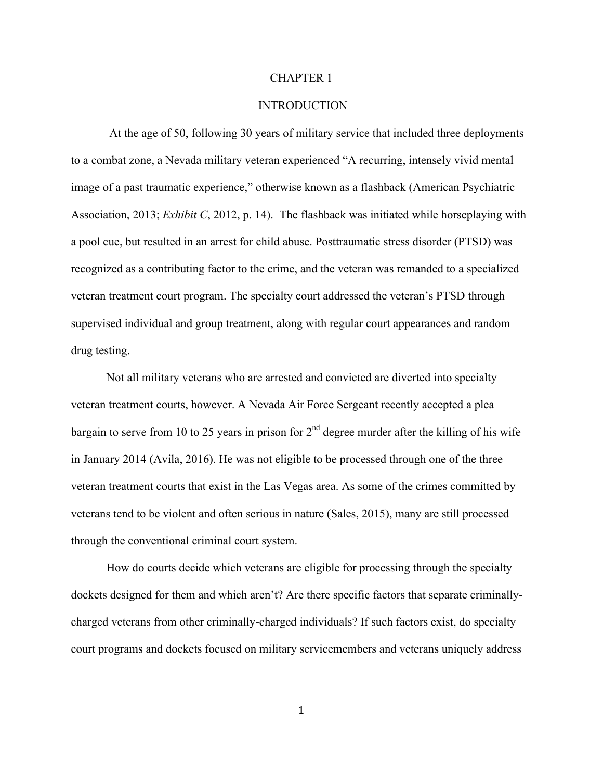#### CHAPTER 1

#### **INTRODUCTION**

At the age of 50, following 30 years of military service that included three deployments to a combat zone, a Nevada military veteran experienced "A recurring, intensely vivid mental image of a past traumatic experience," otherwise known as a flashback (American Psychiatric Association, 2013; *Exhibit C*, 2012, p. 14). The flashback was initiated while horseplaying with a pool cue, but resulted in an arrest for child abuse. Posttraumatic stress disorder (PTSD) was recognized as a contributing factor to the crime, and the veteran was remanded to a specialized veteran treatment court program. The specialty court addressed the veteran's PTSD through supervised individual and group treatment, along with regular court appearances and random drug testing.

Not all military veterans who are arrested and convicted are diverted into specialty veteran treatment courts, however. A Nevada Air Force Sergeant recently accepted a plea bargain to serve from 10 to 25 years in prison for  $2<sup>nd</sup>$  degree murder after the killing of his wife in January 2014 (Avila, 2016). He was not eligible to be processed through one of the three veteran treatment courts that exist in the Las Vegas area. As some of the crimes committed by veterans tend to be violent and often serious in nature (Sales, 2015), many are still processed through the conventional criminal court system.

How do courts decide which veterans are eligible for processing through the specialty dockets designed for them and which aren't? Are there specific factors that separate criminallycharged veterans from other criminally-charged individuals? If such factors exist, do specialty court programs and dockets focused on military servicemembers and veterans uniquely address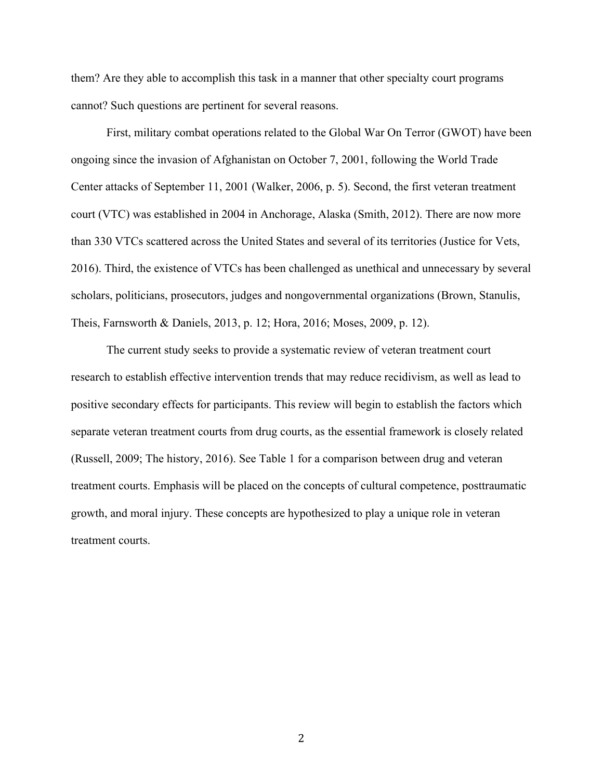them? Are they able to accomplish this task in a manner that other specialty court programs cannot? Such questions are pertinent for several reasons.

First, military combat operations related to the Global War On Terror (GWOT) have been ongoing since the invasion of Afghanistan on October 7, 2001, following the World Trade Center attacks of September 11, 2001 (Walker, 2006, p. 5). Second, the first veteran treatment court (VTC) was established in 2004 in Anchorage, Alaska (Smith, 2012). There are now more than 330 VTCs scattered across the United States and several of its territories (Justice for Vets, 2016). Third, the existence of VTCs has been challenged as unethical and unnecessary by several scholars, politicians, prosecutors, judges and nongovernmental organizations (Brown, Stanulis, Theis, Farnsworth & Daniels, 2013, p. 12; Hora, 2016; Moses, 2009, p. 12).

The current study seeks to provide a systematic review of veteran treatment court research to establish effective intervention trends that may reduce recidivism, as well as lead to positive secondary effects for participants. This review will begin to establish the factors which separate veteran treatment courts from drug courts, as the essential framework is closely related (Russell, 2009; The history, 2016). See Table 1 for a comparison between drug and veteran treatment courts. Emphasis will be placed on the concepts of cultural competence, posttraumatic growth, and moral injury. These concepts are hypothesized to play a unique role in veteran treatment courts.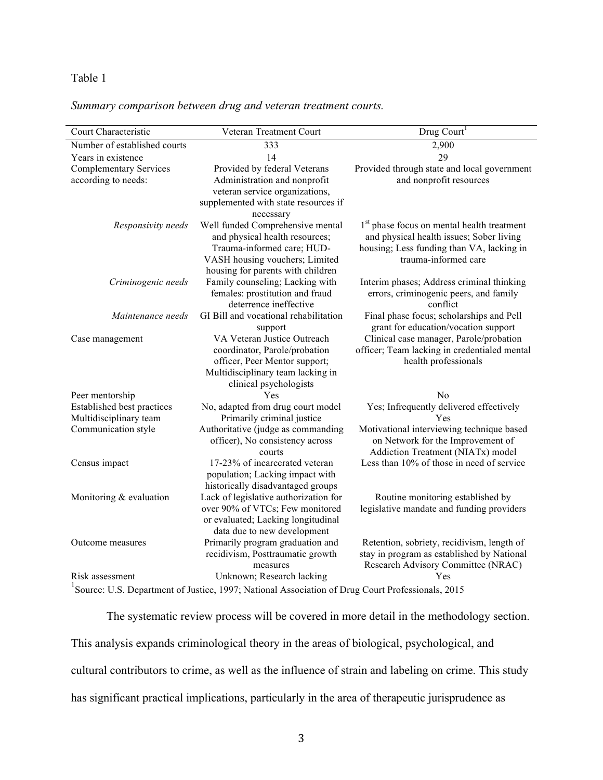#### Table 1

#### *Summary comparison between drug and veteran treatment courts.*

| Court Characteristic                                                                                          | Veteran Treatment Court                                         | Drug Court <sup>1</sup>                                |  |  |  |  |
|---------------------------------------------------------------------------------------------------------------|-----------------------------------------------------------------|--------------------------------------------------------|--|--|--|--|
| Number of established courts                                                                                  | 333                                                             | 2,900                                                  |  |  |  |  |
| Years in existence                                                                                            | 14                                                              | 29                                                     |  |  |  |  |
| <b>Complementary Services</b>                                                                                 | Provided by federal Veterans                                    | Provided through state and local government            |  |  |  |  |
| according to needs:                                                                                           | Administration and nonprofit                                    | and nonprofit resources                                |  |  |  |  |
|                                                                                                               | veteran service organizations,                                  |                                                        |  |  |  |  |
|                                                                                                               | supplemented with state resources if                            |                                                        |  |  |  |  |
|                                                                                                               | necessary                                                       |                                                        |  |  |  |  |
| Responsivity needs                                                                                            | Well funded Comprehensive mental                                | 1 <sup>st</sup> phase focus on mental health treatment |  |  |  |  |
|                                                                                                               | and physical health resources;                                  | and physical health issues; Sober living               |  |  |  |  |
|                                                                                                               | Trauma-informed care; HUD-                                      | housing; Less funding than VA, lacking in              |  |  |  |  |
|                                                                                                               | VASH housing vouchers; Limited                                  | trauma-informed care                                   |  |  |  |  |
|                                                                                                               | housing for parents with children                               |                                                        |  |  |  |  |
| Criminogenic needs                                                                                            | Family counseling; Lacking with                                 | Interim phases; Address criminal thinking              |  |  |  |  |
|                                                                                                               | females: prostitution and fraud<br>deterrence ineffective       | errors, criminogenic peers, and family<br>conflict     |  |  |  |  |
| Maintenance needs                                                                                             | GI Bill and vocational rehabilitation                           | Final phase focus; scholarships and Pell               |  |  |  |  |
|                                                                                                               | support                                                         | grant for education/vocation support                   |  |  |  |  |
| Case management                                                                                               | VA Veteran Justice Outreach                                     | Clinical case manager, Parole/probation                |  |  |  |  |
|                                                                                                               | coordinator, Parole/probation                                   | officer; Team lacking in credentialed mental           |  |  |  |  |
|                                                                                                               | officer, Peer Mentor support;                                   | health professionals                                   |  |  |  |  |
|                                                                                                               | Multidisciplinary team lacking in                               |                                                        |  |  |  |  |
|                                                                                                               | clinical psychologists                                          |                                                        |  |  |  |  |
| Peer mentorship                                                                                               | Yes                                                             | No                                                     |  |  |  |  |
| <b>Established best practices</b>                                                                             | No, adapted from drug court model                               | Yes; Infrequently delivered effectively                |  |  |  |  |
| Multidisciplinary team                                                                                        | Primarily criminal justice                                      | Yes                                                    |  |  |  |  |
| Communication style                                                                                           | Authoritative (judge as commanding                              | Motivational interviewing technique based              |  |  |  |  |
|                                                                                                               | officer), No consistency across                                 | on Network for the Improvement of                      |  |  |  |  |
|                                                                                                               | courts                                                          | Addiction Treatment (NIATx) model                      |  |  |  |  |
| Census impact                                                                                                 | 17-23% of incarcerated veteran                                  | Less than 10% of those in need of service              |  |  |  |  |
|                                                                                                               | population; Lacking impact with                                 |                                                        |  |  |  |  |
|                                                                                                               | historically disadvantaged groups                               |                                                        |  |  |  |  |
| Monitoring & evaluation                                                                                       | Lack of legislative authorization for                           | Routine monitoring established by                      |  |  |  |  |
|                                                                                                               | over 90% of VTCs; Few monitored                                 | legislative mandate and funding providers              |  |  |  |  |
|                                                                                                               | or evaluated; Lacking longitudinal                              |                                                        |  |  |  |  |
| Outcome measures                                                                                              | data due to new development<br>Primarily program graduation and | Retention, sobriety, recidivism, length of             |  |  |  |  |
|                                                                                                               | recidivism, Posttraumatic growth                                | stay in program as established by National             |  |  |  |  |
|                                                                                                               | measures                                                        | Research Advisory Committee (NRAC)                     |  |  |  |  |
| Risk assessment                                                                                               | Unknown; Research lacking                                       | Yes                                                    |  |  |  |  |
| <sup>1</sup> Source: U.S. Department of Justice, 1997; National Association of Drug Court Professionals, 2015 |                                                                 |                                                        |  |  |  |  |

The systematic review process will be covered in more detail in the methodology section. This analysis expands criminological theory in the areas of biological, psychological, and cultural contributors to crime, as well as the influence of strain and labeling on crime. This study has significant practical implications, particularly in the area of therapeutic jurisprudence as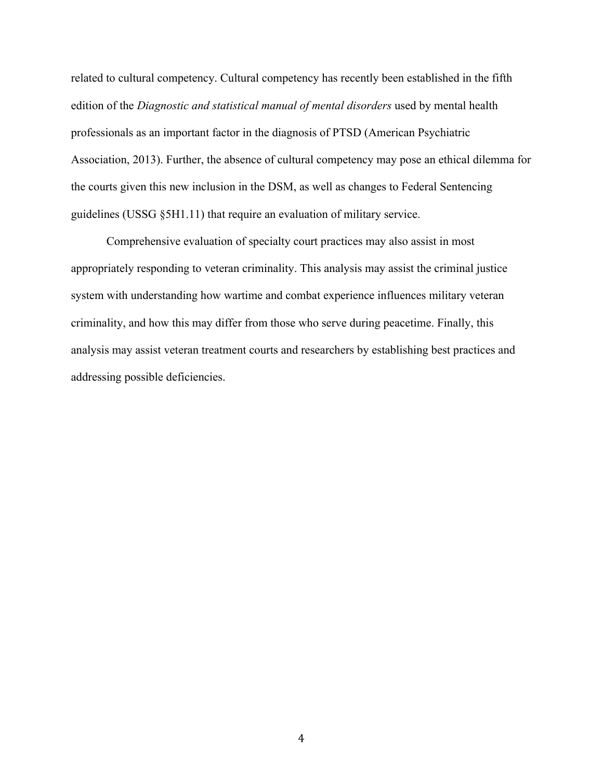related to cultural competency. Cultural competency has recently been established in the fifth edition of the *Diagnostic and statistical manual of mental disorders* used by mental health professionals as an important factor in the diagnosis of PTSD (American Psychiatric Association, 2013). Further, the absence of cultural competency may pose an ethical dilemma for the courts given this new inclusion in the DSM, as well as changes to Federal Sentencing guidelines (USSG §5H1.11) that require an evaluation of military service.

Comprehensive evaluation of specialty court practices may also assist in most appropriately responding to veteran criminality. This analysis may assist the criminal justice system with understanding how wartime and combat experience influences military veteran criminality, and how this may differ from those who serve during peacetime. Finally, this analysis may assist veteran treatment courts and researchers by establishing best practices and addressing possible deficiencies.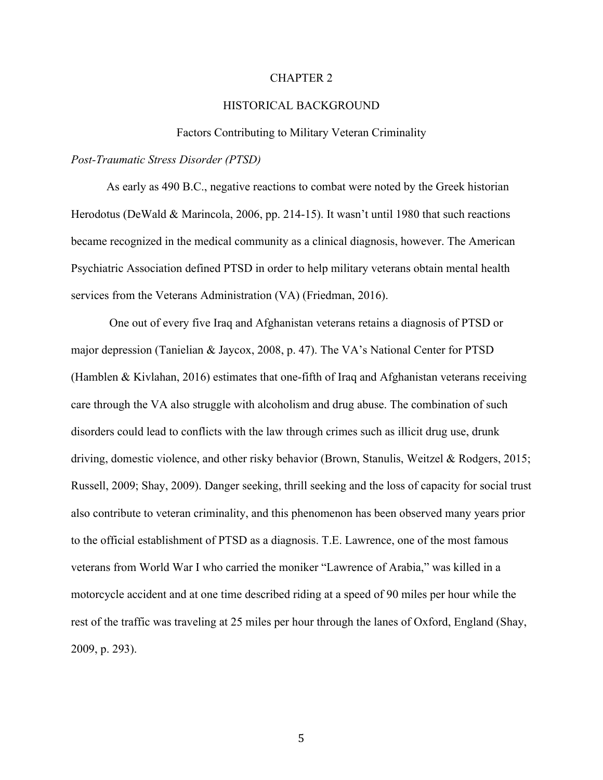#### CHAPTER 2

#### HISTORICAL BACKGROUND

#### Factors Contributing to Military Veteran Criminality

#### *Post-Traumatic Stress Disorder (PTSD)*

As early as 490 B.C., negative reactions to combat were noted by the Greek historian Herodotus (DeWald & Marincola, 2006, pp. 214-15). It wasn't until 1980 that such reactions became recognized in the medical community as a clinical diagnosis, however. The American Psychiatric Association defined PTSD in order to help military veterans obtain mental health services from the Veterans Administration (VA) (Friedman, 2016).

One out of every five Iraq and Afghanistan veterans retains a diagnosis of PTSD or major depression (Tanielian & Jaycox, 2008, p. 47). The VA's National Center for PTSD (Hamblen & Kivlahan, 2016) estimates that one-fifth of Iraq and Afghanistan veterans receiving care through the VA also struggle with alcoholism and drug abuse. The combination of such disorders could lead to conflicts with the law through crimes such as illicit drug use, drunk driving, domestic violence, and other risky behavior (Brown, Stanulis, Weitzel & Rodgers, 2015; Russell, 2009; Shay, 2009). Danger seeking, thrill seeking and the loss of capacity for social trust also contribute to veteran criminality, and this phenomenon has been observed many years prior to the official establishment of PTSD as a diagnosis. T.E. Lawrence, one of the most famous veterans from World War I who carried the moniker "Lawrence of Arabia," was killed in a motorcycle accident and at one time described riding at a speed of 90 miles per hour while the rest of the traffic was traveling at 25 miles per hour through the lanes of Oxford, England (Shay, 2009, p. 293).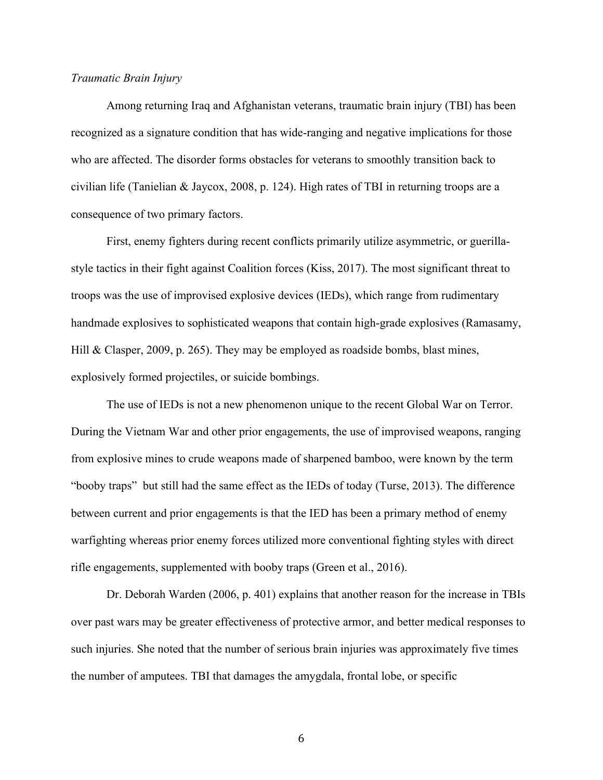#### *Traumatic Brain Injury*

Among returning Iraq and Afghanistan veterans, traumatic brain injury (TBI) has been recognized as a signature condition that has wide-ranging and negative implications for those who are affected. The disorder forms obstacles for veterans to smoothly transition back to civilian life (Tanielian & Jaycox, 2008, p. 124). High rates of TBI in returning troops are a consequence of two primary factors.

First, enemy fighters during recent conflicts primarily utilize asymmetric, or guerillastyle tactics in their fight against Coalition forces (Kiss, 2017). The most significant threat to troops was the use of improvised explosive devices (IEDs), which range from rudimentary handmade explosives to sophisticated weapons that contain high-grade explosives (Ramasamy, Hill & Clasper, 2009, p. 265). They may be employed as roadside bombs, blast mines, explosively formed projectiles, or suicide bombings.

The use of IEDs is not a new phenomenon unique to the recent Global War on Terror. During the Vietnam War and other prior engagements, the use of improvised weapons, ranging from explosive mines to crude weapons made of sharpened bamboo, were known by the term "booby traps" but still had the same effect as the IEDs of today (Turse, 2013). The difference between current and prior engagements is that the IED has been a primary method of enemy warfighting whereas prior enemy forces utilized more conventional fighting styles with direct rifle engagements, supplemented with booby traps (Green et al., 2016).

Dr. Deborah Warden (2006, p. 401) explains that another reason for the increase in TBIs over past wars may be greater effectiveness of protective armor, and better medical responses to such injuries. She noted that the number of serious brain injuries was approximately five times the number of amputees. TBI that damages the amygdala, frontal lobe, or specific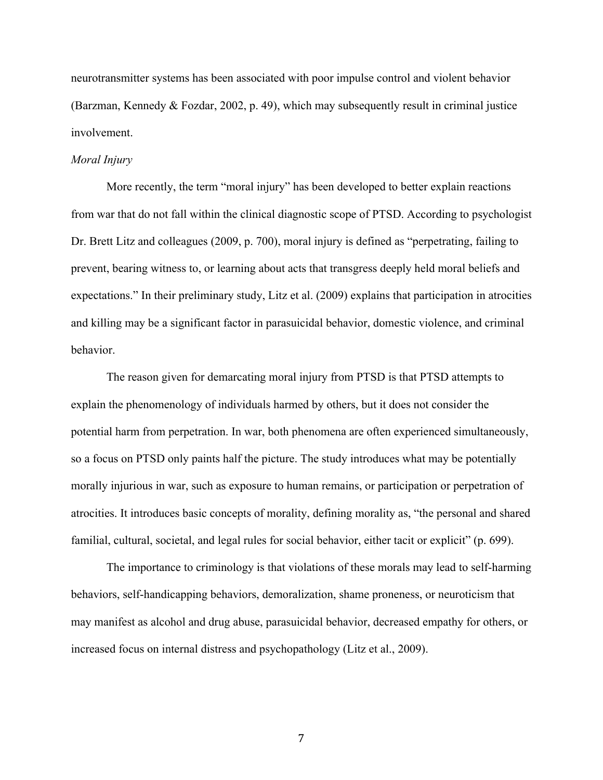neurotransmitter systems has been associated with poor impulse control and violent behavior (Barzman, Kennedy & Fozdar, 2002, p. 49), which may subsequently result in criminal justice involvement.

#### *Moral Injury*

More recently, the term "moral injury" has been developed to better explain reactions from war that do not fall within the clinical diagnostic scope of PTSD. According to psychologist Dr. Brett Litz and colleagues (2009, p. 700), moral injury is defined as "perpetrating, failing to prevent, bearing witness to, or learning about acts that transgress deeply held moral beliefs and expectations." In their preliminary study, Litz et al. (2009) explains that participation in atrocities and killing may be a significant factor in parasuicidal behavior, domestic violence, and criminal behavior.

The reason given for demarcating moral injury from PTSD is that PTSD attempts to explain the phenomenology of individuals harmed by others, but it does not consider the potential harm from perpetration. In war, both phenomena are often experienced simultaneously, so a focus on PTSD only paints half the picture. The study introduces what may be potentially morally injurious in war, such as exposure to human remains, or participation or perpetration of atrocities. It introduces basic concepts of morality, defining morality as, "the personal and shared familial, cultural, societal, and legal rules for social behavior, either tacit or explicit" (p. 699).

The importance to criminology is that violations of these morals may lead to self-harming behaviors, self-handicapping behaviors, demoralization, shame proneness, or neuroticism that may manifest as alcohol and drug abuse, parasuicidal behavior, decreased empathy for others, or increased focus on internal distress and psychopathology (Litz et al., 2009).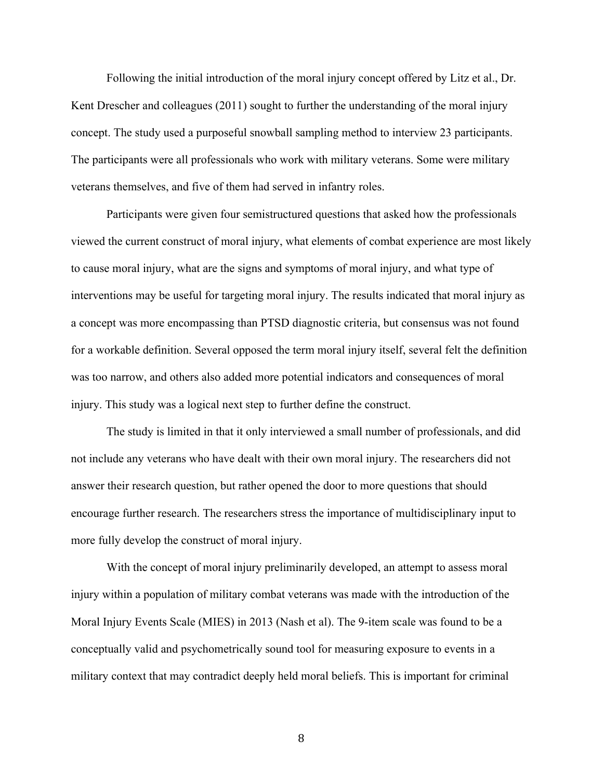Following the initial introduction of the moral injury concept offered by Litz et al., Dr. Kent Drescher and colleagues (2011) sought to further the understanding of the moral injury concept. The study used a purposeful snowball sampling method to interview 23 participants. The participants were all professionals who work with military veterans. Some were military veterans themselves, and five of them had served in infantry roles.

Participants were given four semistructured questions that asked how the professionals viewed the current construct of moral injury, what elements of combat experience are most likely to cause moral injury, what are the signs and symptoms of moral injury, and what type of interventions may be useful for targeting moral injury. The results indicated that moral injury as a concept was more encompassing than PTSD diagnostic criteria, but consensus was not found for a workable definition. Several opposed the term moral injury itself, several felt the definition was too narrow, and others also added more potential indicators and consequences of moral injury. This study was a logical next step to further define the construct.

The study is limited in that it only interviewed a small number of professionals, and did not include any veterans who have dealt with their own moral injury. The researchers did not answer their research question, but rather opened the door to more questions that should encourage further research. The researchers stress the importance of multidisciplinary input to more fully develop the construct of moral injury.

With the concept of moral injury preliminarily developed, an attempt to assess moral injury within a population of military combat veterans was made with the introduction of the Moral Injury Events Scale (MIES) in 2013 (Nash et al). The 9-item scale was found to be a conceptually valid and psychometrically sound tool for measuring exposure to events in a military context that may contradict deeply held moral beliefs. This is important for criminal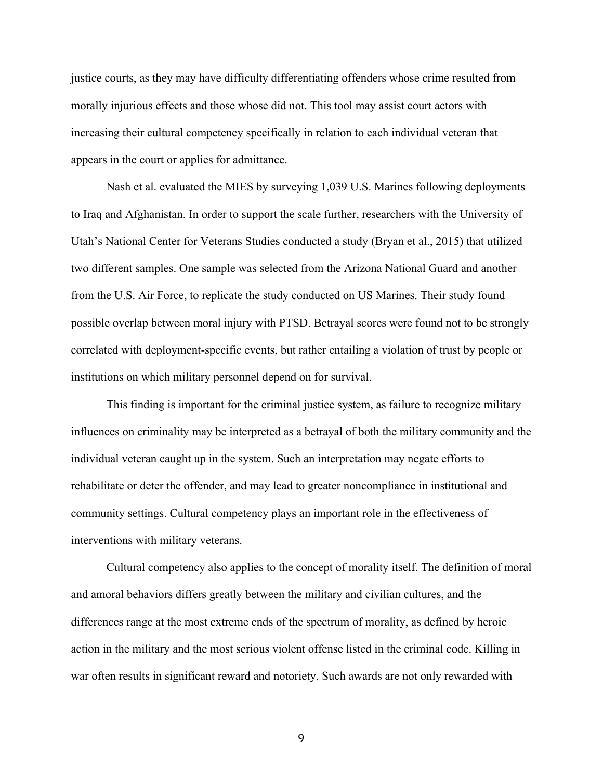justice courts, as they may have difficulty differentiating offenders whose crime resulted from morally injurious effects and those whose did not. This tool may assist court actors with increasing their cultural competency specifically in relation to each individual veteran that appears in the court or applies for admittance.

Nash et al. evaluated the MIES by surveying 1,039 U.S. Marines following deployments to Iraq and Afghanistan. In order to support the scale further, researchers with the University of Utah's National Center for Veterans Studies conducted a study (Bryan et al., 2015) that utilized two different samples. One sample was selected from the Arizona National Guard and another from the U.S. Air Force, to replicate the study conducted on US Marines. Their study found possible overlap between moral injury with PTSD. Betrayal scores were found not to be strongly correlated with deployment-specific events, but rather entailing a violation of trust by people or institutions on which military personnel depend on for survival.

This finding is important for the criminal justice system, as failure to recognize military influences on criminality may be interpreted as a betrayal of both the military community and the individual veteran caught up in the system. Such an interpretation may negate efforts to rehabilitate or deter the offender, and may lead to greater noncompliance in institutional and community settings. Cultural competency plays an important role in the effectiveness of interventions with military veterans.

Cultural competency also applies to the concept of morality itself. The definition of moral and amoral behaviors differs greatly between the military and civilian cultures, and the differences range at the most extreme ends of the spectrum of morality, as defined by heroic action in the military and the most serious violent offense listed in the criminal code. Killing in war often results in significant reward and notoriety. Such awards are not only rewarded with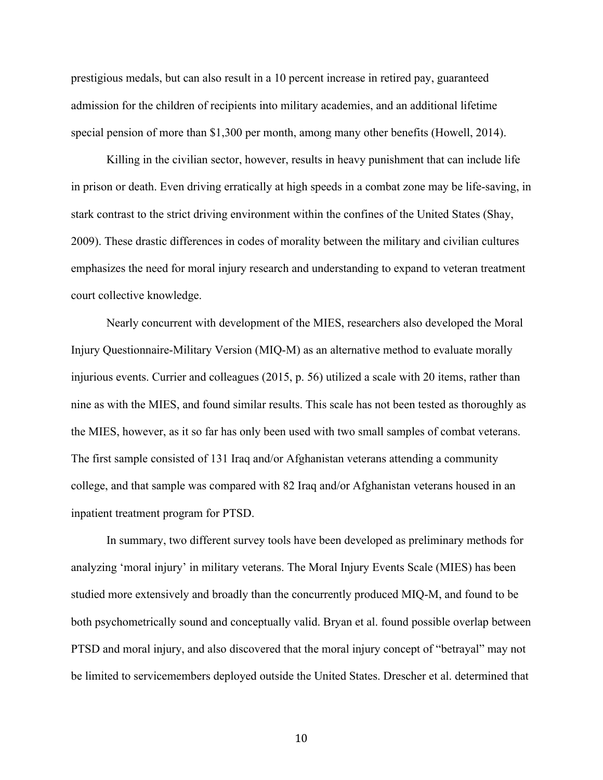prestigious medals, but can also result in a 10 percent increase in retired pay, guaranteed admission for the children of recipients into military academies, and an additional lifetime special pension of more than \$1,300 per month, among many other benefits (Howell, 2014).

Killing in the civilian sector, however, results in heavy punishment that can include life in prison or death. Even driving erratically at high speeds in a combat zone may be life-saving, in stark contrast to the strict driving environment within the confines of the United States (Shay, 2009). These drastic differences in codes of morality between the military and civilian cultures emphasizes the need for moral injury research and understanding to expand to veteran treatment court collective knowledge.

Nearly concurrent with development of the MIES, researchers also developed the Moral Injury Questionnaire-Military Version (MIQ-M) as an alternative method to evaluate morally injurious events. Currier and colleagues (2015, p. 56) utilized a scale with 20 items, rather than nine as with the MIES, and found similar results. This scale has not been tested as thoroughly as the MIES, however, as it so far has only been used with two small samples of combat veterans. The first sample consisted of 131 Iraq and/or Afghanistan veterans attending a community college, and that sample was compared with 82 Iraq and/or Afghanistan veterans housed in an inpatient treatment program for PTSD.

In summary, two different survey tools have been developed as preliminary methods for analyzing 'moral injury' in military veterans. The Moral Injury Events Scale (MIES) has been studied more extensively and broadly than the concurrently produced MIQ-M, and found to be both psychometrically sound and conceptually valid. Bryan et al. found possible overlap between PTSD and moral injury, and also discovered that the moral injury concept of "betrayal" may not be limited to servicemembers deployed outside the United States. Drescher et al. determined that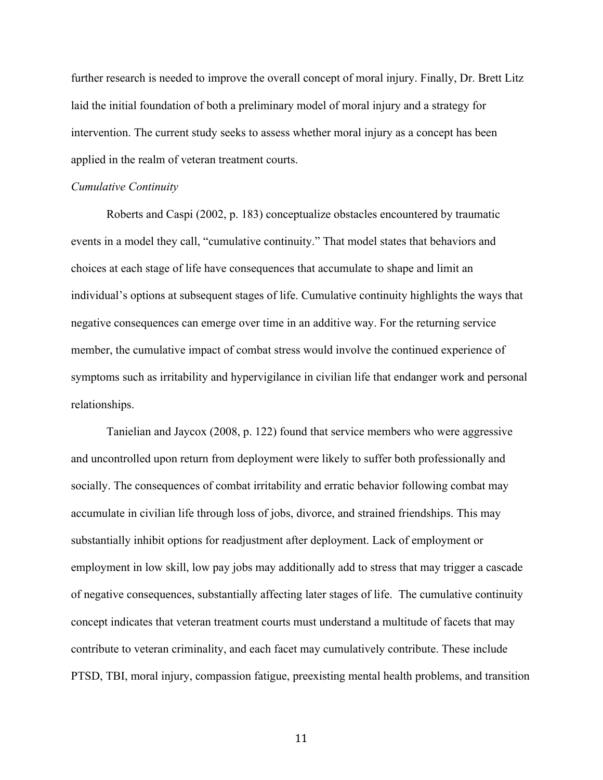further research is needed to improve the overall concept of moral injury. Finally, Dr. Brett Litz laid the initial foundation of both a preliminary model of moral injury and a strategy for intervention. The current study seeks to assess whether moral injury as a concept has been applied in the realm of veteran treatment courts.

#### *Cumulative Continuity*

Roberts and Caspi (2002, p. 183) conceptualize obstacles encountered by traumatic events in a model they call, "cumulative continuity." That model states that behaviors and choices at each stage of life have consequences that accumulate to shape and limit an individual's options at subsequent stages of life. Cumulative continuity highlights the ways that negative consequences can emerge over time in an additive way. For the returning service member, the cumulative impact of combat stress would involve the continued experience of symptoms such as irritability and hypervigilance in civilian life that endanger work and personal relationships.

Tanielian and Jaycox (2008, p. 122) found that service members who were aggressive and uncontrolled upon return from deployment were likely to suffer both professionally and socially. The consequences of combat irritability and erratic behavior following combat may accumulate in civilian life through loss of jobs, divorce, and strained friendships. This may substantially inhibit options for readjustment after deployment. Lack of employment or employment in low skill, low pay jobs may additionally add to stress that may trigger a cascade of negative consequences, substantially affecting later stages of life. The cumulative continuity concept indicates that veteran treatment courts must understand a multitude of facets that may contribute to veteran criminality, and each facet may cumulatively contribute. These include PTSD, TBI, moral injury, compassion fatigue, preexisting mental health problems, and transition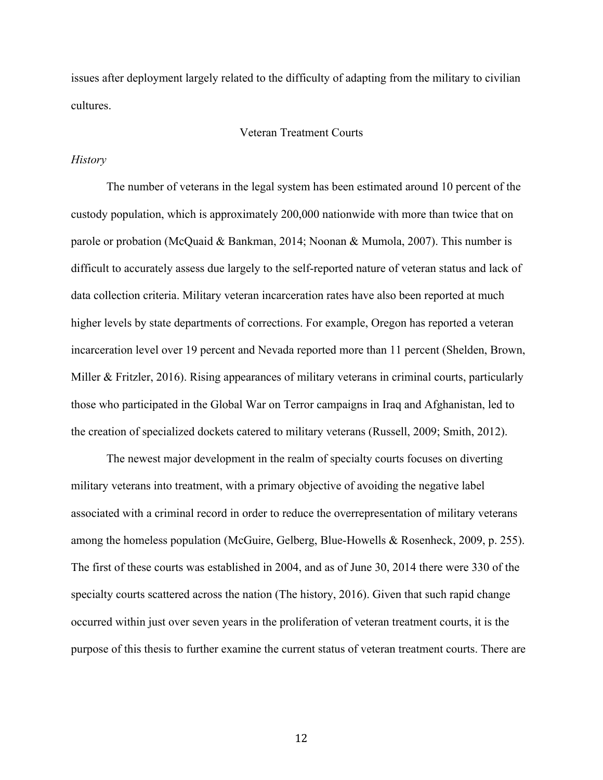issues after deployment largely related to the difficulty of adapting from the military to civilian cultures.

#### Veteran Treatment Courts

#### *History*

The number of veterans in the legal system has been estimated around 10 percent of the custody population, which is approximately 200,000 nationwide with more than twice that on parole or probation (McQuaid & Bankman, 2014; Noonan & Mumola, 2007). This number is difficult to accurately assess due largely to the self-reported nature of veteran status and lack of data collection criteria. Military veteran incarceration rates have also been reported at much higher levels by state departments of corrections. For example, Oregon has reported a veteran incarceration level over 19 percent and Nevada reported more than 11 percent (Shelden, Brown, Miller & Fritzler, 2016). Rising appearances of military veterans in criminal courts, particularly those who participated in the Global War on Terror campaigns in Iraq and Afghanistan, led to the creation of specialized dockets catered to military veterans (Russell, 2009; Smith, 2012).

The newest major development in the realm of specialty courts focuses on diverting military veterans into treatment, with a primary objective of avoiding the negative label associated with a criminal record in order to reduce the overrepresentation of military veterans among the homeless population (McGuire, Gelberg, Blue-Howells & Rosenheck, 2009, p. 255). The first of these courts was established in 2004, and as of June 30, 2014 there were 330 of the specialty courts scattered across the nation (The history, 2016). Given that such rapid change occurred within just over seven years in the proliferation of veteran treatment courts, it is the purpose of this thesis to further examine the current status of veteran treatment courts. There are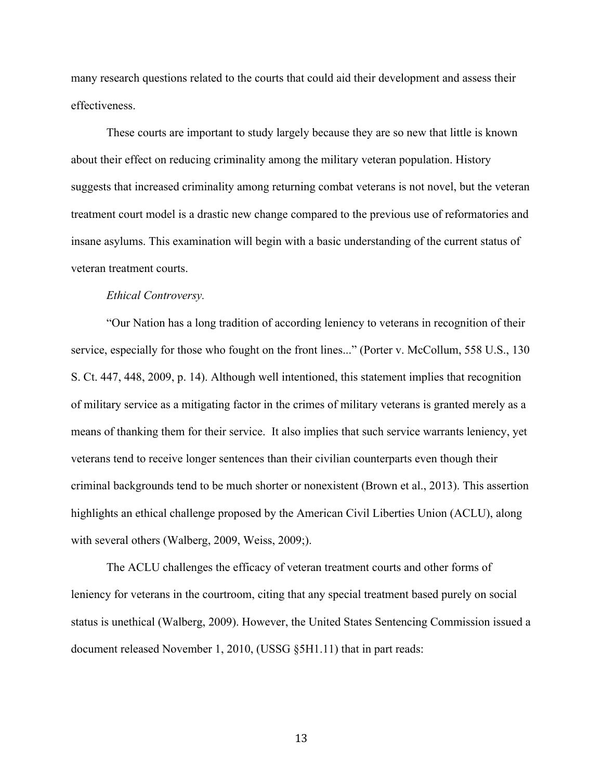many research questions related to the courts that could aid their development and assess their effectiveness.

These courts are important to study largely because they are so new that little is known about their effect on reducing criminality among the military veteran population. History suggests that increased criminality among returning combat veterans is not novel, but the veteran treatment court model is a drastic new change compared to the previous use of reformatories and insane asylums. This examination will begin with a basic understanding of the current status of veteran treatment courts.

#### *Ethical Controversy.*

"Our Nation has a long tradition of according leniency to veterans in recognition of their service, especially for those who fought on the front lines..." (Porter v. McCollum, 558 U.S., 130 S. Ct. 447, 448, 2009, p. 14). Although well intentioned, this statement implies that recognition of military service as a mitigating factor in the crimes of military veterans is granted merely as a means of thanking them for their service. It also implies that such service warrants leniency, yet veterans tend to receive longer sentences than their civilian counterparts even though their criminal backgrounds tend to be much shorter or nonexistent (Brown et al., 2013). This assertion highlights an ethical challenge proposed by the American Civil Liberties Union (ACLU), along with several others (Walberg, 2009, Weiss, 2009;).

The ACLU challenges the efficacy of veteran treatment courts and other forms of leniency for veterans in the courtroom, citing that any special treatment based purely on social status is unethical (Walberg, 2009). However, the United States Sentencing Commission issued a document released November 1, 2010, (USSG §5H1.11) that in part reads: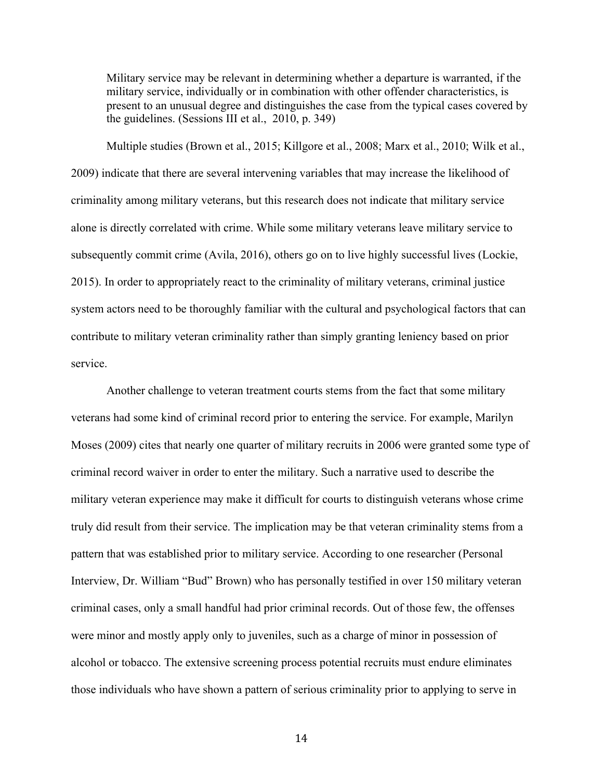Military service may be relevant in determining whether a departure is warranted, if the military service, individually or in combination with other offender characteristics, is present to an unusual degree and distinguishes the case from the typical cases covered by the guidelines. (Sessions III et al., 2010, p. 349)

Multiple studies (Brown et al., 2015; Killgore et al., 2008; Marx et al., 2010; Wilk et al., 2009) indicate that there are several intervening variables that may increase the likelihood of criminality among military veterans, but this research does not indicate that military service alone is directly correlated with crime. While some military veterans leave military service to subsequently commit crime (Avila, 2016), others go on to live highly successful lives (Lockie, 2015). In order to appropriately react to the criminality of military veterans, criminal justice system actors need to be thoroughly familiar with the cultural and psychological factors that can contribute to military veteran criminality rather than simply granting leniency based on prior service.

Another challenge to veteran treatment courts stems from the fact that some military veterans had some kind of criminal record prior to entering the service. For example, Marilyn Moses (2009) cites that nearly one quarter of military recruits in 2006 were granted some type of criminal record waiver in order to enter the military. Such a narrative used to describe the military veteran experience may make it difficult for courts to distinguish veterans whose crime truly did result from their service. The implication may be that veteran criminality stems from a pattern that was established prior to military service. According to one researcher (Personal Interview, Dr. William "Bud" Brown) who has personally testified in over 150 military veteran criminal cases, only a small handful had prior criminal records. Out of those few, the offenses were minor and mostly apply only to juveniles, such as a charge of minor in possession of alcohol or tobacco. The extensive screening process potential recruits must endure eliminates those individuals who have shown a pattern of serious criminality prior to applying to serve in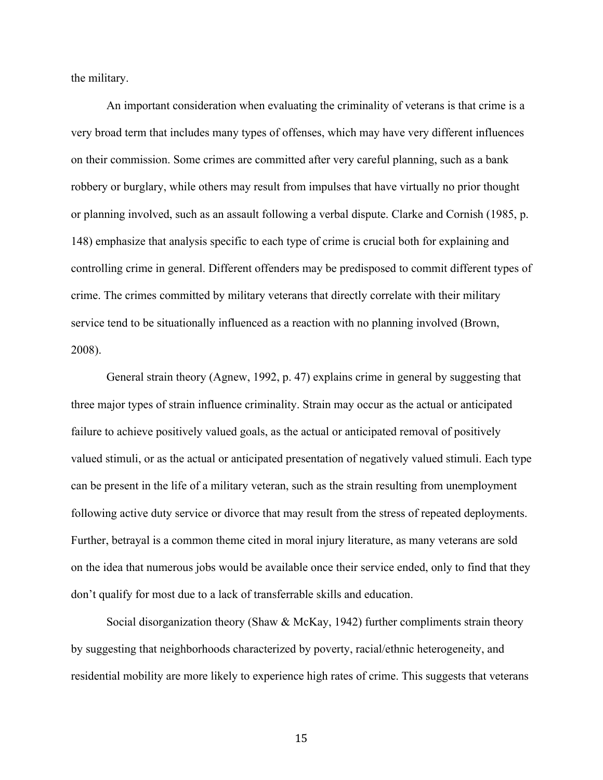the military.

An important consideration when evaluating the criminality of veterans is that crime is a very broad term that includes many types of offenses, which may have very different influences on their commission. Some crimes are committed after very careful planning, such as a bank robbery or burglary, while others may result from impulses that have virtually no prior thought or planning involved, such as an assault following a verbal dispute. Clarke and Cornish (1985, p. 148) emphasize that analysis specific to each type of crime is crucial both for explaining and controlling crime in general. Different offenders may be predisposed to commit different types of crime. The crimes committed by military veterans that directly correlate with their military service tend to be situationally influenced as a reaction with no planning involved (Brown, 2008).

General strain theory (Agnew, 1992, p. 47) explains crime in general by suggesting that three major types of strain influence criminality. Strain may occur as the actual or anticipated failure to achieve positively valued goals, as the actual or anticipated removal of positively valued stimuli, or as the actual or anticipated presentation of negatively valued stimuli. Each type can be present in the life of a military veteran, such as the strain resulting from unemployment following active duty service or divorce that may result from the stress of repeated deployments. Further, betrayal is a common theme cited in moral injury literature, as many veterans are sold on the idea that numerous jobs would be available once their service ended, only to find that they don't qualify for most due to a lack of transferrable skills and education.

Social disorganization theory (Shaw & McKay, 1942) further compliments strain theory by suggesting that neighborhoods characterized by poverty, racial/ethnic heterogeneity, and residential mobility are more likely to experience high rates of crime. This suggests that veterans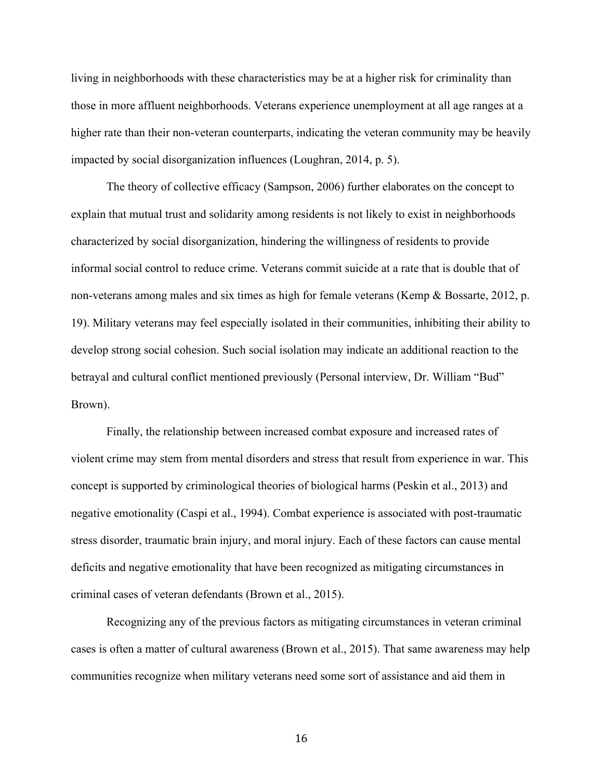living in neighborhoods with these characteristics may be at a higher risk for criminality than those in more affluent neighborhoods. Veterans experience unemployment at all age ranges at a higher rate than their non-veteran counterparts, indicating the veteran community may be heavily impacted by social disorganization influences (Loughran, 2014, p. 5).

The theory of collective efficacy (Sampson, 2006) further elaborates on the concept to explain that mutual trust and solidarity among residents is not likely to exist in neighborhoods characterized by social disorganization, hindering the willingness of residents to provide informal social control to reduce crime. Veterans commit suicide at a rate that is double that of non-veterans among males and six times as high for female veterans (Kemp & Bossarte, 2012, p. 19). Military veterans may feel especially isolated in their communities, inhibiting their ability to develop strong social cohesion. Such social isolation may indicate an additional reaction to the betrayal and cultural conflict mentioned previously (Personal interview, Dr. William "Bud" Brown).

Finally, the relationship between increased combat exposure and increased rates of violent crime may stem from mental disorders and stress that result from experience in war. This concept is supported by criminological theories of biological harms (Peskin et al., 2013) and negative emotionality (Caspi et al., 1994). Combat experience is associated with post-traumatic stress disorder, traumatic brain injury, and moral injury. Each of these factors can cause mental deficits and negative emotionality that have been recognized as mitigating circumstances in criminal cases of veteran defendants (Brown et al., 2015).

Recognizing any of the previous factors as mitigating circumstances in veteran criminal cases is often a matter of cultural awareness (Brown et al., 2015). That same awareness may help communities recognize when military veterans need some sort of assistance and aid them in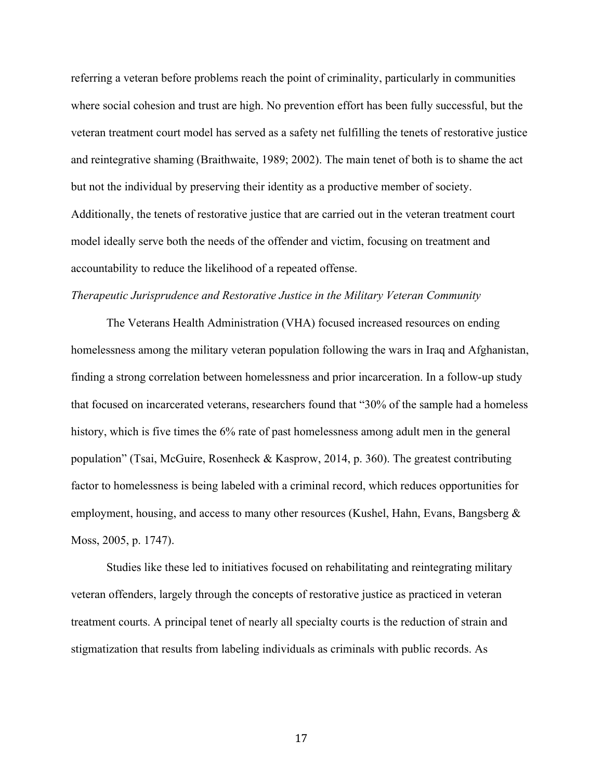referring a veteran before problems reach the point of criminality, particularly in communities where social cohesion and trust are high. No prevention effort has been fully successful, but the veteran treatment court model has served as a safety net fulfilling the tenets of restorative justice and reintegrative shaming (Braithwaite, 1989; 2002). The main tenet of both is to shame the act but not the individual by preserving their identity as a productive member of society. Additionally, the tenets of restorative justice that are carried out in the veteran treatment court model ideally serve both the needs of the offender and victim, focusing on treatment and accountability to reduce the likelihood of a repeated offense.

#### *Therapeutic Jurisprudence and Restorative Justice in the Military Veteran Community*

The Veterans Health Administration (VHA) focused increased resources on ending homelessness among the military veteran population following the wars in Iraq and Afghanistan, finding a strong correlation between homelessness and prior incarceration. In a follow-up study that focused on incarcerated veterans, researchers found that "30% of the sample had a homeless history, which is five times the 6% rate of past homelessness among adult men in the general population" (Tsai, McGuire, Rosenheck & Kasprow, 2014, p. 360). The greatest contributing factor to homelessness is being labeled with a criminal record, which reduces opportunities for employment, housing, and access to many other resources (Kushel, Hahn, Evans, Bangsberg & Moss, 2005, p. 1747).

Studies like these led to initiatives focused on rehabilitating and reintegrating military veteran offenders, largely through the concepts of restorative justice as practiced in veteran treatment courts. A principal tenet of nearly all specialty courts is the reduction of strain and stigmatization that results from labeling individuals as criminals with public records. As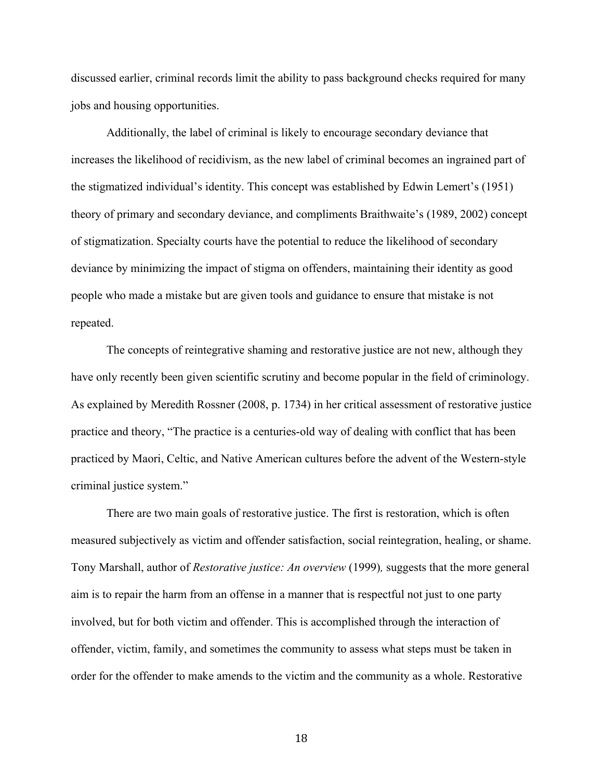discussed earlier, criminal records limit the ability to pass background checks required for many jobs and housing opportunities.

Additionally, the label of criminal is likely to encourage secondary deviance that increases the likelihood of recidivism, as the new label of criminal becomes an ingrained part of the stigmatized individual's identity. This concept was established by Edwin Lemert's (1951) theory of primary and secondary deviance, and compliments Braithwaite's (1989, 2002) concept of stigmatization. Specialty courts have the potential to reduce the likelihood of secondary deviance by minimizing the impact of stigma on offenders, maintaining their identity as good people who made a mistake but are given tools and guidance to ensure that mistake is not repeated.

The concepts of reintegrative shaming and restorative justice are not new, although they have only recently been given scientific scrutiny and become popular in the field of criminology. As explained by Meredith Rossner (2008, p. 1734) in her critical assessment of restorative justice practice and theory, "The practice is a centuries-old way of dealing with conflict that has been practiced by Maori, Celtic, and Native American cultures before the advent of the Western-style criminal justice system."

There are two main goals of restorative justice. The first is restoration, which is often measured subjectively as victim and offender satisfaction, social reintegration, healing, or shame. Tony Marshall, author of *Restorative justice: An overview* (1999)*,* suggests that the more general aim is to repair the harm from an offense in a manner that is respectful not just to one party involved, but for both victim and offender. This is accomplished through the interaction of offender, victim, family, and sometimes the community to assess what steps must be taken in order for the offender to make amends to the victim and the community as a whole. Restorative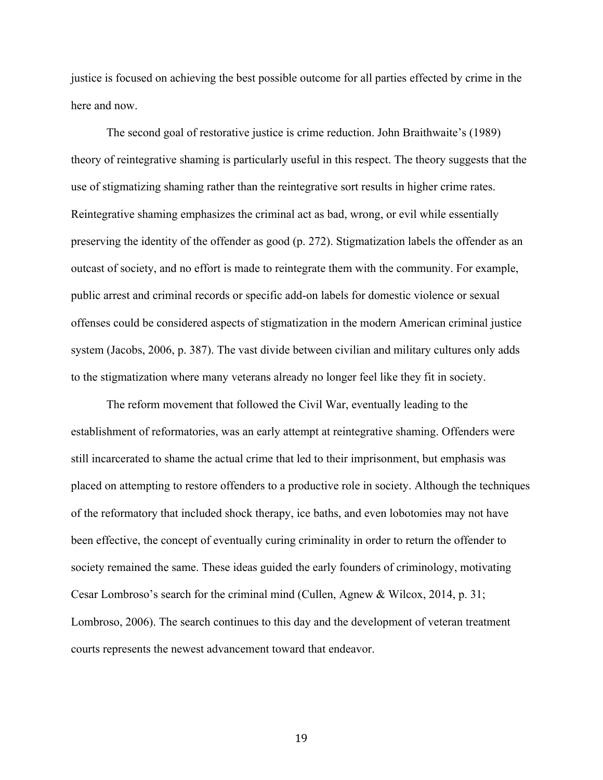justice is focused on achieving the best possible outcome for all parties effected by crime in the here and now.

The second goal of restorative justice is crime reduction. John Braithwaite's (1989) theory of reintegrative shaming is particularly useful in this respect. The theory suggests that the use of stigmatizing shaming rather than the reintegrative sort results in higher crime rates. Reintegrative shaming emphasizes the criminal act as bad, wrong, or evil while essentially preserving the identity of the offender as good (p. 272). Stigmatization labels the offender as an outcast of society, and no effort is made to reintegrate them with the community. For example, public arrest and criminal records or specific add-on labels for domestic violence or sexual offenses could be considered aspects of stigmatization in the modern American criminal justice system (Jacobs, 2006, p. 387). The vast divide between civilian and military cultures only adds to the stigmatization where many veterans already no longer feel like they fit in society.

The reform movement that followed the Civil War, eventually leading to the establishment of reformatories, was an early attempt at reintegrative shaming. Offenders were still incarcerated to shame the actual crime that led to their imprisonment, but emphasis was placed on attempting to restore offenders to a productive role in society. Although the techniques of the reformatory that included shock therapy, ice baths, and even lobotomies may not have been effective, the concept of eventually curing criminality in order to return the offender to society remained the same. These ideas guided the early founders of criminology, motivating Cesar Lombroso's search for the criminal mind (Cullen, Agnew & Wilcox, 2014, p. 31; Lombroso, 2006). The search continues to this day and the development of veteran treatment courts represents the newest advancement toward that endeavor.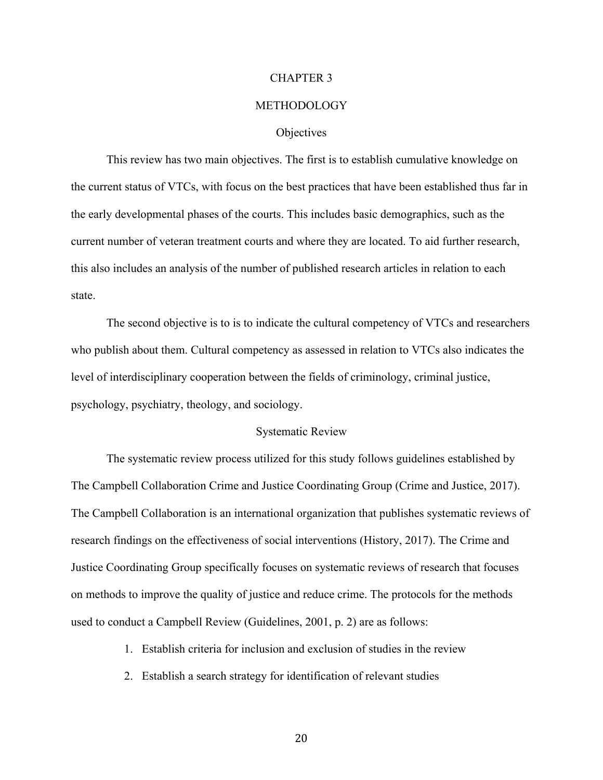#### CHAPTER 3

#### METHODOLOGY

#### **Objectives**

This review has two main objectives. The first is to establish cumulative knowledge on the current status of VTCs, with focus on the best practices that have been established thus far in the early developmental phases of the courts. This includes basic demographics, such as the current number of veteran treatment courts and where they are located. To aid further research, this also includes an analysis of the number of published research articles in relation to each state.

The second objective is to is to indicate the cultural competency of VTCs and researchers who publish about them. Cultural competency as assessed in relation to VTCs also indicates the level of interdisciplinary cooperation between the fields of criminology, criminal justice, psychology, psychiatry, theology, and sociology.

#### Systematic Review

The systematic review process utilized for this study follows guidelines established by The Campbell Collaboration Crime and Justice Coordinating Group (Crime and Justice, 2017). The Campbell Collaboration is an international organization that publishes systematic reviews of research findings on the effectiveness of social interventions (History, 2017). The Crime and Justice Coordinating Group specifically focuses on systematic reviews of research that focuses on methods to improve the quality of justice and reduce crime. The protocols for the methods used to conduct a Campbell Review (Guidelines, 2001, p. 2) are as follows:

1. Establish criteria for inclusion and exclusion of studies in the review

2. Establish a search strategy for identification of relevant studies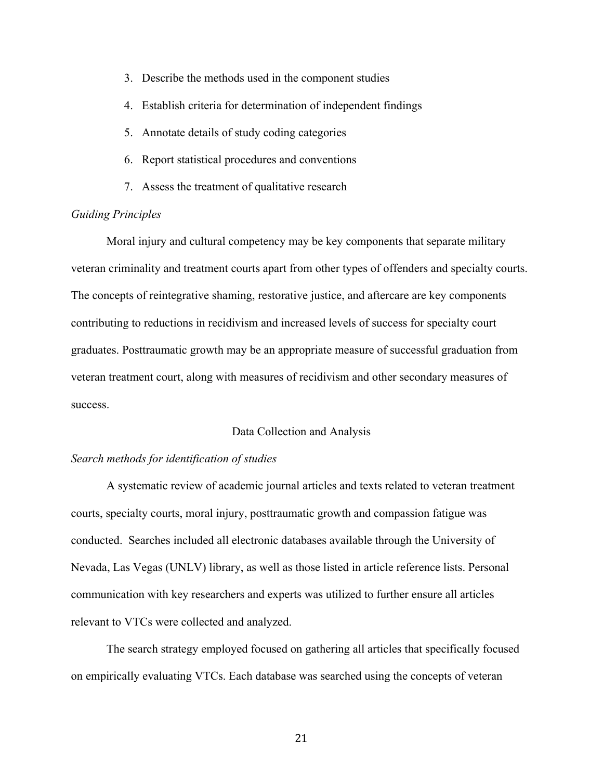- 3. Describe the methods used in the component studies
- 4. Establish criteria for determination of independent findings
- 5. Annotate details of study coding categories
- 6. Report statistical procedures and conventions
- 7. Assess the treatment of qualitative research

#### *Guiding Principles*

Moral injury and cultural competency may be key components that separate military veteran criminality and treatment courts apart from other types of offenders and specialty courts. The concepts of reintegrative shaming, restorative justice, and aftercare are key components contributing to reductions in recidivism and increased levels of success for specialty court graduates. Posttraumatic growth may be an appropriate measure of successful graduation from veteran treatment court, along with measures of recidivism and other secondary measures of success.

#### Data Collection and Analysis

#### *Search methods for identification of studies*

A systematic review of academic journal articles and texts related to veteran treatment courts, specialty courts, moral injury, posttraumatic growth and compassion fatigue was conducted. Searches included all electronic databases available through the University of Nevada, Las Vegas (UNLV) library, as well as those listed in article reference lists. Personal communication with key researchers and experts was utilized to further ensure all articles relevant to VTCs were collected and analyzed.

The search strategy employed focused on gathering all articles that specifically focused on empirically evaluating VTCs. Each database was searched using the concepts of veteran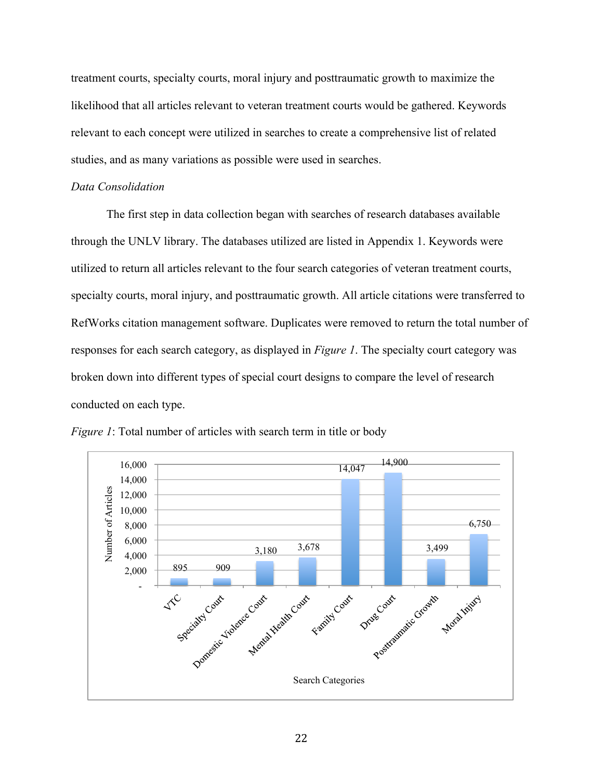treatment courts, specialty courts, moral injury and posttraumatic growth to maximize the likelihood that all articles relevant to veteran treatment courts would be gathered. Keywords relevant to each concept were utilized in searches to create a comprehensive list of related studies, and as many variations as possible were used in searches.

#### *Data Consolidation*

The first step in data collection began with searches of research databases available through the UNLV library. The databases utilized are listed in Appendix 1. Keywords were utilized to return all articles relevant to the four search categories of veteran treatment courts, specialty courts, moral injury, and posttraumatic growth. All article citations were transferred to RefWorks citation management software. Duplicates were removed to return the total number of responses for each search category, as displayed in *Figure 1*. The specialty court category was broken down into different types of special court designs to compare the level of research conducted on each type.



*Figure 1*: Total number of articles with search term in title or body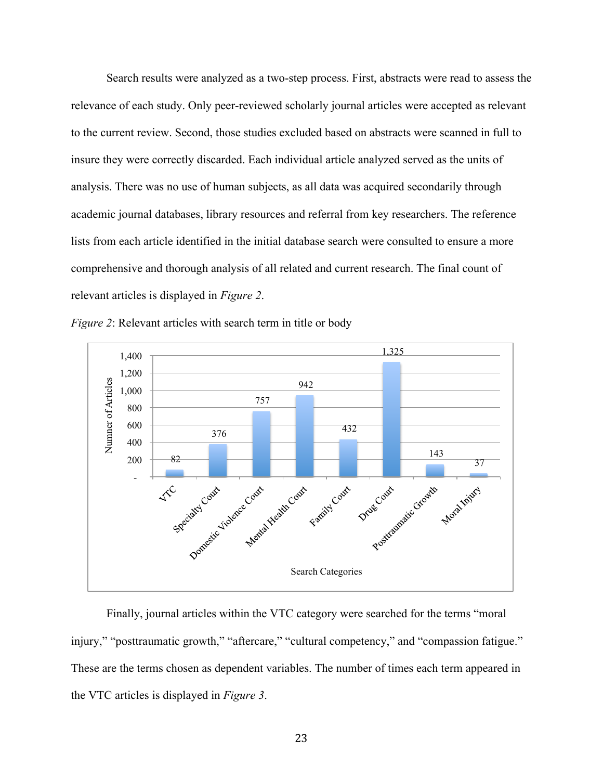Search results were analyzed as a two-step process. First, abstracts were read to assess the relevance of each study. Only peer-reviewed scholarly journal articles were accepted as relevant to the current review. Second, those studies excluded based on abstracts were scanned in full to insure they were correctly discarded. Each individual article analyzed served as the units of analysis. There was no use of human subjects, as all data was acquired secondarily through academic journal databases, library resources and referral from key researchers. The reference lists from each article identified in the initial database search were consulted to ensure a more comprehensive and thorough analysis of all related and current research. The final count of relevant articles is displayed in *Figure 2*.





Finally, journal articles within the VTC category were searched for the terms "moral injury," "posttraumatic growth," "aftercare," "cultural competency," and "compassion fatigue." These are the terms chosen as dependent variables. The number of times each term appeared in the VTC articles is displayed in *Figure 3*.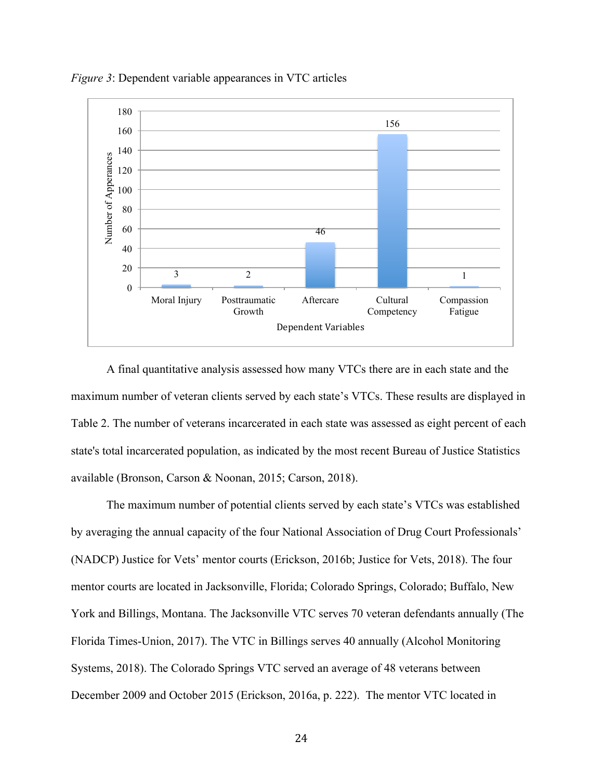

*Figure 3*: Dependent variable appearances in VTC articles

A final quantitative analysis assessed how many VTCs there are in each state and the maximum number of veteran clients served by each state's VTCs. These results are displayed in Table 2. The number of veterans incarcerated in each state was assessed as eight percent of each state's total incarcerated population, as indicated by the most recent Bureau of Justice Statistics available (Bronson, Carson & Noonan, 2015; Carson, 2018).

The maximum number of potential clients served by each state's VTCs was established by averaging the annual capacity of the four National Association of Drug Court Professionals' (NADCP) Justice for Vets' mentor courts (Erickson, 2016b; Justice for Vets, 2018). The four mentor courts are located in Jacksonville, Florida; Colorado Springs, Colorado; Buffalo, New York and Billings, Montana. The Jacksonville VTC serves 70 veteran defendants annually (The Florida Times-Union, 2017). The VTC in Billings serves 40 annually (Alcohol Monitoring Systems, 2018). The Colorado Springs VTC served an average of 48 veterans between December 2009 and October 2015 (Erickson, 2016a, p. 222). The mentor VTC located in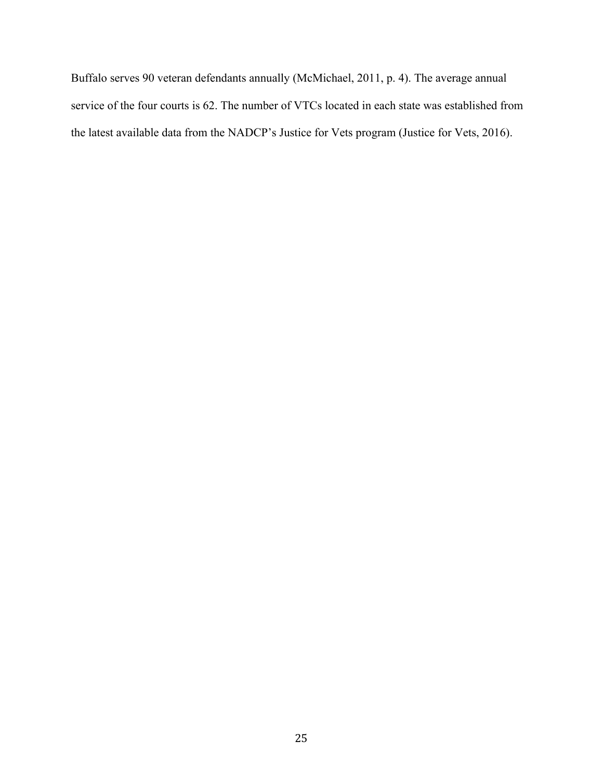Buffalo serves 90 veteran defendants annually (McMichael, 2011, p. 4). The average annual service of the four courts is 62. The number of VTCs located in each state was established from the latest available data from the NADCP's Justice for Vets program (Justice for Vets, 2016).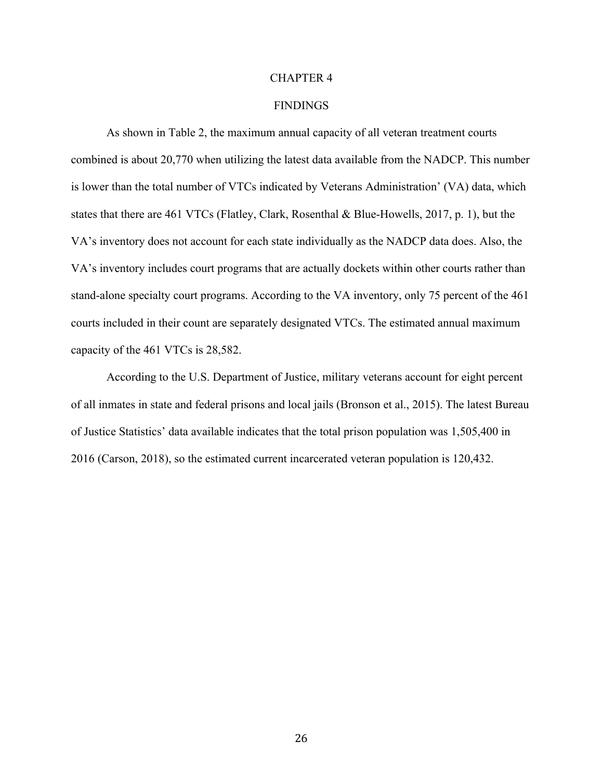#### CHAPTER 4

#### **FINDINGS**

As shown in Table 2, the maximum annual capacity of all veteran treatment courts combined is about 20,770 when utilizing the latest data available from the NADCP. This number is lower than the total number of VTCs indicated by Veterans Administration' (VA) data, which states that there are 461 VTCs (Flatley, Clark, Rosenthal & Blue-Howells, 2017, p. 1), but the VA's inventory does not account for each state individually as the NADCP data does. Also, the VA's inventory includes court programs that are actually dockets within other courts rather than stand-alone specialty court programs. According to the VA inventory, only 75 percent of the 461 courts included in their count are separately designated VTCs. The estimated annual maximum capacity of the 461 VTCs is 28,582.

According to the U.S. Department of Justice, military veterans account for eight percent of all inmates in state and federal prisons and local jails (Bronson et al., 2015). The latest Bureau of Justice Statistics' data available indicates that the total prison population was 1,505,400 in 2016 (Carson, 2018), so the estimated current incarcerated veteran population is 120,432.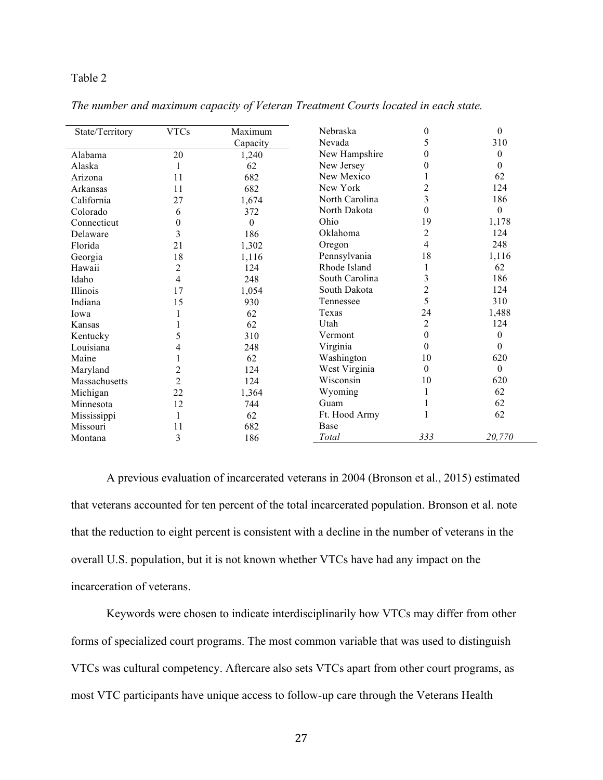#### Table 2

| State/Territory | <b>VTCs</b>      | Maximum  | Nebraska       | 0                | $\boldsymbol{0}$ |
|-----------------|------------------|----------|----------------|------------------|------------------|
|                 |                  | Capacity | Nevada         | 5                | 310              |
| Alabama         | 20               | 1,240    | New Hampshire  | 0                | 0                |
| Alaska          | 1                | 62       | New Jersey     | 0                | $\boldsymbol{0}$ |
| Arizona         | 11               | 682      | New Mexico     |                  | 62               |
| Arkansas        | 11               | 682      | New York       | $\overline{c}$   | 124              |
| California      | 27               | 1,674    | North Carolina | 3                | 186              |
| Colorado        | 6                | 372      | North Dakota   | 0                | $\theta$         |
| Connecticut     | $\boldsymbol{0}$ | $\theta$ | Ohio           | 19               | 1,178            |
| Delaware        | 3                | 186      | Oklahoma       | $\overline{c}$   | 124              |
| Florida         | 21               | 1,302    | Oregon         | 4                | 248              |
| Georgia         | 18               | 1,116    | Pennsylvania   | 18               | 1,116            |
| Hawaii          | $\overline{c}$   | 124      | Rhode Island   | 1                | 62               |
| Idaho           | $\overline{4}$   | 248      | South Carolina | 3                | 186              |
| Illinois        | 17               | 1,054    | South Dakota   | $\overline{c}$   | 124              |
| Indiana         | 15               | 930      | Tennessee      | 5                | 310              |
| Iowa            |                  | 62       | Texas          | 24               | 1,488            |
| Kansas          |                  | 62       | Utah           | $\overline{c}$   | 124              |
| Kentucky        | 5                | 310      | Vermont        | $\boldsymbol{0}$ | $\mathbf{0}$     |
| Louisiana       | 4                | 248      | Virginia       | 0                | $\boldsymbol{0}$ |
| Maine           |                  | 62       | Washington     | 10               | 620              |
| Maryland        | $\overline{c}$   | 124      | West Virginia  | $\boldsymbol{0}$ | $\theta$         |
| Massachusetts   | $\overline{c}$   | 124      | Wisconsin      | 10               | 620              |
| Michigan        | 22               | 1,364    | Wyoming        |                  | 62               |
| Minnesota       | 12               | 744      | Guam           |                  | 62               |
| Mississippi     | 1                | 62       | Ft. Hood Army  | 1                | 62               |
| Missouri        | 11               | 682      | Base           |                  |                  |
| Montana         | 3                | 186      | Total          | 333              | 20,770           |

*The number and maximum capacity of Veteran Treatment Courts located in each state.*

A previous evaluation of incarcerated veterans in 2004 (Bronson et al., 2015) estimated that veterans accounted for ten percent of the total incarcerated population. Bronson et al. note that the reduction to eight percent is consistent with a decline in the number of veterans in the overall U.S. population, but it is not known whether VTCs have had any impact on the incarceration of veterans.

Keywords were chosen to indicate interdisciplinarily how VTCs may differ from other forms of specialized court programs. The most common variable that was used to distinguish VTCs was cultural competency. Aftercare also sets VTCs apart from other court programs, as most VTC participants have unique access to follow-up care through the Veterans Health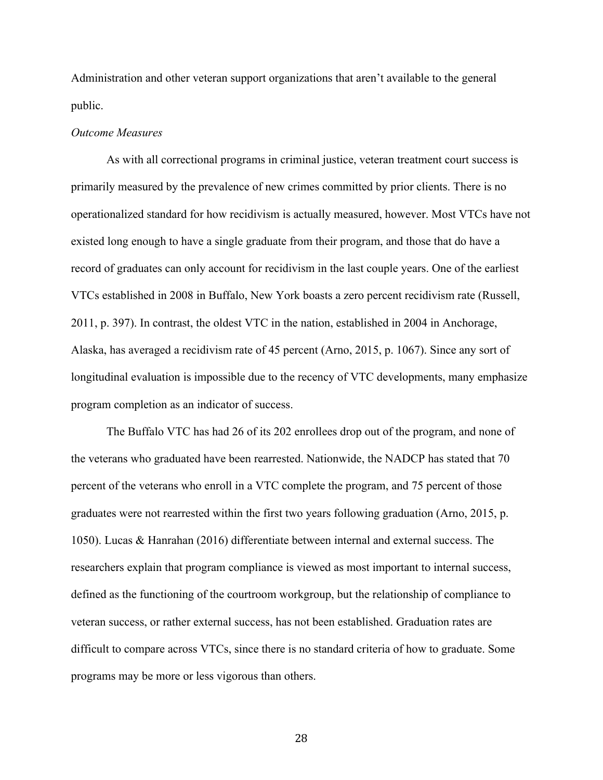Administration and other veteran support organizations that aren't available to the general public.

#### *Outcome Measures*

As with all correctional programs in criminal justice, veteran treatment court success is primarily measured by the prevalence of new crimes committed by prior clients. There is no operationalized standard for how recidivism is actually measured, however. Most VTCs have not existed long enough to have a single graduate from their program, and those that do have a record of graduates can only account for recidivism in the last couple years. One of the earliest VTCs established in 2008 in Buffalo, New York boasts a zero percent recidivism rate (Russell, 2011, p. 397). In contrast, the oldest VTC in the nation, established in 2004 in Anchorage, Alaska, has averaged a recidivism rate of 45 percent (Arno, 2015, p. 1067). Since any sort of longitudinal evaluation is impossible due to the recency of VTC developments, many emphasize program completion as an indicator of success.

The Buffalo VTC has had 26 of its 202 enrollees drop out of the program, and none of the veterans who graduated have been rearrested. Nationwide, the NADCP has stated that 70 percent of the veterans who enroll in a VTC complete the program, and 75 percent of those graduates were not rearrested within the first two years following graduation (Arno, 2015, p. 1050). Lucas & Hanrahan (2016) differentiate between internal and external success. The researchers explain that program compliance is viewed as most important to internal success, defined as the functioning of the courtroom workgroup, but the relationship of compliance to veteran success, or rather external success, has not been established. Graduation rates are difficult to compare across VTCs, since there is no standard criteria of how to graduate. Some programs may be more or less vigorous than others.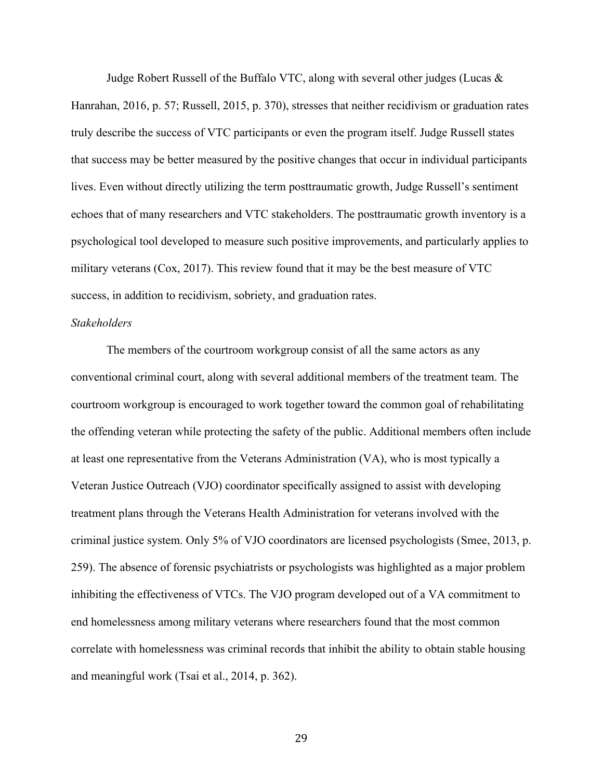Judge Robert Russell of the Buffalo VTC, along with several other judges (Lucas & Hanrahan, 2016, p. 57; Russell, 2015, p. 370), stresses that neither recidivism or graduation rates truly describe the success of VTC participants or even the program itself. Judge Russell states that success may be better measured by the positive changes that occur in individual participants lives. Even without directly utilizing the term posttraumatic growth, Judge Russell's sentiment echoes that of many researchers and VTC stakeholders. The posttraumatic growth inventory is a psychological tool developed to measure such positive improvements, and particularly applies to military veterans (Cox, 2017). This review found that it may be the best measure of VTC success, in addition to recidivism, sobriety, and graduation rates.

#### *Stakeholders*

The members of the courtroom workgroup consist of all the same actors as any conventional criminal court, along with several additional members of the treatment team. The courtroom workgroup is encouraged to work together toward the common goal of rehabilitating the offending veteran while protecting the safety of the public. Additional members often include at least one representative from the Veterans Administration (VA), who is most typically a Veteran Justice Outreach (VJO) coordinator specifically assigned to assist with developing treatment plans through the Veterans Health Administration for veterans involved with the criminal justice system. Only 5% of VJO coordinators are licensed psychologists (Smee, 2013, p. 259). The absence of forensic psychiatrists or psychologists was highlighted as a major problem inhibiting the effectiveness of VTCs. The VJO program developed out of a VA commitment to end homelessness among military veterans where researchers found that the most common correlate with homelessness was criminal records that inhibit the ability to obtain stable housing and meaningful work (Tsai et al., 2014, p. 362).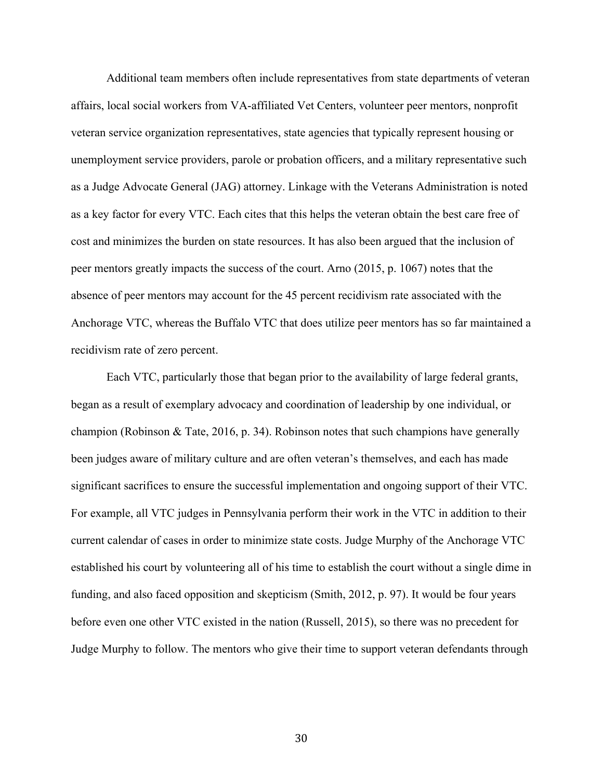Additional team members often include representatives from state departments of veteran affairs, local social workers from VA-affiliated Vet Centers, volunteer peer mentors, nonprofit veteran service organization representatives, state agencies that typically represent housing or unemployment service providers, parole or probation officers, and a military representative such as a Judge Advocate General (JAG) attorney. Linkage with the Veterans Administration is noted as a key factor for every VTC. Each cites that this helps the veteran obtain the best care free of cost and minimizes the burden on state resources. It has also been argued that the inclusion of peer mentors greatly impacts the success of the court. Arno (2015, p. 1067) notes that the absence of peer mentors may account for the 45 percent recidivism rate associated with the Anchorage VTC, whereas the Buffalo VTC that does utilize peer mentors has so far maintained a recidivism rate of zero percent.

Each VTC, particularly those that began prior to the availability of large federal grants, began as a result of exemplary advocacy and coordination of leadership by one individual, or champion (Robinson & Tate, 2016, p. 34). Robinson notes that such champions have generally been judges aware of military culture and are often veteran's themselves, and each has made significant sacrifices to ensure the successful implementation and ongoing support of their VTC. For example, all VTC judges in Pennsylvania perform their work in the VTC in addition to their current calendar of cases in order to minimize state costs. Judge Murphy of the Anchorage VTC established his court by volunteering all of his time to establish the court without a single dime in funding, and also faced opposition and skepticism (Smith, 2012, p. 97). It would be four years before even one other VTC existed in the nation (Russell, 2015), so there was no precedent for Judge Murphy to follow. The mentors who give their time to support veteran defendants through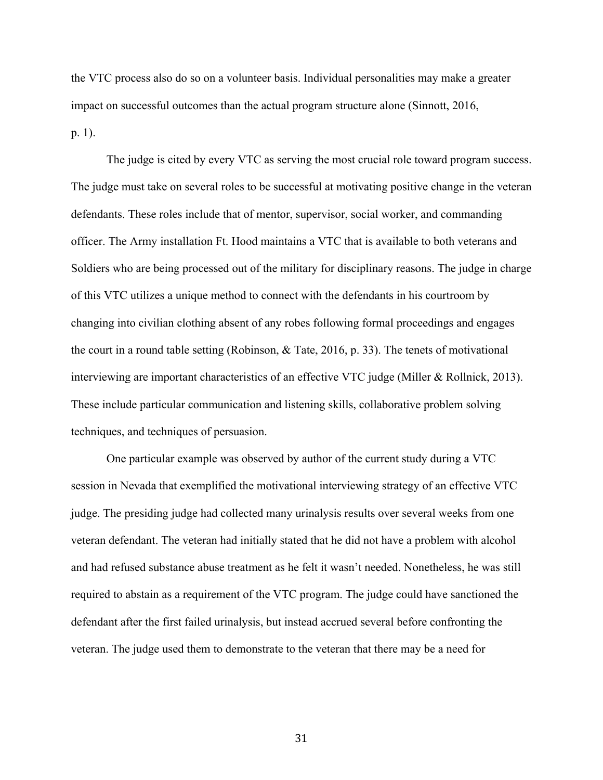the VTC process also do so on a volunteer basis. Individual personalities may make a greater impact on successful outcomes than the actual program structure alone (Sinnott, 2016, p. 1).

The judge is cited by every VTC as serving the most crucial role toward program success. The judge must take on several roles to be successful at motivating positive change in the veteran defendants. These roles include that of mentor, supervisor, social worker, and commanding officer. The Army installation Ft. Hood maintains a VTC that is available to both veterans and Soldiers who are being processed out of the military for disciplinary reasons. The judge in charge of this VTC utilizes a unique method to connect with the defendants in his courtroom by changing into civilian clothing absent of any robes following formal proceedings and engages the court in a round table setting (Robinson, & Tate, 2016, p. 33). The tenets of motivational interviewing are important characteristics of an effective VTC judge (Miller & Rollnick, 2013). These include particular communication and listening skills, collaborative problem solving techniques, and techniques of persuasion.

One particular example was observed by author of the current study during a VTC session in Nevada that exemplified the motivational interviewing strategy of an effective VTC judge. The presiding judge had collected many urinalysis results over several weeks from one veteran defendant. The veteran had initially stated that he did not have a problem with alcohol and had refused substance abuse treatment as he felt it wasn't needed. Nonetheless, he was still required to abstain as a requirement of the VTC program. The judge could have sanctioned the defendant after the first failed urinalysis, but instead accrued several before confronting the veteran. The judge used them to demonstrate to the veteran that there may be a need for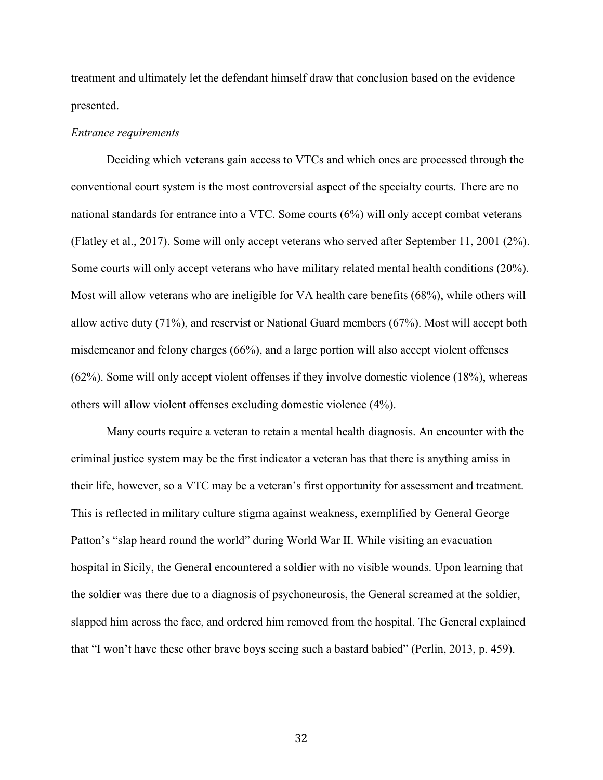treatment and ultimately let the defendant himself draw that conclusion based on the evidence presented.

#### *Entrance requirements*

Deciding which veterans gain access to VTCs and which ones are processed through the conventional court system is the most controversial aspect of the specialty courts. There are no national standards for entrance into a VTC. Some courts (6%) will only accept combat veterans (Flatley et al., 2017). Some will only accept veterans who served after September 11, 2001 (2%). Some courts will only accept veterans who have military related mental health conditions (20%). Most will allow veterans who are ineligible for VA health care benefits (68%), while others will allow active duty (71%), and reservist or National Guard members (67%). Most will accept both misdemeanor and felony charges (66%), and a large portion will also accept violent offenses (62%). Some will only accept violent offenses if they involve domestic violence (18%), whereas others will allow violent offenses excluding domestic violence (4%).

Many courts require a veteran to retain a mental health diagnosis. An encounter with the criminal justice system may be the first indicator a veteran has that there is anything amiss in their life, however, so a VTC may be a veteran's first opportunity for assessment and treatment. This is reflected in military culture stigma against weakness, exemplified by General George Patton's "slap heard round the world" during World War II. While visiting an evacuation hospital in Sicily, the General encountered a soldier with no visible wounds. Upon learning that the soldier was there due to a diagnosis of psychoneurosis, the General screamed at the soldier, slapped him across the face, and ordered him removed from the hospital. The General explained that "I won't have these other brave boys seeing such a bastard babied" (Perlin, 2013, p. 459).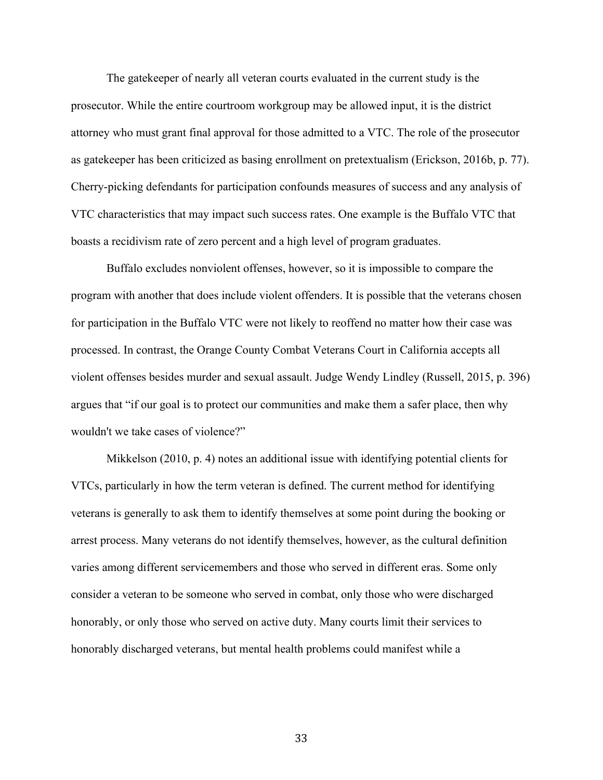The gatekeeper of nearly all veteran courts evaluated in the current study is the prosecutor. While the entire courtroom workgroup may be allowed input, it is the district attorney who must grant final approval for those admitted to a VTC. The role of the prosecutor as gatekeeper has been criticized as basing enrollment on pretextualism (Erickson, 2016b, p. 77). Cherry-picking defendants for participation confounds measures of success and any analysis of VTC characteristics that may impact such success rates. One example is the Buffalo VTC that boasts a recidivism rate of zero percent and a high level of program graduates.

Buffalo excludes nonviolent offenses, however, so it is impossible to compare the program with another that does include violent offenders. It is possible that the veterans chosen for participation in the Buffalo VTC were not likely to reoffend no matter how their case was processed. In contrast, the Orange County Combat Veterans Court in California accepts all violent offenses besides murder and sexual assault. Judge Wendy Lindley (Russell, 2015, p. 396) argues that "if our goal is to protect our communities and make them a safer place, then why wouldn't we take cases of violence?"

Mikkelson (2010, p. 4) notes an additional issue with identifying potential clients for VTCs, particularly in how the term veteran is defined. The current method for identifying veterans is generally to ask them to identify themselves at some point during the booking or arrest process. Many veterans do not identify themselves, however, as the cultural definition varies among different servicemembers and those who served in different eras. Some only consider a veteran to be someone who served in combat, only those who were discharged honorably, or only those who served on active duty. Many courts limit their services to honorably discharged veterans, but mental health problems could manifest while a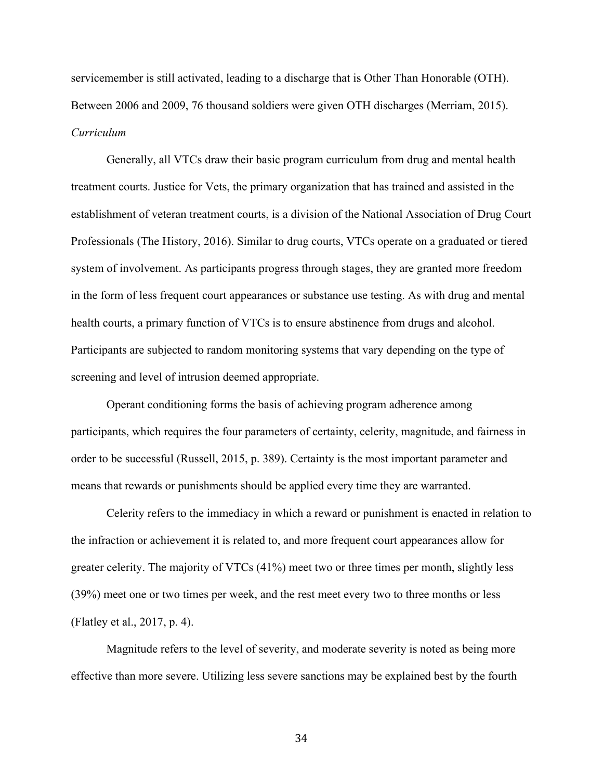servicemember is still activated, leading to a discharge that is Other Than Honorable (OTH). Between 2006 and 2009, 76 thousand soldiers were given OTH discharges (Merriam, 2015). *Curriculum*

Generally, all VTCs draw their basic program curriculum from drug and mental health treatment courts. Justice for Vets, the primary organization that has trained and assisted in the establishment of veteran treatment courts, is a division of the National Association of Drug Court Professionals (The History, 2016). Similar to drug courts, VTCs operate on a graduated or tiered system of involvement. As participants progress through stages, they are granted more freedom in the form of less frequent court appearances or substance use testing. As with drug and mental health courts, a primary function of VTCs is to ensure abstinence from drugs and alcohol. Participants are subjected to random monitoring systems that vary depending on the type of screening and level of intrusion deemed appropriate.

Operant conditioning forms the basis of achieving program adherence among participants, which requires the four parameters of certainty, celerity, magnitude, and fairness in order to be successful (Russell, 2015, p. 389). Certainty is the most important parameter and means that rewards or punishments should be applied every time they are warranted.

Celerity refers to the immediacy in which a reward or punishment is enacted in relation to the infraction or achievement it is related to, and more frequent court appearances allow for greater celerity. The majority of VTCs (41%) meet two or three times per month, slightly less (39%) meet one or two times per week, and the rest meet every two to three months or less (Flatley et al., 2017, p. 4).

Magnitude refers to the level of severity, and moderate severity is noted as being more effective than more severe. Utilizing less severe sanctions may be explained best by the fourth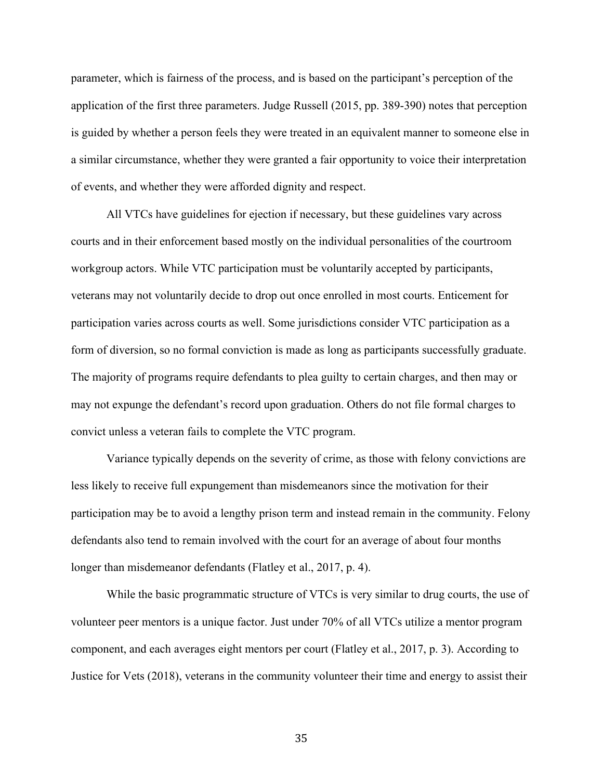parameter, which is fairness of the process, and is based on the participant's perception of the application of the first three parameters. Judge Russell (2015, pp. 389-390) notes that perception is guided by whether a person feels they were treated in an equivalent manner to someone else in a similar circumstance, whether they were granted a fair opportunity to voice their interpretation of events, and whether they were afforded dignity and respect.

All VTCs have guidelines for ejection if necessary, but these guidelines vary across courts and in their enforcement based mostly on the individual personalities of the courtroom workgroup actors. While VTC participation must be voluntarily accepted by participants, veterans may not voluntarily decide to drop out once enrolled in most courts. Enticement for participation varies across courts as well. Some jurisdictions consider VTC participation as a form of diversion, so no formal conviction is made as long as participants successfully graduate. The majority of programs require defendants to plea guilty to certain charges, and then may or may not expunge the defendant's record upon graduation. Others do not file formal charges to convict unless a veteran fails to complete the VTC program.

Variance typically depends on the severity of crime, as those with felony convictions are less likely to receive full expungement than misdemeanors since the motivation for their participation may be to avoid a lengthy prison term and instead remain in the community. Felony defendants also tend to remain involved with the court for an average of about four months longer than misdemeanor defendants (Flatley et al., 2017, p. 4).

While the basic programmatic structure of VTCs is very similar to drug courts, the use of volunteer peer mentors is a unique factor. Just under 70% of all VTCs utilize a mentor program component, and each averages eight mentors per court (Flatley et al., 2017, p. 3). According to Justice for Vets (2018), veterans in the community volunteer their time and energy to assist their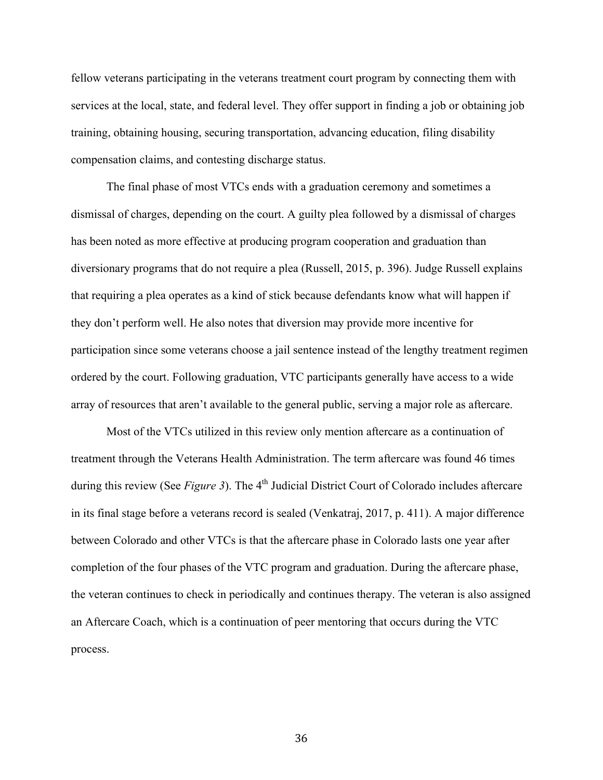fellow veterans participating in the veterans treatment court program by connecting them with services at the local, state, and federal level. They offer support in finding a job or obtaining job training, obtaining housing, securing transportation, advancing education, filing disability compensation claims, and contesting discharge status.

The final phase of most VTCs ends with a graduation ceremony and sometimes a dismissal of charges, depending on the court. A guilty plea followed by a dismissal of charges has been noted as more effective at producing program cooperation and graduation than diversionary programs that do not require a plea (Russell, 2015, p. 396). Judge Russell explains that requiring a plea operates as a kind of stick because defendants know what will happen if they don't perform well. He also notes that diversion may provide more incentive for participation since some veterans choose a jail sentence instead of the lengthy treatment regimen ordered by the court. Following graduation, VTC participants generally have access to a wide array of resources that aren't available to the general public, serving a major role as aftercare.

Most of the VTCs utilized in this review only mention aftercare as a continuation of treatment through the Veterans Health Administration. The term aftercare was found 46 times during this review (See *Figure 3*). The 4<sup>th</sup> Judicial District Court of Colorado includes aftercare in its final stage before a veterans record is sealed (Venkatraj, 2017, p. 411). A major difference between Colorado and other VTCs is that the aftercare phase in Colorado lasts one year after completion of the four phases of the VTC program and graduation. During the aftercare phase, the veteran continues to check in periodically and continues therapy. The veteran is also assigned an Aftercare Coach, which is a continuation of peer mentoring that occurs during the VTC process.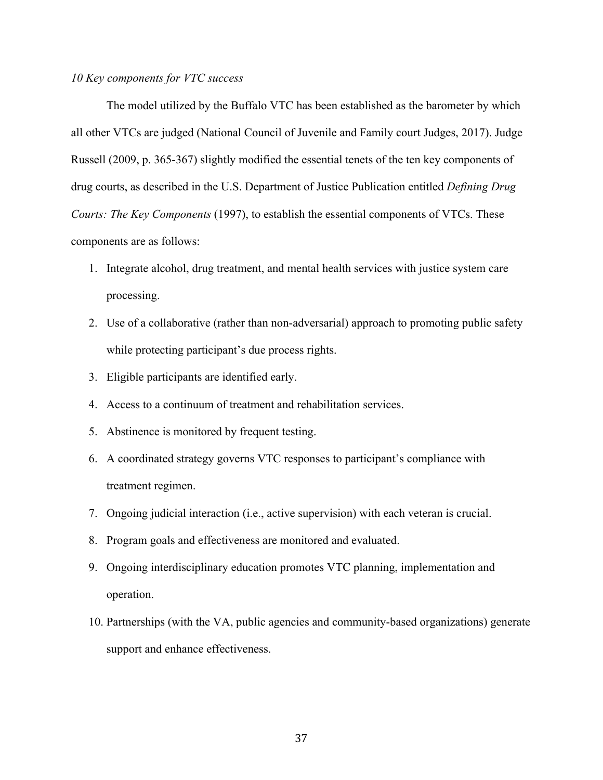# *10 Key components for VTC success*

The model utilized by the Buffalo VTC has been established as the barometer by which all other VTCs are judged (National Council of Juvenile and Family court Judges, 2017). Judge Russell (2009, p. 365-367) slightly modified the essential tenets of the ten key components of drug courts, as described in the U.S. Department of Justice Publication entitled *Defining Drug Courts: The Key Components* (1997), to establish the essential components of VTCs. These components are as follows:

- 1. Integrate alcohol, drug treatment, and mental health services with justice system care processing.
- 2. Use of a collaborative (rather than non-adversarial) approach to promoting public safety while protecting participant's due process rights.
- 3. Eligible participants are identified early.
- 4. Access to a continuum of treatment and rehabilitation services.
- 5. Abstinence is monitored by frequent testing.
- 6. A coordinated strategy governs VTC responses to participant's compliance with treatment regimen.
- 7. Ongoing judicial interaction (i.e., active supervision) with each veteran is crucial.
- 8. Program goals and effectiveness are monitored and evaluated.
- 9. Ongoing interdisciplinary education promotes VTC planning, implementation and operation.
- 10. Partnerships (with the VA, public agencies and community-based organizations) generate support and enhance effectiveness.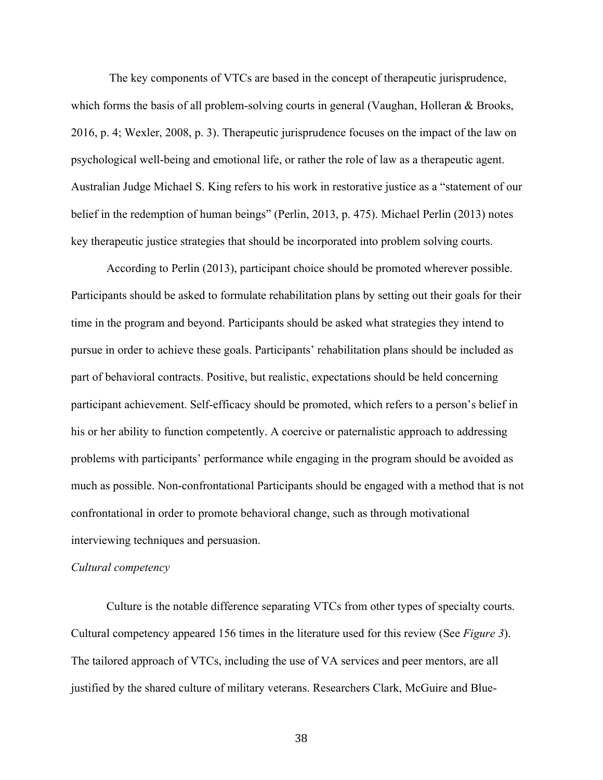The key components of VTCs are based in the concept of therapeutic jurisprudence, which forms the basis of all problem-solving courts in general (Vaughan, Holleran & Brooks, 2016, p. 4; Wexler, 2008, p. 3). Therapeutic jurisprudence focuses on the impact of the law on psychological well-being and emotional life, or rather the role of law as a therapeutic agent. Australian Judge Michael S. King refers to his work in restorative justice as a "statement of our belief in the redemption of human beings" (Perlin, 2013, p. 475). Michael Perlin (2013) notes key therapeutic justice strategies that should be incorporated into problem solving courts.

According to Perlin (2013), participant choice should be promoted wherever possible. Participants should be asked to formulate rehabilitation plans by setting out their goals for their time in the program and beyond. Participants should be asked what strategies they intend to pursue in order to achieve these goals. Participants' rehabilitation plans should be included as part of behavioral contracts. Positive, but realistic, expectations should be held concerning participant achievement. Self-efficacy should be promoted, which refers to a person's belief in his or her ability to function competently. A coercive or paternalistic approach to addressing problems with participants' performance while engaging in the program should be avoided as much as possible. Non-confrontational Participants should be engaged with a method that is not confrontational in order to promote behavioral change, such as through motivational interviewing techniques and persuasion.

#### *Cultural competency*

Culture is the notable difference separating VTCs from other types of specialty courts. Cultural competency appeared 156 times in the literature used for this review (See *Figure 3*). The tailored approach of VTCs, including the use of VA services and peer mentors, are all justified by the shared culture of military veterans. Researchers Clark, McGuire and Blue-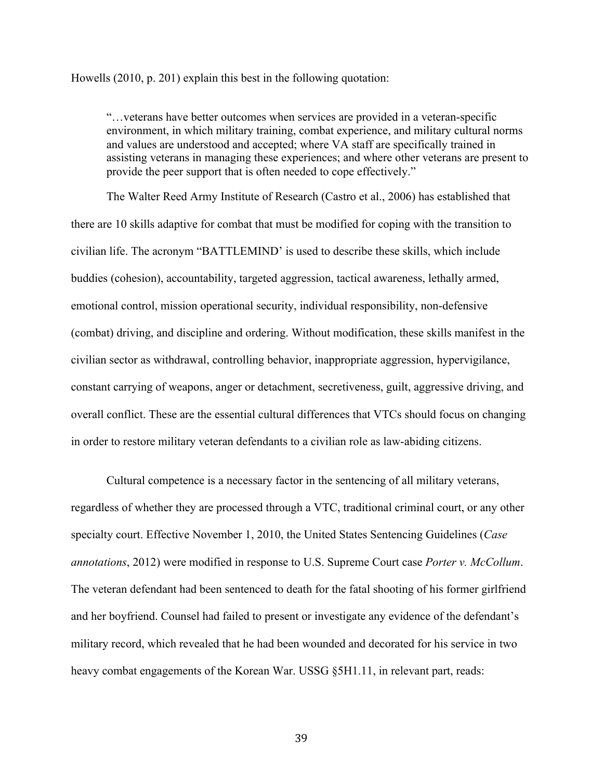Howells (2010, p. 201) explain this best in the following quotation:

"…veterans have better outcomes when services are provided in a veteran-specific environment, in which military training, combat experience, and military cultural norms and values are understood and accepted; where VA staff are specifically trained in assisting veterans in managing these experiences; and where other veterans are present to provide the peer support that is often needed to cope effectively."

The Walter Reed Army Institute of Research (Castro et al., 2006) has established that there are 10 skills adaptive for combat that must be modified for coping with the transition to civilian life. The acronym "BATTLEMIND' is used to describe these skills, which include buddies (cohesion), accountability, targeted aggression, tactical awareness, lethally armed, emotional control, mission operational security, individual responsibility, non-defensive (combat) driving, and discipline and ordering. Without modification, these skills manifest in the civilian sector as withdrawal, controlling behavior, inappropriate aggression, hypervigilance, constant carrying of weapons, anger or detachment, secretiveness, guilt, aggressive driving, and overall conflict. These are the essential cultural differences that VTCs should focus on changing in order to restore military veteran defendants to a civilian role as law-abiding citizens.

Cultural competence is a necessary factor in the sentencing of all military veterans, regardless of whether they are processed through a VTC, traditional criminal court, or any other specialty court. Effective November 1, 2010, the United States Sentencing Guidelines (*Case annotations*, 2012) were modified in response to U.S. Supreme Court case *Porter v. McCollum*. The veteran defendant had been sentenced to death for the fatal shooting of his former girlfriend and her boyfriend. Counsel had failed to present or investigate any evidence of the defendant's military record, which revealed that he had been wounded and decorated for his service in two heavy combat engagements of the Korean War. USSG §5H1.11, in relevant part, reads: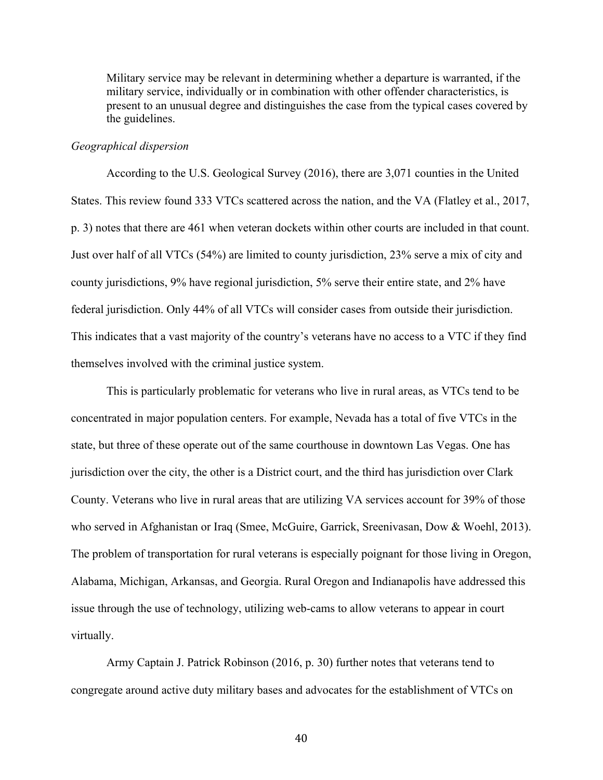Military service may be relevant in determining whether a departure is warranted, if the military service, individually or in combination with other offender characteristics, is present to an unusual degree and distinguishes the case from the typical cases covered by the guidelines.

#### *Geographical dispersion*

According to the U.S. Geological Survey (2016), there are 3,071 counties in the United States. This review found 333 VTCs scattered across the nation, and the VA (Flatley et al., 2017, p. 3) notes that there are 461 when veteran dockets within other courts are included in that count. Just over half of all VTCs (54%) are limited to county jurisdiction, 23% serve a mix of city and county jurisdictions, 9% have regional jurisdiction, 5% serve their entire state, and 2% have federal jurisdiction. Only 44% of all VTCs will consider cases from outside their jurisdiction. This indicates that a vast majority of the country's veterans have no access to a VTC if they find themselves involved with the criminal justice system.

This is particularly problematic for veterans who live in rural areas, as VTCs tend to be concentrated in major population centers. For example, Nevada has a total of five VTCs in the state, but three of these operate out of the same courthouse in downtown Las Vegas. One has jurisdiction over the city, the other is a District court, and the third has jurisdiction over Clark County. Veterans who live in rural areas that are utilizing VA services account for 39% of those who served in Afghanistan or Iraq (Smee, McGuire, Garrick, Sreenivasan, Dow & Woehl, 2013). The problem of transportation for rural veterans is especially poignant for those living in Oregon, Alabama, Michigan, Arkansas, and Georgia. Rural Oregon and Indianapolis have addressed this issue through the use of technology, utilizing web-cams to allow veterans to appear in court virtually.

Army Captain J. Patrick Robinson (2016, p. 30) further notes that veterans tend to congregate around active duty military bases and advocates for the establishment of VTCs on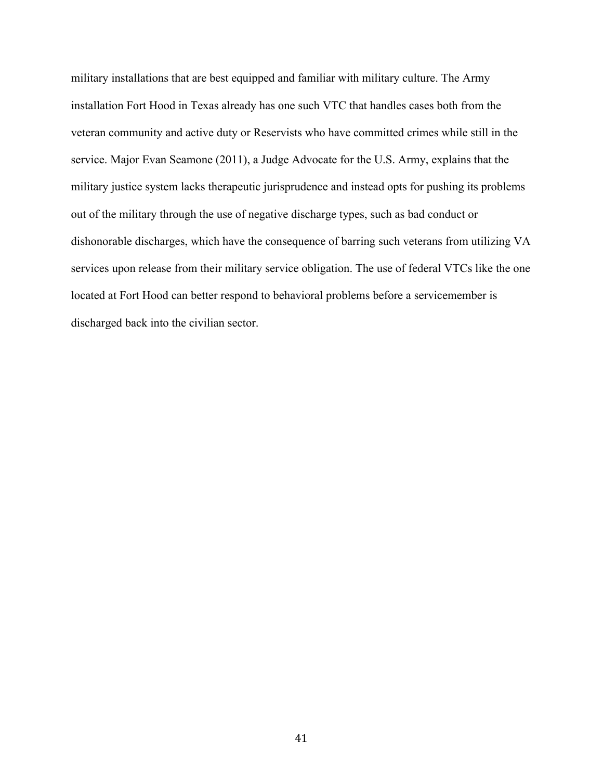military installations that are best equipped and familiar with military culture. The Army installation Fort Hood in Texas already has one such VTC that handles cases both from the veteran community and active duty or Reservists who have committed crimes while still in the service. Major Evan Seamone (2011), a Judge Advocate for the U.S. Army, explains that the military justice system lacks therapeutic jurisprudence and instead opts for pushing its problems out of the military through the use of negative discharge types, such as bad conduct or dishonorable discharges, which have the consequence of barring such veterans from utilizing VA services upon release from their military service obligation. The use of federal VTCs like the one located at Fort Hood can better respond to behavioral problems before a servicemember is discharged back into the civilian sector.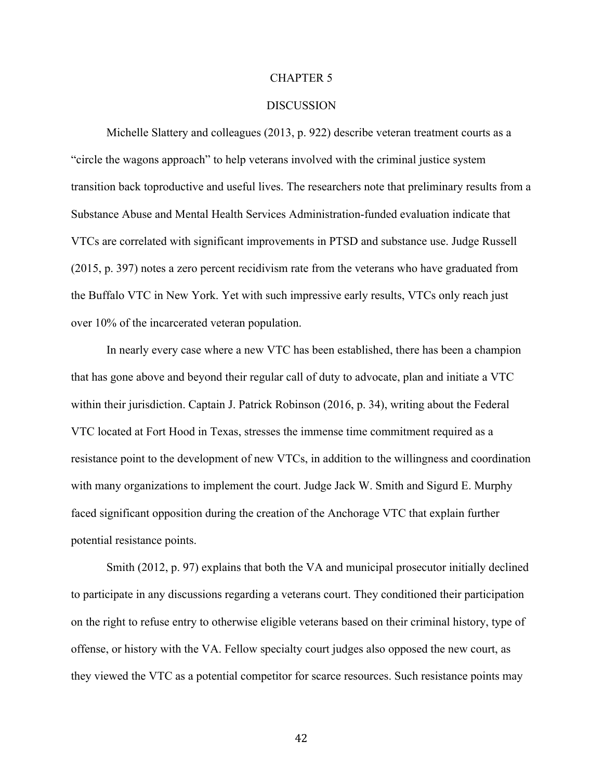#### CHAPTER 5

## DISCUSSION

Michelle Slattery and colleagues (2013, p. 922) describe veteran treatment courts as a "circle the wagons approach" to help veterans involved with the criminal justice system transition back toproductive and useful lives. The researchers note that preliminary results from a Substance Abuse and Mental Health Services Administration-funded evaluation indicate that VTCs are correlated with significant improvements in PTSD and substance use. Judge Russell (2015, p. 397) notes a zero percent recidivism rate from the veterans who have graduated from the Buffalo VTC in New York. Yet with such impressive early results, VTCs only reach just over 10% of the incarcerated veteran population.

In nearly every case where a new VTC has been established, there has been a champion that has gone above and beyond their regular call of duty to advocate, plan and initiate a VTC within their jurisdiction. Captain J. Patrick Robinson (2016, p. 34), writing about the Federal VTC located at Fort Hood in Texas, stresses the immense time commitment required as a resistance point to the development of new VTCs, in addition to the willingness and coordination with many organizations to implement the court. Judge Jack W. Smith and Sigurd E. Murphy faced significant opposition during the creation of the Anchorage VTC that explain further potential resistance points.

Smith (2012, p. 97) explains that both the VA and municipal prosecutor initially declined to participate in any discussions regarding a veterans court. They conditioned their participation on the right to refuse entry to otherwise eligible veterans based on their criminal history, type of offense, or history with the VA. Fellow specialty court judges also opposed the new court, as they viewed the VTC as a potential competitor for scarce resources. Such resistance points may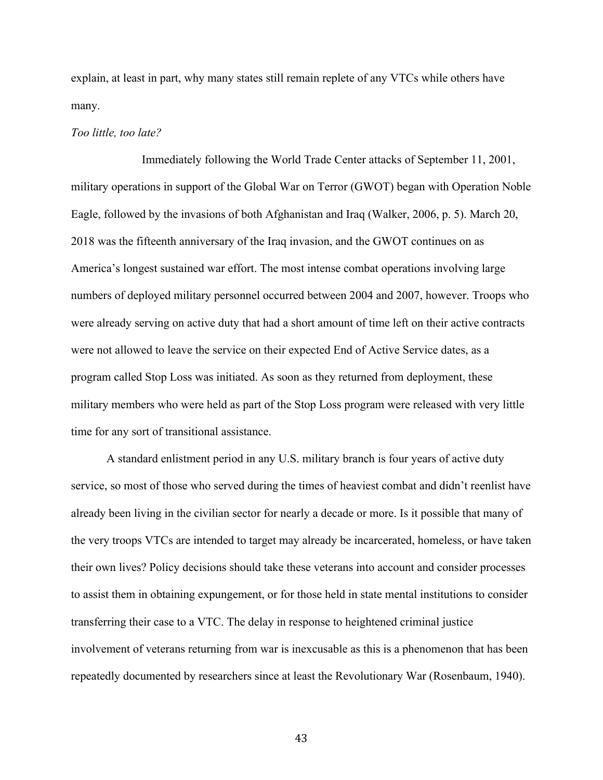explain, at least in part, why many states still remain replete of any VTCs while others have many.

#### *Too little, too late?*

Immediately following the World Trade Center attacks of September 11, 2001, military operations in support of the Global War on Terror (GWOT) began with Operation Noble Eagle, followed by the invasions of both Afghanistan and Iraq (Walker, 2006, p. 5). March 20, 2018 was the fifteenth anniversary of the Iraq invasion, and the GWOT continues on as America's longest sustained war effort. The most intense combat operations involving large numbers of deployed military personnel occurred between 2004 and 2007, however. Troops who were already serving on active duty that had a short amount of time left on their active contracts were not allowed to leave the service on their expected End of Active Service dates, as a program called Stop Loss was initiated. As soon as they returned from deployment, these military members who were held as part of the Stop Loss program were released with very little time for any sort of transitional assistance.

A standard enlistment period in any U.S. military branch is four years of active duty service, so most of those who served during the times of heaviest combat and didn't reenlist have already been living in the civilian sector for nearly a decade or more. Is it possible that many of the very troops VTCs are intended to target may already be incarcerated, homeless, or have taken their own lives? Policy decisions should take these veterans into account and consider processes to assist them in obtaining expungement, or for those held in state mental institutions to consider transferring their case to a VTC. The delay in response to heightened criminal justice involvement of veterans returning from war is inexcusable as this is a phenomenon that has been repeatedly documented by researchers since at least the Revolutionary War (Rosenbaum, 1940).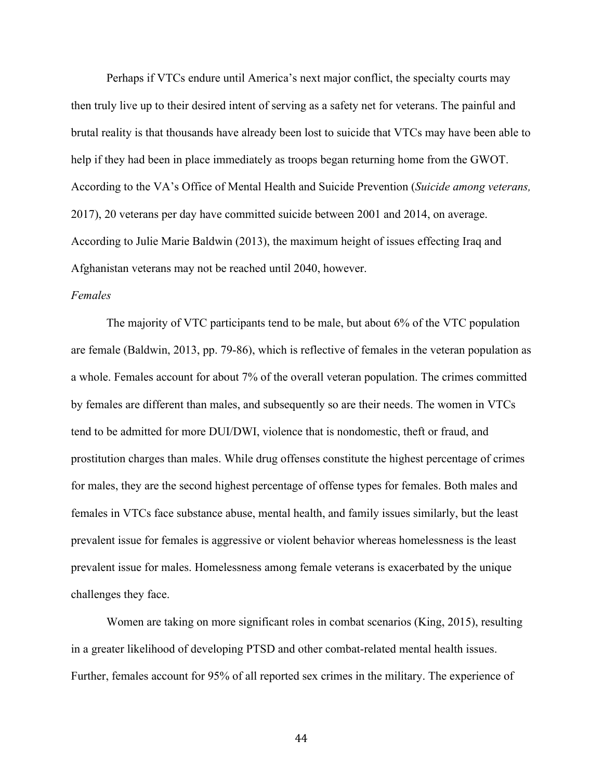Perhaps if VTCs endure until America's next major conflict, the specialty courts may then truly live up to their desired intent of serving as a safety net for veterans. The painful and brutal reality is that thousands have already been lost to suicide that VTCs may have been able to help if they had been in place immediately as troops began returning home from the GWOT. According to the VA's Office of Mental Health and Suicide Prevention (*Suicide among veterans,*  2017), 20 veterans per day have committed suicide between 2001 and 2014, on average. According to Julie Marie Baldwin (2013), the maximum height of issues effecting Iraq and Afghanistan veterans may not be reached until 2040, however.

## *Females*

The majority of VTC participants tend to be male, but about 6% of the VTC population are female (Baldwin, 2013, pp. 79-86), which is reflective of females in the veteran population as a whole. Females account for about 7% of the overall veteran population. The crimes committed by females are different than males, and subsequently so are their needs. The women in VTCs tend to be admitted for more DUI/DWI, violence that is nondomestic, theft or fraud, and prostitution charges than males. While drug offenses constitute the highest percentage of crimes for males, they are the second highest percentage of offense types for females. Both males and females in VTCs face substance abuse, mental health, and family issues similarly, but the least prevalent issue for females is aggressive or violent behavior whereas homelessness is the least prevalent issue for males. Homelessness among female veterans is exacerbated by the unique challenges they face.

Women are taking on more significant roles in combat scenarios (King, 2015), resulting in a greater likelihood of developing PTSD and other combat-related mental health issues. Further, females account for 95% of all reported sex crimes in the military. The experience of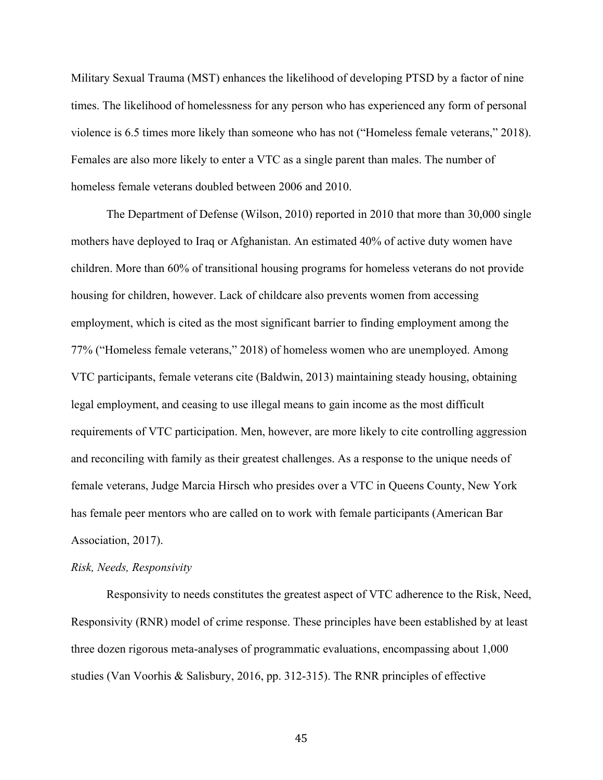Military Sexual Trauma (MST) enhances the likelihood of developing PTSD by a factor of nine times. The likelihood of homelessness for any person who has experienced any form of personal violence is 6.5 times more likely than someone who has not ("Homeless female veterans," 2018). Females are also more likely to enter a VTC as a single parent than males. The number of homeless female veterans doubled between 2006 and 2010.

The Department of Defense (Wilson, 2010) reported in 2010 that more than 30,000 single mothers have deployed to Iraq or Afghanistan. An estimated 40% of active duty women have children. More than 60% of transitional housing programs for homeless veterans do not provide housing for children, however. Lack of childcare also prevents women from accessing employment, which is cited as the most significant barrier to finding employment among the 77% ("Homeless female veterans," 2018) of homeless women who are unemployed. Among VTC participants, female veterans cite (Baldwin, 2013) maintaining steady housing, obtaining legal employment, and ceasing to use illegal means to gain income as the most difficult requirements of VTC participation. Men, however, are more likely to cite controlling aggression and reconciling with family as their greatest challenges. As a response to the unique needs of female veterans, Judge Marcia Hirsch who presides over a VTC in Queens County, New York has female peer mentors who are called on to work with female participants (American Bar Association, 2017).

#### *Risk, Needs, Responsivity*

Responsivity to needs constitutes the greatest aspect of VTC adherence to the Risk, Need, Responsivity (RNR) model of crime response. These principles have been established by at least three dozen rigorous meta-analyses of programmatic evaluations, encompassing about 1,000 studies (Van Voorhis & Salisbury, 2016, pp. 312-315). The RNR principles of effective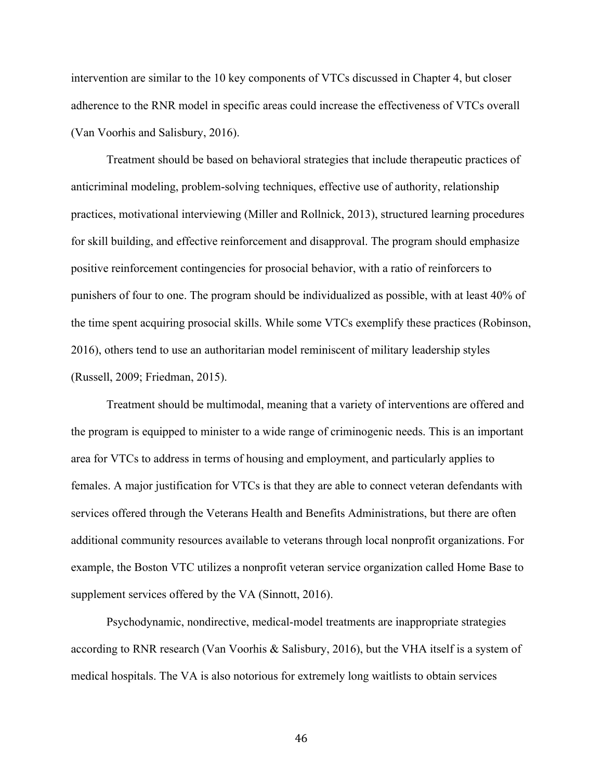intervention are similar to the 10 key components of VTCs discussed in Chapter 4, but closer adherence to the RNR model in specific areas could increase the effectiveness of VTCs overall (Van Voorhis and Salisbury, 2016).

Treatment should be based on behavioral strategies that include therapeutic practices of anticriminal modeling, problem-solving techniques, effective use of authority, relationship practices, motivational interviewing (Miller and Rollnick, 2013), structured learning procedures for skill building, and effective reinforcement and disapproval. The program should emphasize positive reinforcement contingencies for prosocial behavior, with a ratio of reinforcers to punishers of four to one. The program should be individualized as possible, with at least 40% of the time spent acquiring prosocial skills. While some VTCs exemplify these practices (Robinson, 2016), others tend to use an authoritarian model reminiscent of military leadership styles (Russell, 2009; Friedman, 2015).

Treatment should be multimodal, meaning that a variety of interventions are offered and the program is equipped to minister to a wide range of criminogenic needs. This is an important area for VTCs to address in terms of housing and employment, and particularly applies to females. A major justification for VTCs is that they are able to connect veteran defendants with services offered through the Veterans Health and Benefits Administrations, but there are often additional community resources available to veterans through local nonprofit organizations. For example, the Boston VTC utilizes a nonprofit veteran service organization called Home Base to supplement services offered by the VA (Sinnott, 2016).

Psychodynamic, nondirective, medical-model treatments are inappropriate strategies according to RNR research (Van Voorhis & Salisbury, 2016), but the VHA itself is a system of medical hospitals. The VA is also notorious for extremely long waitlists to obtain services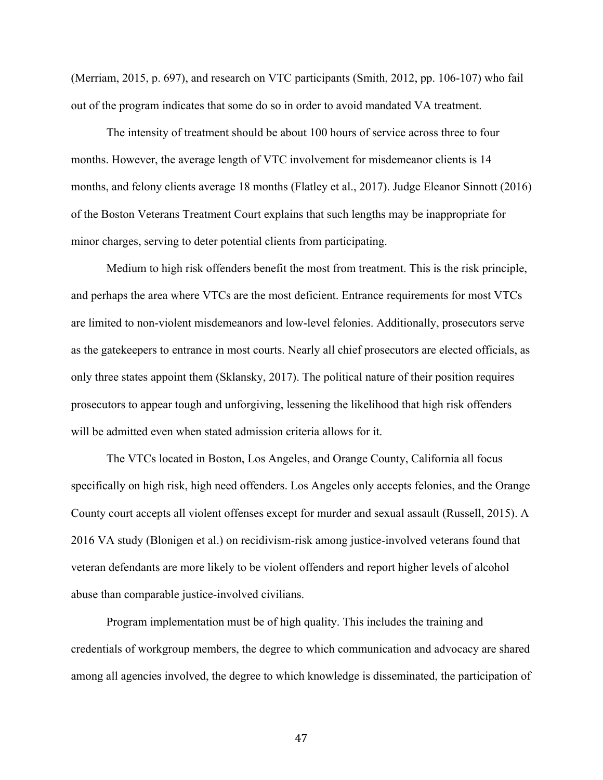(Merriam, 2015, p. 697), and research on VTC participants (Smith, 2012, pp. 106-107) who fail out of the program indicates that some do so in order to avoid mandated VA treatment.

The intensity of treatment should be about 100 hours of service across three to four months. However, the average length of VTC involvement for misdemeanor clients is 14 months, and felony clients average 18 months (Flatley et al., 2017). Judge Eleanor Sinnott (2016) of the Boston Veterans Treatment Court explains that such lengths may be inappropriate for minor charges, serving to deter potential clients from participating.

Medium to high risk offenders benefit the most from treatment. This is the risk principle, and perhaps the area where VTCs are the most deficient. Entrance requirements for most VTCs are limited to non-violent misdemeanors and low-level felonies. Additionally, prosecutors serve as the gatekeepers to entrance in most courts. Nearly all chief prosecutors are elected officials, as only three states appoint them (Sklansky, 2017). The political nature of their position requires prosecutors to appear tough and unforgiving, lessening the likelihood that high risk offenders will be admitted even when stated admission criteria allows for it.

The VTCs located in Boston, Los Angeles, and Orange County, California all focus specifically on high risk, high need offenders. Los Angeles only accepts felonies, and the Orange County court accepts all violent offenses except for murder and sexual assault (Russell, 2015). A 2016 VA study (Blonigen et al.) on recidivism-risk among justice-involved veterans found that veteran defendants are more likely to be violent offenders and report higher levels of alcohol abuse than comparable justice-involved civilians.

Program implementation must be of high quality. This includes the training and credentials of workgroup members, the degree to which communication and advocacy are shared among all agencies involved, the degree to which knowledge is disseminated, the participation of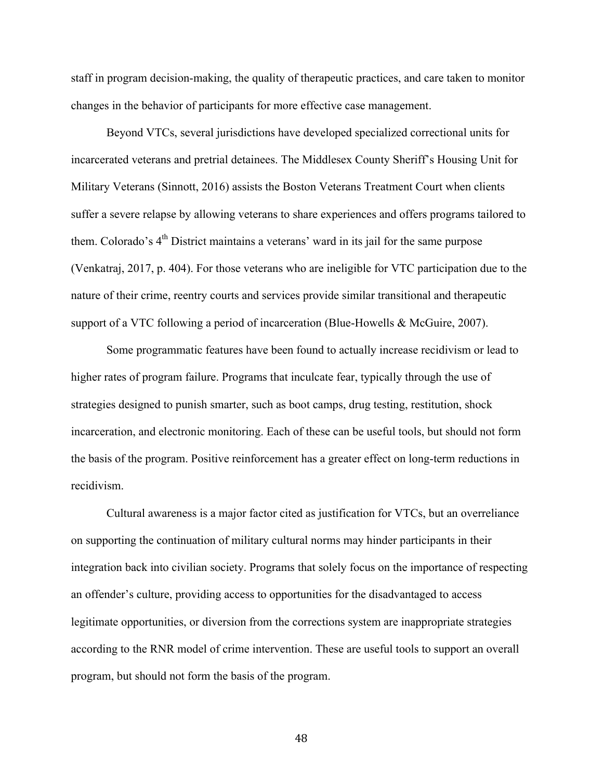staff in program decision-making, the quality of therapeutic practices, and care taken to monitor changes in the behavior of participants for more effective case management.

Beyond VTCs, several jurisdictions have developed specialized correctional units for incarcerated veterans and pretrial detainees. The Middlesex County Sheriff's Housing Unit for Military Veterans (Sinnott, 2016) assists the Boston Veterans Treatment Court when clients suffer a severe relapse by allowing veterans to share experiences and offers programs tailored to them. Colorado's  $4<sup>th</sup>$  District maintains a veterans' ward in its jail for the same purpose (Venkatraj, 2017, p. 404). For those veterans who are ineligible for VTC participation due to the nature of their crime, reentry courts and services provide similar transitional and therapeutic support of a VTC following a period of incarceration (Blue-Howells & McGuire, 2007).

Some programmatic features have been found to actually increase recidivism or lead to higher rates of program failure. Programs that inculcate fear, typically through the use of strategies designed to punish smarter, such as boot camps, drug testing, restitution, shock incarceration, and electronic monitoring. Each of these can be useful tools, but should not form the basis of the program. Positive reinforcement has a greater effect on long-term reductions in recidivism.

Cultural awareness is a major factor cited as justification for VTCs, but an overreliance on supporting the continuation of military cultural norms may hinder participants in their integration back into civilian society. Programs that solely focus on the importance of respecting an offender's culture, providing access to opportunities for the disadvantaged to access legitimate opportunities, or diversion from the corrections system are inappropriate strategies according to the RNR model of crime intervention. These are useful tools to support an overall program, but should not form the basis of the program.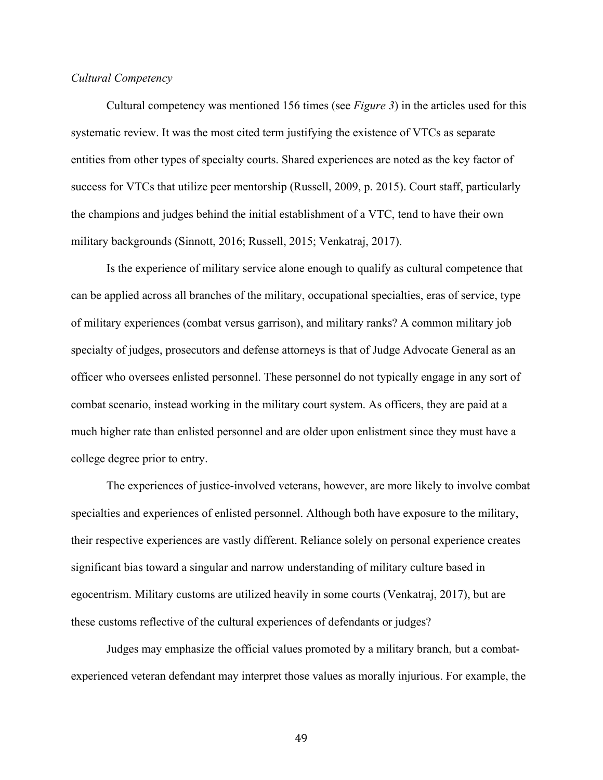# *Cultural Competency*

Cultural competency was mentioned 156 times (see *Figure 3*) in the articles used for this systematic review. It was the most cited term justifying the existence of VTCs as separate entities from other types of specialty courts. Shared experiences are noted as the key factor of success for VTCs that utilize peer mentorship (Russell, 2009, p. 2015). Court staff, particularly the champions and judges behind the initial establishment of a VTC, tend to have their own military backgrounds (Sinnott, 2016; Russell, 2015; Venkatraj, 2017).

Is the experience of military service alone enough to qualify as cultural competence that can be applied across all branches of the military, occupational specialties, eras of service, type of military experiences (combat versus garrison), and military ranks? A common military job specialty of judges, prosecutors and defense attorneys is that of Judge Advocate General as an officer who oversees enlisted personnel. These personnel do not typically engage in any sort of combat scenario, instead working in the military court system. As officers, they are paid at a much higher rate than enlisted personnel and are older upon enlistment since they must have a college degree prior to entry.

The experiences of justice-involved veterans, however, are more likely to involve combat specialties and experiences of enlisted personnel. Although both have exposure to the military, their respective experiences are vastly different. Reliance solely on personal experience creates significant bias toward a singular and narrow understanding of military culture based in egocentrism. Military customs are utilized heavily in some courts (Venkatraj, 2017), but are these customs reflective of the cultural experiences of defendants or judges?

Judges may emphasize the official values promoted by a military branch, but a combatexperienced veteran defendant may interpret those values as morally injurious. For example, the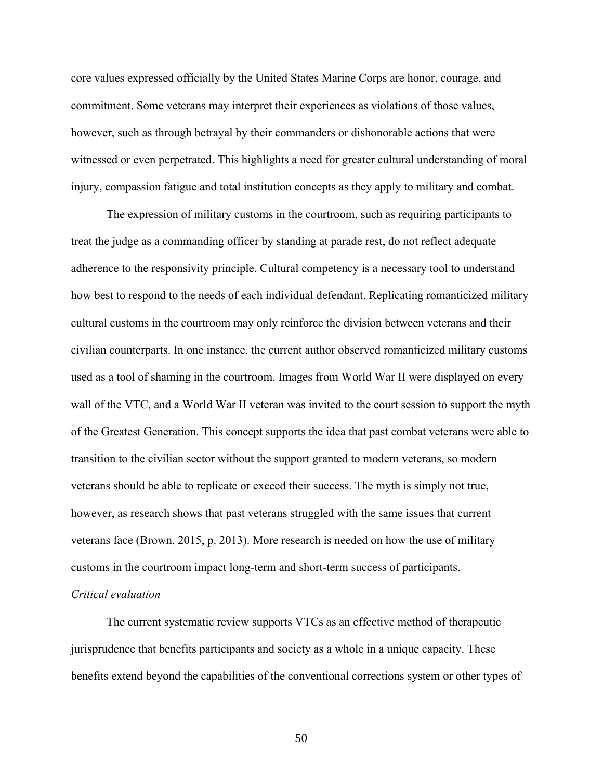core values expressed officially by the United States Marine Corps are honor, courage, and commitment. Some veterans may interpret their experiences as violations of those values, however, such as through betrayal by their commanders or dishonorable actions that were witnessed or even perpetrated. This highlights a need for greater cultural understanding of moral injury, compassion fatigue and total institution concepts as they apply to military and combat.

The expression of military customs in the courtroom, such as requiring participants to treat the judge as a commanding officer by standing at parade rest, do not reflect adequate adherence to the responsivity principle. Cultural competency is a necessary tool to understand how best to respond to the needs of each individual defendant. Replicating romanticized military cultural customs in the courtroom may only reinforce the division between veterans and their civilian counterparts. In one instance, the current author observed romanticized military customs used as a tool of shaming in the courtroom. Images from World War II were displayed on every wall of the VTC, and a World War II veteran was invited to the court session to support the myth of the Greatest Generation. This concept supports the idea that past combat veterans were able to transition to the civilian sector without the support granted to modern veterans, so modern veterans should be able to replicate or exceed their success. The myth is simply not true, however, as research shows that past veterans struggled with the same issues that current veterans face (Brown, 2015, p. 2013). More research is needed on how the use of military customs in the courtroom impact long-term and short-term success of participants.

# *Critical evaluation*

The current systematic review supports VTCs as an effective method of therapeutic jurisprudence that benefits participants and society as a whole in a unique capacity. These benefits extend beyond the capabilities of the conventional corrections system or other types of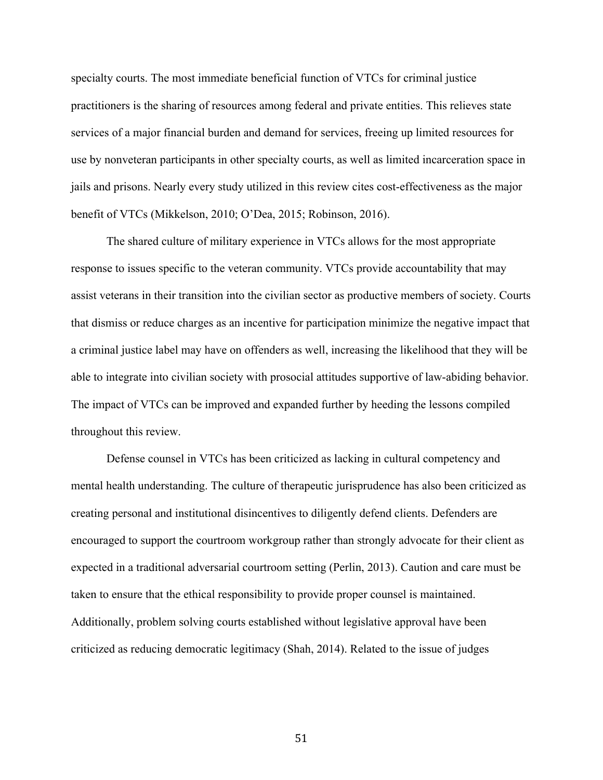specialty courts. The most immediate beneficial function of VTCs for criminal justice practitioners is the sharing of resources among federal and private entities. This relieves state services of a major financial burden and demand for services, freeing up limited resources for use by nonveteran participants in other specialty courts, as well as limited incarceration space in jails and prisons. Nearly every study utilized in this review cites cost-effectiveness as the major benefit of VTCs (Mikkelson, 2010; O'Dea, 2015; Robinson, 2016).

The shared culture of military experience in VTCs allows for the most appropriate response to issues specific to the veteran community. VTCs provide accountability that may assist veterans in their transition into the civilian sector as productive members of society. Courts that dismiss or reduce charges as an incentive for participation minimize the negative impact that a criminal justice label may have on offenders as well, increasing the likelihood that they will be able to integrate into civilian society with prosocial attitudes supportive of law-abiding behavior. The impact of VTCs can be improved and expanded further by heeding the lessons compiled throughout this review.

Defense counsel in VTCs has been criticized as lacking in cultural competency and mental health understanding. The culture of therapeutic jurisprudence has also been criticized as creating personal and institutional disincentives to diligently defend clients. Defenders are encouraged to support the courtroom workgroup rather than strongly advocate for their client as expected in a traditional adversarial courtroom setting (Perlin, 2013). Caution and care must be taken to ensure that the ethical responsibility to provide proper counsel is maintained. Additionally, problem solving courts established without legislative approval have been criticized as reducing democratic legitimacy (Shah, 2014). Related to the issue of judges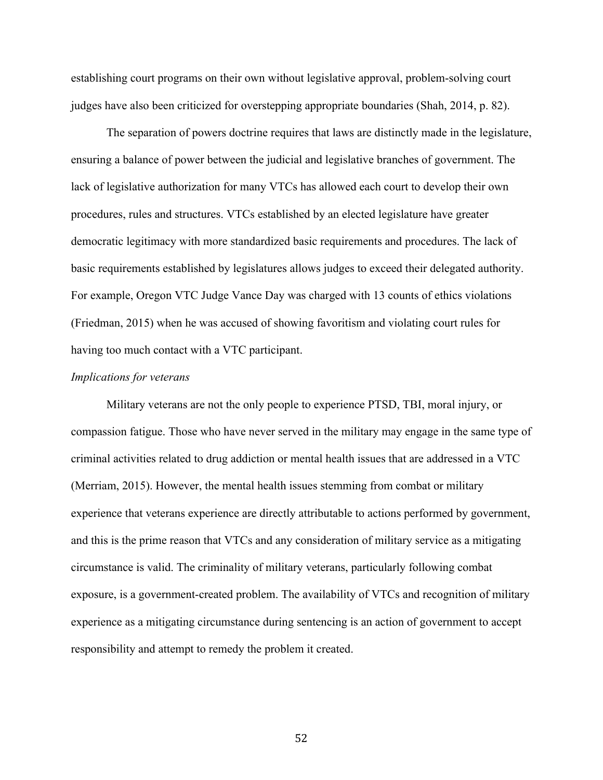establishing court programs on their own without legislative approval, problem-solving court judges have also been criticized for overstepping appropriate boundaries (Shah, 2014, p. 82).

The separation of powers doctrine requires that laws are distinctly made in the legislature, ensuring a balance of power between the judicial and legislative branches of government. The lack of legislative authorization for many VTCs has allowed each court to develop their own procedures, rules and structures. VTCs established by an elected legislature have greater democratic legitimacy with more standardized basic requirements and procedures. The lack of basic requirements established by legislatures allows judges to exceed their delegated authority. For example, Oregon VTC Judge Vance Day was charged with 13 counts of ethics violations (Friedman, 2015) when he was accused of showing favoritism and violating court rules for having too much contact with a VTC participant.

## *Implications for veterans*

Military veterans are not the only people to experience PTSD, TBI, moral injury, or compassion fatigue. Those who have never served in the military may engage in the same type of criminal activities related to drug addiction or mental health issues that are addressed in a VTC (Merriam, 2015). However, the mental health issues stemming from combat or military experience that veterans experience are directly attributable to actions performed by government, and this is the prime reason that VTCs and any consideration of military service as a mitigating circumstance is valid. The criminality of military veterans, particularly following combat exposure, is a government-created problem. The availability of VTCs and recognition of military experience as a mitigating circumstance during sentencing is an action of government to accept responsibility and attempt to remedy the problem it created.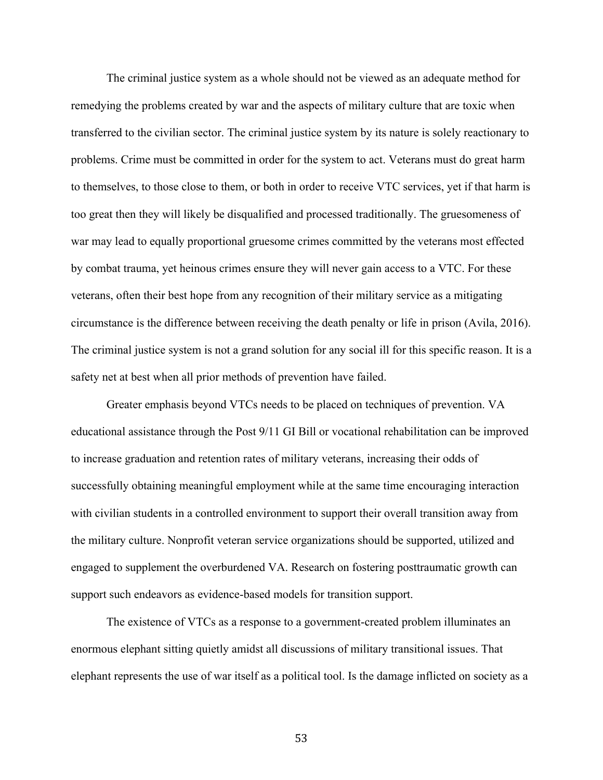The criminal justice system as a whole should not be viewed as an adequate method for remedying the problems created by war and the aspects of military culture that are toxic when transferred to the civilian sector. The criminal justice system by its nature is solely reactionary to problems. Crime must be committed in order for the system to act. Veterans must do great harm to themselves, to those close to them, or both in order to receive VTC services, yet if that harm is too great then they will likely be disqualified and processed traditionally. The gruesomeness of war may lead to equally proportional gruesome crimes committed by the veterans most effected by combat trauma, yet heinous crimes ensure they will never gain access to a VTC. For these veterans, often their best hope from any recognition of their military service as a mitigating circumstance is the difference between receiving the death penalty or life in prison (Avila, 2016). The criminal justice system is not a grand solution for any social ill for this specific reason. It is a safety net at best when all prior methods of prevention have failed.

Greater emphasis beyond VTCs needs to be placed on techniques of prevention. VA educational assistance through the Post 9/11 GI Bill or vocational rehabilitation can be improved to increase graduation and retention rates of military veterans, increasing their odds of successfully obtaining meaningful employment while at the same time encouraging interaction with civilian students in a controlled environment to support their overall transition away from the military culture. Nonprofit veteran service organizations should be supported, utilized and engaged to supplement the overburdened VA. Research on fostering posttraumatic growth can support such endeavors as evidence-based models for transition support.

The existence of VTCs as a response to a government-created problem illuminates an enormous elephant sitting quietly amidst all discussions of military transitional issues. That elephant represents the use of war itself as a political tool. Is the damage inflicted on society as a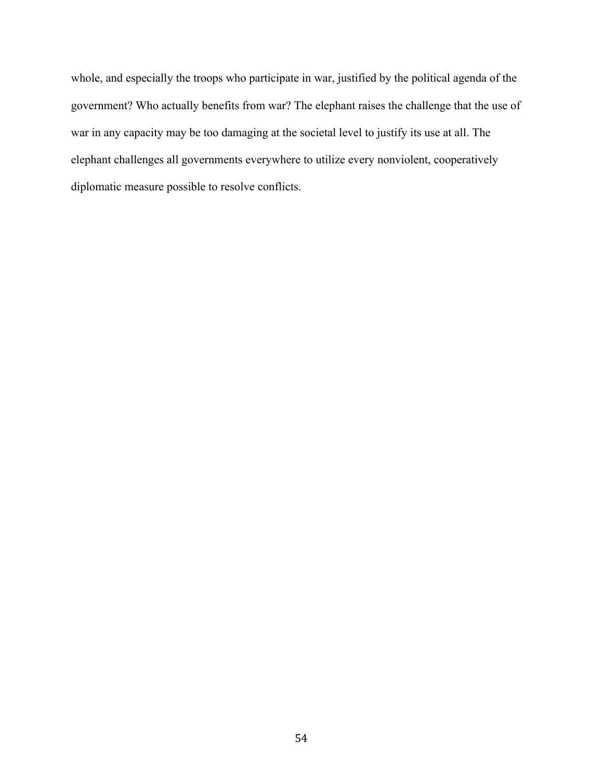whole, and especially the troops who participate in war, justified by the political agenda of the government? Who actually benefits from war? The elephant raises the challenge that the use of war in any capacity may be too damaging at the societal level to justify its use at all. The elephant challenges all governments everywhere to utilize every nonviolent, cooperatively diplomatic measure possible to resolve conflicts.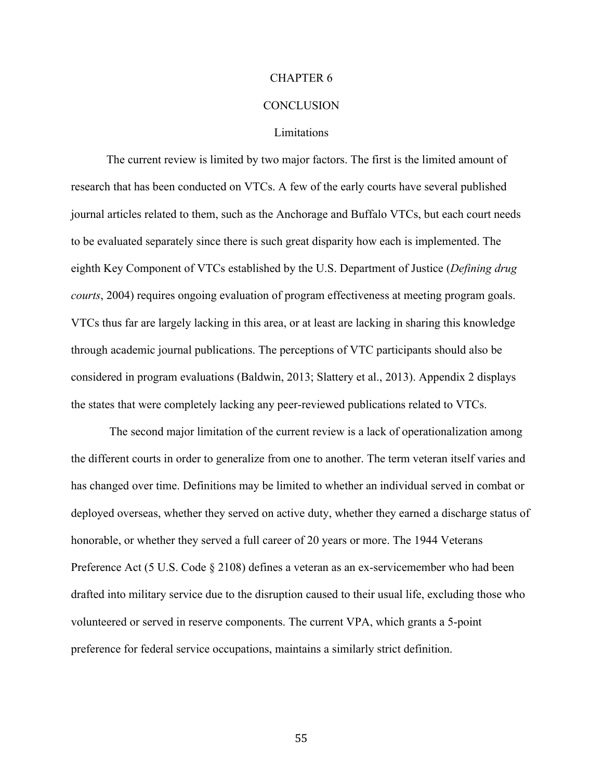#### CHAPTER 6

#### **CONCLUSION**

## Limitations

The current review is limited by two major factors. The first is the limited amount of research that has been conducted on VTCs. A few of the early courts have several published journal articles related to them, such as the Anchorage and Buffalo VTCs, but each court needs to be evaluated separately since there is such great disparity how each is implemented. The eighth Key Component of VTCs established by the U.S. Department of Justice (*Defining drug courts*, 2004) requires ongoing evaluation of program effectiveness at meeting program goals. VTCs thus far are largely lacking in this area, or at least are lacking in sharing this knowledge through academic journal publications. The perceptions of VTC participants should also be considered in program evaluations (Baldwin, 2013; Slattery et al., 2013). Appendix 2 displays the states that were completely lacking any peer-reviewed publications related to VTCs.

The second major limitation of the current review is a lack of operationalization among the different courts in order to generalize from one to another. The term veteran itself varies and has changed over time. Definitions may be limited to whether an individual served in combat or deployed overseas, whether they served on active duty, whether they earned a discharge status of honorable, or whether they served a full career of 20 years or more. The 1944 Veterans Preference Act (5 U.S. Code § 2108) defines a veteran as an ex-servicemember who had been drafted into military service due to the disruption caused to their usual life, excluding those who volunteered or served in reserve components. The current VPA, which grants a 5-point preference for federal service occupations, maintains a similarly strict definition.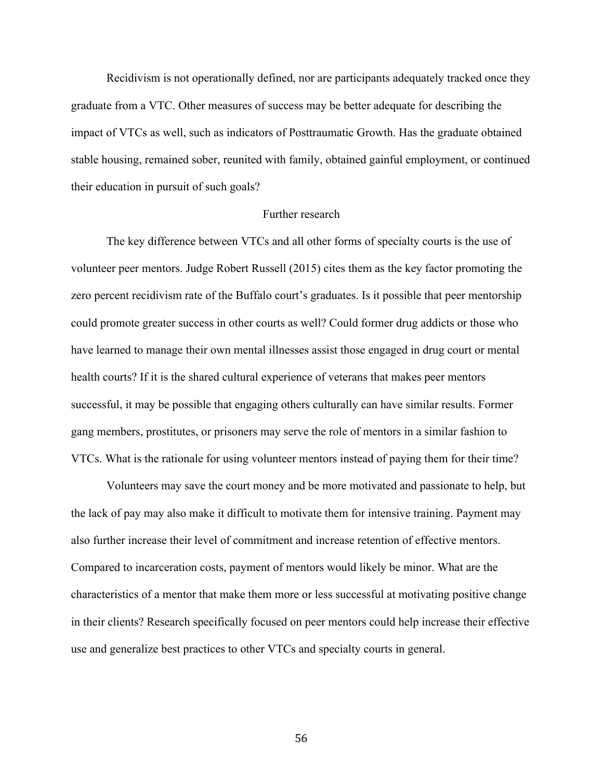Recidivism is not operationally defined, nor are participants adequately tracked once they graduate from a VTC. Other measures of success may be better adequate for describing the impact of VTCs as well, such as indicators of Posttraumatic Growth. Has the graduate obtained stable housing, remained sober, reunited with family, obtained gainful employment, or continued their education in pursuit of such goals?

# Further research

The key difference between VTCs and all other forms of specialty courts is the use of volunteer peer mentors. Judge Robert Russell (2015) cites them as the key factor promoting the zero percent recidivism rate of the Buffalo court's graduates. Is it possible that peer mentorship could promote greater success in other courts as well? Could former drug addicts or those who have learned to manage their own mental illnesses assist those engaged in drug court or mental health courts? If it is the shared cultural experience of veterans that makes peer mentors successful, it may be possible that engaging others culturally can have similar results. Former gang members, prostitutes, or prisoners may serve the role of mentors in a similar fashion to VTCs. What is the rationale for using volunteer mentors instead of paying them for their time?

Volunteers may save the court money and be more motivated and passionate to help, but the lack of pay may also make it difficult to motivate them for intensive training. Payment may also further increase their level of commitment and increase retention of effective mentors. Compared to incarceration costs, payment of mentors would likely be minor. What are the characteristics of a mentor that make them more or less successful at motivating positive change in their clients? Research specifically focused on peer mentors could help increase their effective use and generalize best practices to other VTCs and specialty courts in general.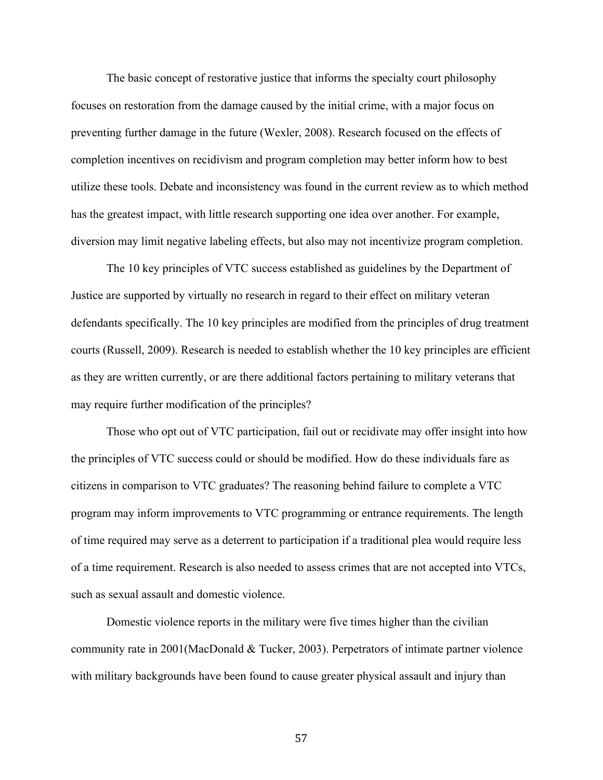The basic concept of restorative justice that informs the specialty court philosophy focuses on restoration from the damage caused by the initial crime, with a major focus on preventing further damage in the future (Wexler, 2008). Research focused on the effects of completion incentives on recidivism and program completion may better inform how to best utilize these tools. Debate and inconsistency was found in the current review as to which method has the greatest impact, with little research supporting one idea over another. For example, diversion may limit negative labeling effects, but also may not incentivize program completion.

The 10 key principles of VTC success established as guidelines by the Department of Justice are supported by virtually no research in regard to their effect on military veteran defendants specifically. The 10 key principles are modified from the principles of drug treatment courts (Russell, 2009). Research is needed to establish whether the 10 key principles are efficient as they are written currently, or are there additional factors pertaining to military veterans that may require further modification of the principles?

Those who opt out of VTC participation, fail out or recidivate may offer insight into how the principles of VTC success could or should be modified. How do these individuals fare as citizens in comparison to VTC graduates? The reasoning behind failure to complete a VTC program may inform improvements to VTC programming or entrance requirements. The length of time required may serve as a deterrent to participation if a traditional plea would require less of a time requirement. Research is also needed to assess crimes that are not accepted into VTCs, such as sexual assault and domestic violence.

Domestic violence reports in the military were five times higher than the civilian community rate in 2001(MacDonald & Tucker, 2003). Perpetrators of intimate partner violence with military backgrounds have been found to cause greater physical assault and injury than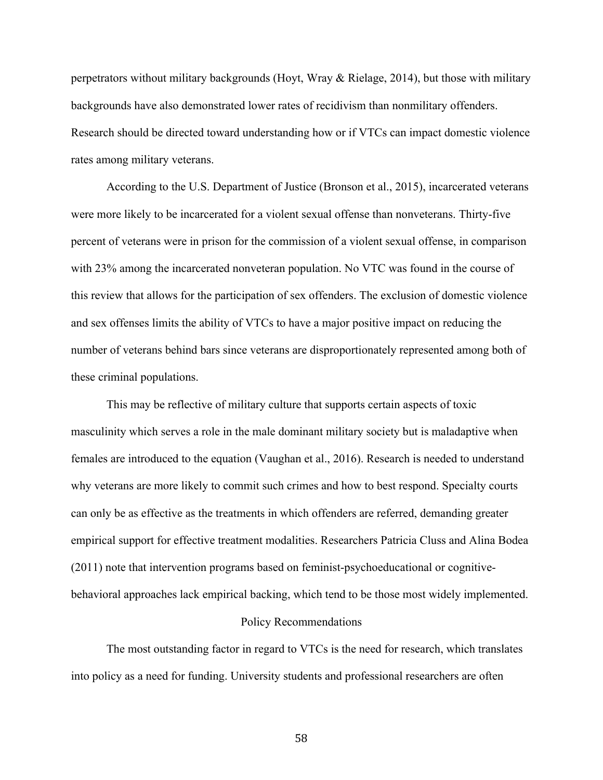perpetrators without military backgrounds (Hoyt, Wray & Rielage, 2014), but those with military backgrounds have also demonstrated lower rates of recidivism than nonmilitary offenders. Research should be directed toward understanding how or if VTCs can impact domestic violence rates among military veterans.

According to the U.S. Department of Justice (Bronson et al., 2015), incarcerated veterans were more likely to be incarcerated for a violent sexual offense than nonveterans. Thirty-five percent of veterans were in prison for the commission of a violent sexual offense, in comparison with 23% among the incarcerated nonveteran population. No VTC was found in the course of this review that allows for the participation of sex offenders. The exclusion of domestic violence and sex offenses limits the ability of VTCs to have a major positive impact on reducing the number of veterans behind bars since veterans are disproportionately represented among both of these criminal populations.

This may be reflective of military culture that supports certain aspects of toxic masculinity which serves a role in the male dominant military society but is maladaptive when females are introduced to the equation (Vaughan et al., 2016). Research is needed to understand why veterans are more likely to commit such crimes and how to best respond. Specialty courts can only be as effective as the treatments in which offenders are referred, demanding greater empirical support for effective treatment modalities. Researchers Patricia Cluss and Alina Bodea (2011) note that intervention programs based on feminist-psychoeducational or cognitivebehavioral approaches lack empirical backing, which tend to be those most widely implemented.

#### Policy Recommendations

The most outstanding factor in regard to VTCs is the need for research, which translates into policy as a need for funding. University students and professional researchers are often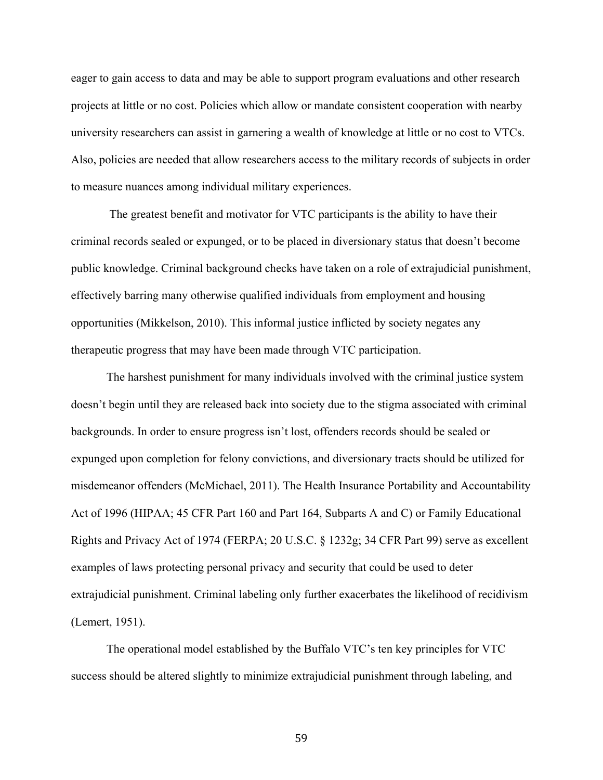eager to gain access to data and may be able to support program evaluations and other research projects at little or no cost. Policies which allow or mandate consistent cooperation with nearby university researchers can assist in garnering a wealth of knowledge at little or no cost to VTCs. Also, policies are needed that allow researchers access to the military records of subjects in order to measure nuances among individual military experiences.

The greatest benefit and motivator for VTC participants is the ability to have their criminal records sealed or expunged, or to be placed in diversionary status that doesn't become public knowledge. Criminal background checks have taken on a role of extrajudicial punishment, effectively barring many otherwise qualified individuals from employment and housing opportunities (Mikkelson, 2010). This informal justice inflicted by society negates any therapeutic progress that may have been made through VTC participation.

The harshest punishment for many individuals involved with the criminal justice system doesn't begin until they are released back into society due to the stigma associated with criminal backgrounds. In order to ensure progress isn't lost, offenders records should be sealed or expunged upon completion for felony convictions, and diversionary tracts should be utilized for misdemeanor offenders (McMichael, 2011). The Health Insurance Portability and Accountability Act of 1996 (HIPAA; 45 CFR Part 160 and Part 164, Subparts A and C) or Family Educational Rights and Privacy Act of 1974 (FERPA; 20 U.S.C. § 1232g; 34 CFR Part 99) serve as excellent examples of laws protecting personal privacy and security that could be used to deter extrajudicial punishment. Criminal labeling only further exacerbates the likelihood of recidivism (Lemert, 1951).

The operational model established by the Buffalo VTC's ten key principles for VTC success should be altered slightly to minimize extrajudicial punishment through labeling, and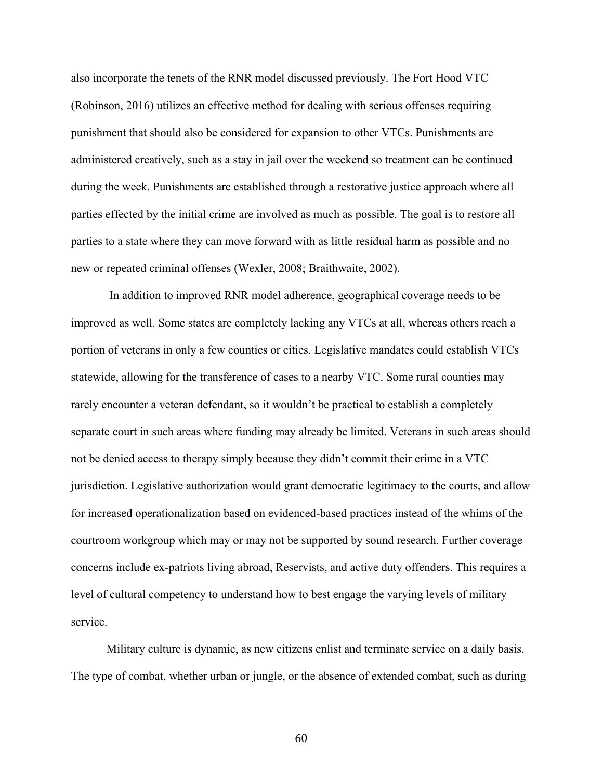also incorporate the tenets of the RNR model discussed previously. The Fort Hood VTC (Robinson, 2016) utilizes an effective method for dealing with serious offenses requiring punishment that should also be considered for expansion to other VTCs. Punishments are administered creatively, such as a stay in jail over the weekend so treatment can be continued during the week. Punishments are established through a restorative justice approach where all parties effected by the initial crime are involved as much as possible. The goal is to restore all parties to a state where they can move forward with as little residual harm as possible and no new or repeated criminal offenses (Wexler, 2008; Braithwaite, 2002).

In addition to improved RNR model adherence, geographical coverage needs to be improved as well. Some states are completely lacking any VTCs at all, whereas others reach a portion of veterans in only a few counties or cities. Legislative mandates could establish VTCs statewide, allowing for the transference of cases to a nearby VTC. Some rural counties may rarely encounter a veteran defendant, so it wouldn't be practical to establish a completely separate court in such areas where funding may already be limited. Veterans in such areas should not be denied access to therapy simply because they didn't commit their crime in a VTC jurisdiction. Legislative authorization would grant democratic legitimacy to the courts, and allow for increased operationalization based on evidenced-based practices instead of the whims of the courtroom workgroup which may or may not be supported by sound research. Further coverage concerns include ex-patriots living abroad, Reservists, and active duty offenders. This requires a level of cultural competency to understand how to best engage the varying levels of military service.

Military culture is dynamic, as new citizens enlist and terminate service on a daily basis. The type of combat, whether urban or jungle, or the absence of extended combat, such as during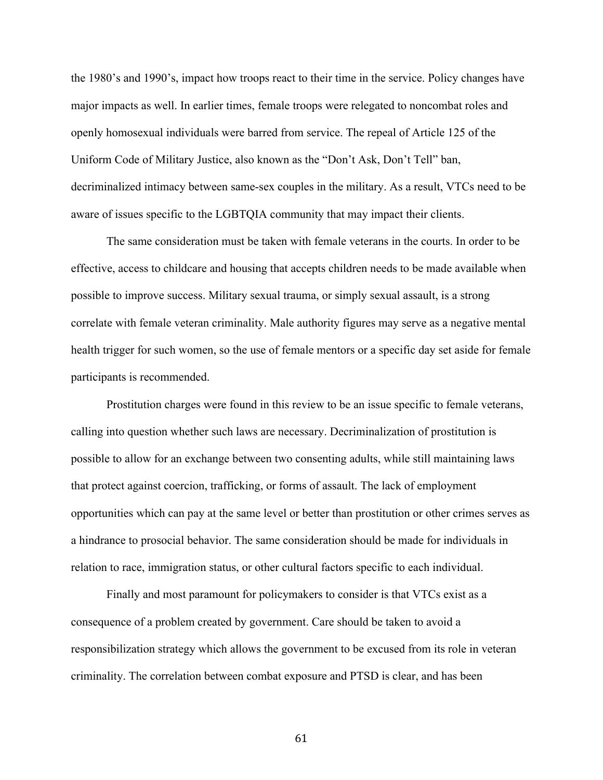the 1980's and 1990's, impact how troops react to their time in the service. Policy changes have major impacts as well. In earlier times, female troops were relegated to noncombat roles and openly homosexual individuals were barred from service. The repeal of Article 125 of the Uniform Code of Military Justice, also known as the "Don't Ask, Don't Tell" ban, decriminalized intimacy between same-sex couples in the military. As a result, VTCs need to be aware of issues specific to the LGBTQIA community that may impact their clients.

The same consideration must be taken with female veterans in the courts. In order to be effective, access to childcare and housing that accepts children needs to be made available when possible to improve success. Military sexual trauma, or simply sexual assault, is a strong correlate with female veteran criminality. Male authority figures may serve as a negative mental health trigger for such women, so the use of female mentors or a specific day set aside for female participants is recommended.

Prostitution charges were found in this review to be an issue specific to female veterans, calling into question whether such laws are necessary. Decriminalization of prostitution is possible to allow for an exchange between two consenting adults, while still maintaining laws that protect against coercion, trafficking, or forms of assault. The lack of employment opportunities which can pay at the same level or better than prostitution or other crimes serves as a hindrance to prosocial behavior. The same consideration should be made for individuals in relation to race, immigration status, or other cultural factors specific to each individual.

Finally and most paramount for policymakers to consider is that VTCs exist as a consequence of a problem created by government. Care should be taken to avoid a responsibilization strategy which allows the government to be excused from its role in veteran criminality. The correlation between combat exposure and PTSD is clear, and has been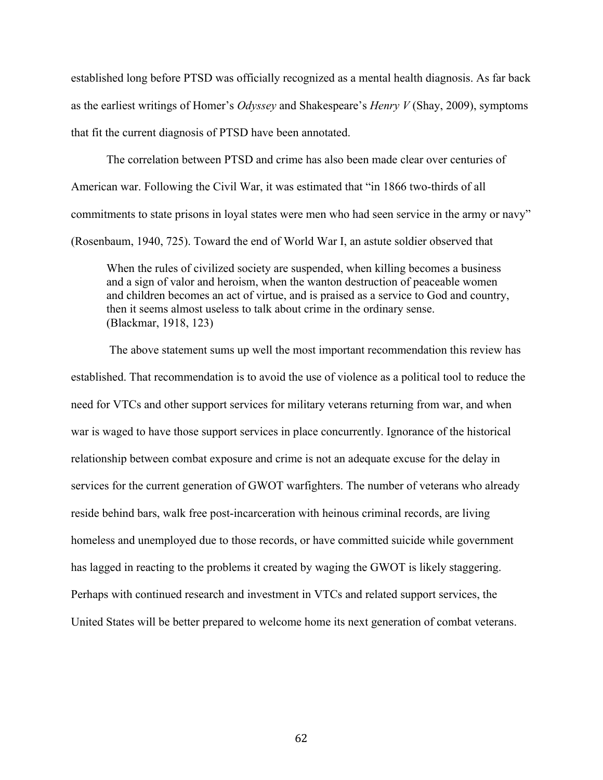established long before PTSD was officially recognized as a mental health diagnosis. As far back as the earliest writings of Homer's *Odyssey* and Shakespeare's *Henry V* (Shay, 2009), symptoms that fit the current diagnosis of PTSD have been annotated.

The correlation between PTSD and crime has also been made clear over centuries of American war. Following the Civil War, it was estimated that "in 1866 two-thirds of all commitments to state prisons in loyal states were men who had seen service in the army or navy" (Rosenbaum, 1940, 725). Toward the end of World War I, an astute soldier observed that

When the rules of civilized society are suspended, when killing becomes a business and a sign of valor and heroism, when the wanton destruction of peaceable women and children becomes an act of virtue, and is praised as a service to God and country, then it seems almost useless to talk about crime in the ordinary sense. (Blackmar, 1918, 123)

The above statement sums up well the most important recommendation this review has established. That recommendation is to avoid the use of violence as a political tool to reduce the need for VTCs and other support services for military veterans returning from war, and when war is waged to have those support services in place concurrently. Ignorance of the historical relationship between combat exposure and crime is not an adequate excuse for the delay in services for the current generation of GWOT warfighters. The number of veterans who already reside behind bars, walk free post-incarceration with heinous criminal records, are living homeless and unemployed due to those records, or have committed suicide while government has lagged in reacting to the problems it created by waging the GWOT is likely staggering. Perhaps with continued research and investment in VTCs and related support services, the United States will be better prepared to welcome home its next generation of combat veterans.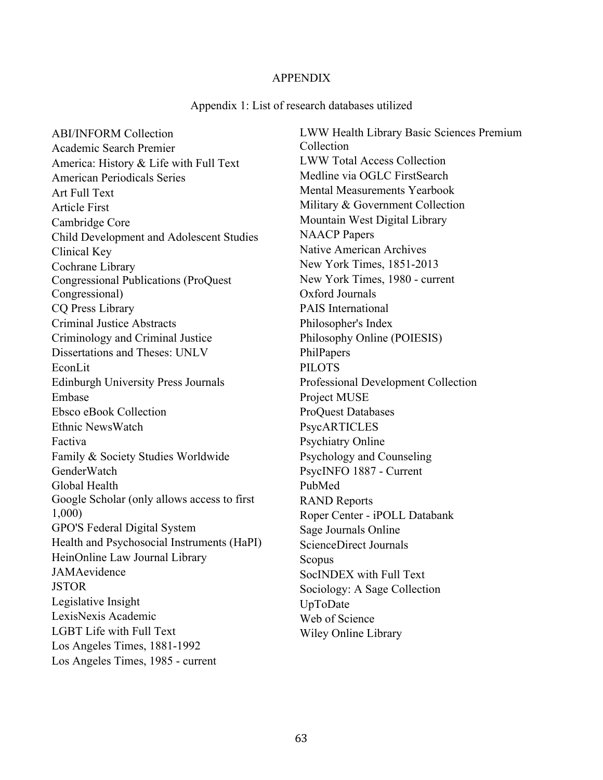## APPENDIX

#### Appendix 1: List of research databases utilized

ABI/INFORM Collection Academic Search Premier America: History & Life with Full Text American Periodicals Series Art Full Text Article First Cambridge Core Child Development and Adolescent Studies Clinical Key Cochrane Library Congressional Publications (ProQuest Congressional) CQ Press Library Criminal Justice Abstracts Criminology and Criminal Justice Dissertations and Theses: UNLV EconLit Edinburgh University Press Journals Embase Ebsco eBook Collection Ethnic NewsWatch Factiva Family & Society Studies Worldwide **GenderWatch** Global Health Google Scholar (only allows access to first 1,000) GPO'S Federal Digital System Health and Psychosocial Instruments (HaPI) HeinOnline Law Journal Library JAMAevidence JSTOR Legislative Insight LexisNexis Academic LGBT Life with Full Text Los Angeles Times, 1881-1992 Los Angeles Times, 1985 - current

LWW Health Library Basic Sciences Premium Collection LWW Total Access Collection Medline via OGLC FirstSearch Mental Measurements Yearbook Military & Government Collection Mountain West Digital Library NAACP Papers Native American Archives New York Times, 1851-2013 New York Times, 1980 - current Oxford Journals PAIS International Philosopher's Index Philosophy Online (POIESIS) PhilPapers PILOTS Professional Development Collection Project MUSE ProQuest Databases PsycARTICLES Psychiatry Online Psychology and Counseling PsycINFO 1887 - Current PubMed RAND Reports Roper Center - iPOLL Databank Sage Journals Online ScienceDirect Journals Scopus SocINDEX with Full Text Sociology: A Sage Collection UpToDate Web of Science Wiley Online Library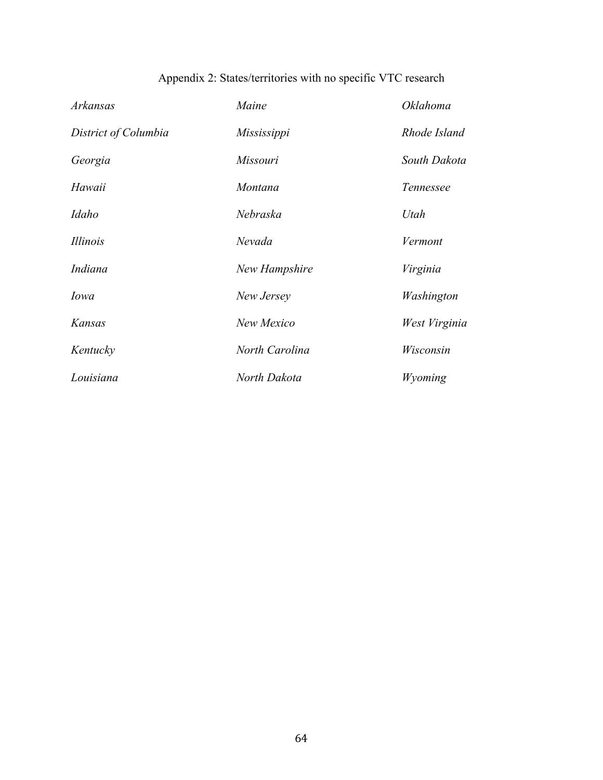| Arkansas             | Maine          | <i>Oklahoma</i> |
|----------------------|----------------|-----------------|
| District of Columbia | Mississippi    | Rhode Island    |
| Georgia              | Missouri       | South Dakota    |
| Hawaii               | Montana        | Tennessee       |
| Idaho                | Nebraska       | Utah            |
| <i>Illinois</i>      | Nevada         | Vermont         |
| Indiana              | New Hampshire  | Virginia        |
| Iowa                 | New Jersey     | Washington      |
| Kansas               | New Mexico     | West Virginia   |
| Kentucky             | North Carolina | Wisconsin       |
| Louisiana            | North Dakota   | Wyoming         |

# Appendix 2: States/territories with no specific VTC research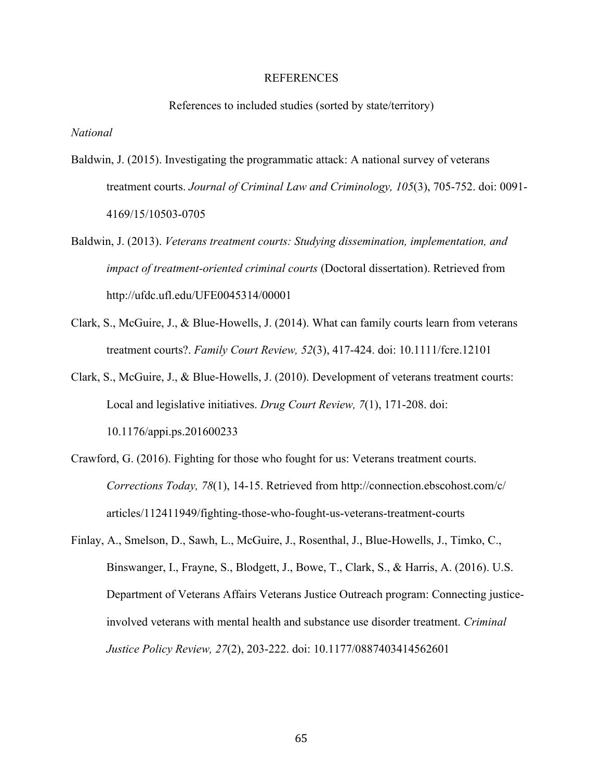#### REFERENCES

References to included studies (sorted by state/territory)

*National*

- Baldwin, J. (2015). Investigating the programmatic attack: A national survey of veterans treatment courts. *Journal of Criminal Law and Criminology, 105*(3), 705-752. doi: 0091- 4169/15/10503-0705
- Baldwin, J. (2013). *Veterans treatment courts: Studying dissemination, implementation, and impact of treatment-oriented criminal courts* (Doctoral dissertation). Retrieved from http://ufdc.ufl.edu/UFE0045314/00001
- Clark, S., McGuire, J., & Blue-Howells, J. (2014). What can family courts learn from veterans treatment courts?. *Family Court Review, 52*(3), 417-424. doi: 10.1111/fcre.12101
- Clark, S., McGuire, J., & Blue-Howells, J. (2010). Development of veterans treatment courts: Local and legislative initiatives. *Drug Court Review, 7*(1), 171-208. doi: 10.1176/appi.ps.201600233
- Crawford, G. (2016). Fighting for those who fought for us: Veterans treatment courts. *Corrections Today, 78*(1), 14-15. Retrieved from http://connection.ebscohost.com/c/ articles/112411949/fighting-those-who-fought-us-veterans-treatment-courts
- Finlay, A., Smelson, D., Sawh, L., McGuire, J., Rosenthal, J., Blue-Howells, J., Timko, C., Binswanger, I., Frayne, S., Blodgett, J., Bowe, T., Clark, S., & Harris, A. (2016). U.S. Department of Veterans Affairs Veterans Justice Outreach program: Connecting justiceinvolved veterans with mental health and substance use disorder treatment. *Criminal Justice Policy Review, 27*(2), 203-222. doi: 10.1177/0887403414562601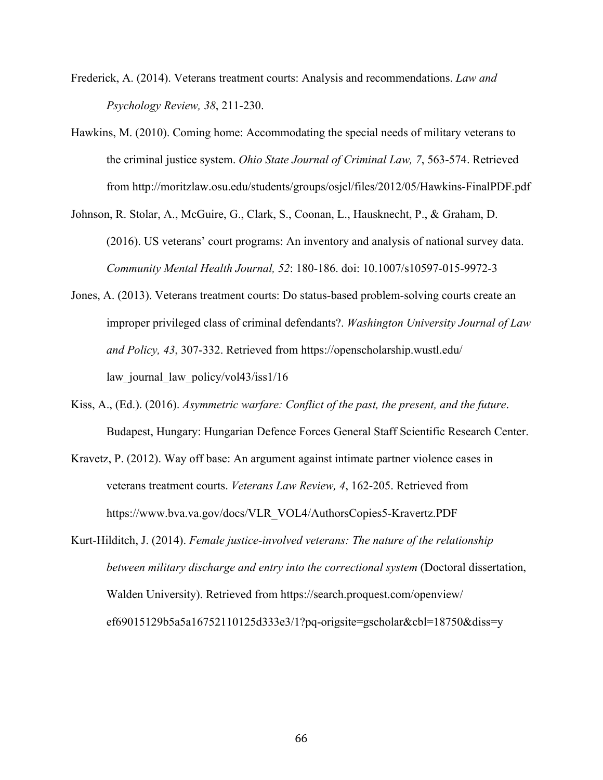- Frederick, A. (2014). Veterans treatment courts: Analysis and recommendations. *Law and Psychology Review, 38*, 211-230.
- Hawkins, M. (2010). Coming home: Accommodating the special needs of military veterans to the criminal justice system. *Ohio State Journal of Criminal Law, 7*, 563-574. Retrieved from http://moritzlaw.osu.edu/students/groups/osjcl/files/2012/05/Hawkins-FinalPDF.pdf
- Johnson, R. Stolar, A., McGuire, G., Clark, S., Coonan, L., Hausknecht, P., & Graham, D. (2016). US veterans' court programs: An inventory and analysis of national survey data. *Community Mental Health Journal, 52*: 180-186. doi: 10.1007/s10597-015-9972-3
- Jones, A. (2013). Veterans treatment courts: Do status-based problem-solving courts create an improper privileged class of criminal defendants?. *Washington University Journal of Law and Policy, 43*, 307-332. Retrieved from https://openscholarship.wustl.edu/ law journal law policy/vol43/iss1/16
- Kiss, A., (Ed.). (2016). *Asymmetric warfare: Conflict of the past, the present, and the future*. Budapest, Hungary: Hungarian Defence Forces General Staff Scientific Research Center.
- Kravetz, P. (2012). Way off base: An argument against intimate partner violence cases in veterans treatment courts. *Veterans Law Review, 4*, 162-205. Retrieved from https://www.bva.va.gov/docs/VLR\_VOL4/AuthorsCopies5-Kravertz.PDF
- Kurt-Hilditch, J. (2014). *Female justice-involved veterans: The nature of the relationship between military discharge and entry into the correctional system* (Doctoral dissertation, Walden University). Retrieved from https://search.proquest.com/openview/ ef69015129b5a5a16752110125d333e3/1?pq-origsite=gscholar&cbl=18750&diss=y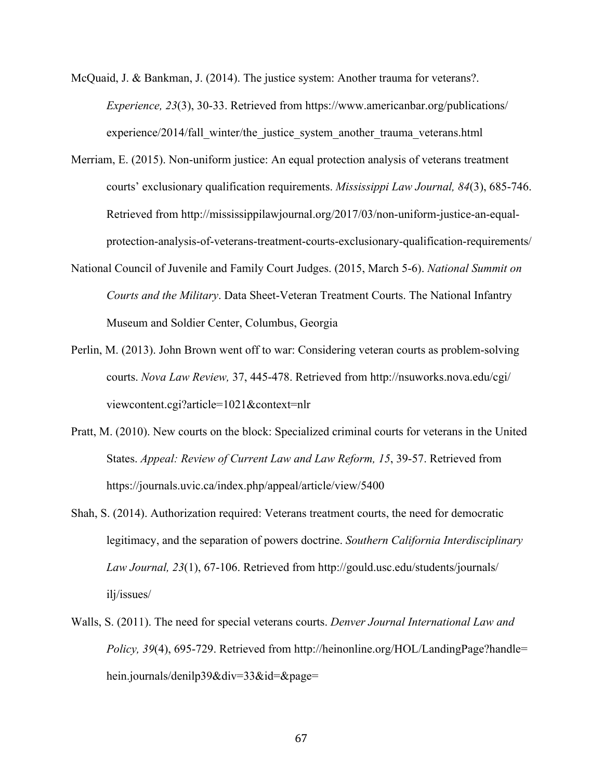- McQuaid, J. & Bankman, J. (2014). The justice system: Another trauma for veterans?. *Experience, 23*(3), 30-33. Retrieved from https://www.americanbar.org/publications/ experience/2014/fall\_winter/the\_justice\_system\_another\_trauma\_veterans.html
- Merriam, E. (2015). Non-uniform justice: An equal protection analysis of veterans treatment courts' exclusionary qualification requirements. *Mississippi Law Journal, 84*(3), 685-746. Retrieved from http://mississippilawjournal.org/2017/03/non-uniform-justice-an-equalprotection-analysis-of-veterans-treatment-courts-exclusionary-qualification-requirements/
- National Council of Juvenile and Family Court Judges. (2015, March 5-6). *National Summit on Courts and the Military*. Data Sheet-Veteran Treatment Courts. The National Infantry Museum and Soldier Center, Columbus, Georgia
- Perlin, M. (2013). John Brown went off to war: Considering veteran courts as problem-solving courts. *Nova Law Review,* 37, 445-478. Retrieved from http://nsuworks.nova.edu/cgi/ viewcontent.cgi?article=1021&context=nlr
- Pratt, M. (2010). New courts on the block: Specialized criminal courts for veterans in the United States. *Appeal: Review of Current Law and Law Reform, 15*, 39-57. Retrieved from https://journals.uvic.ca/index.php/appeal/article/view/5400
- Shah, S. (2014). Authorization required: Veterans treatment courts, the need for democratic legitimacy, and the separation of powers doctrine. *Southern California Interdisciplinary Law Journal, 23*(1), 67-106. Retrieved from http://gould.usc.edu/students/journals/ ilj/issues/
- Walls, S. (2011). The need for special veterans courts. *Denver Journal International Law and Policy, 39*(4), 695-729. Retrieved from http://heinonline.org/HOL/LandingPage?handle= hein.journals/denilp39&div=33&id=&page=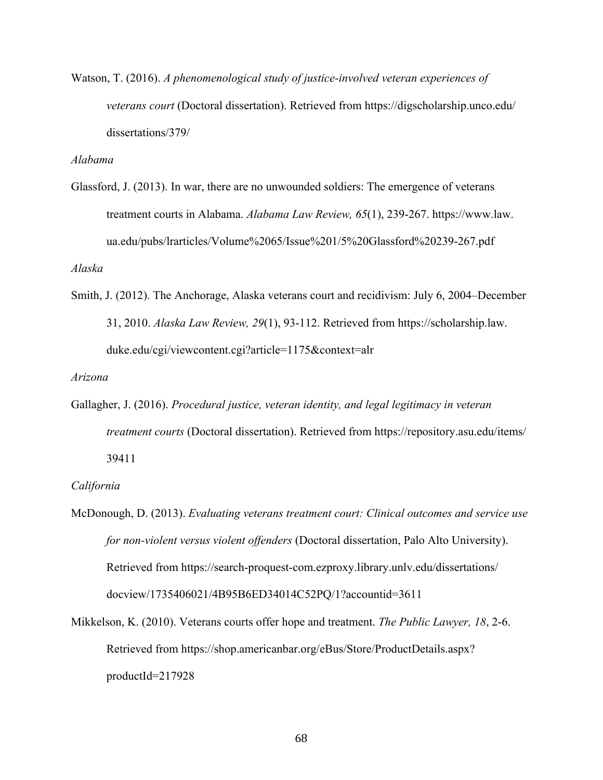Watson, T. (2016). *A phenomenological study of justice-involved veteran experiences of veterans court* (Doctoral dissertation). Retrieved from https://digscholarship.unco.edu/ dissertations/379/

*Alabama*

Glassford, J. (2013). In war, there are no unwounded soldiers: The emergence of veterans treatment courts in Alabama. *Alabama Law Review, 65*(1), 239-267. https://www.law. ua.edu/pubs/lrarticles/Volume%2065/Issue%201/5%20Glassford%20239-267.pdf

*Alaska*

Smith, J. (2012). The Anchorage, Alaska veterans court and recidivism: July 6, 2004–December 31, 2010. *Alaska Law Review, 29*(1), 93-112. Retrieved from https://scholarship.law. duke.edu/cgi/viewcontent.cgi?article=1175&context=alr

*Arizona*

Gallagher, J. (2016). *Procedural justice, veteran identity, and legal legitimacy in veteran treatment courts* (Doctoral dissertation). Retrieved from https://repository.asu.edu/items/ 39411

#### *California*

- McDonough, D. (2013). *Evaluating veterans treatment court: Clinical outcomes and service use for non-violent versus violent offenders* (Doctoral dissertation, Palo Alto University). Retrieved from https://search-proquest-com.ezproxy.library.unlv.edu/dissertations/ docview/1735406021/4B95B6ED34014C52PQ/1?accountid=3611
- Mikkelson, K. (2010). Veterans courts offer hope and treatment. *The Public Lawyer, 18*, 2-6. Retrieved from https://shop.americanbar.org/eBus/Store/ProductDetails.aspx? productId=217928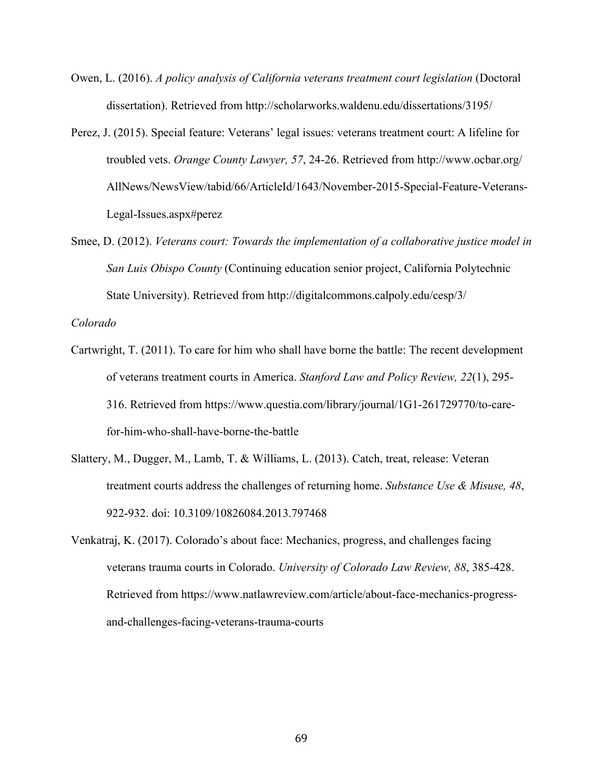- Owen, L. (2016). *A policy analysis of California veterans treatment court legislation* (Doctoral dissertation). Retrieved from http://scholarworks.waldenu.edu/dissertations/3195/
- Perez, J. (2015). Special feature: Veterans' legal issues: veterans treatment court: A lifeline for troubled vets. *Orange County Lawyer, 57*, 24-26. Retrieved from http://www.ocbar.org/ AllNews/NewsView/tabid/66/ArticleId/1643/November-2015-Special-Feature-Veterans-Legal-Issues.aspx#perez
- Smee, D. (2012). *Veterans court: Towards the implementation of a collaborative justice model in San Luis Obispo County* (Continuing education senior project, California Polytechnic State University). Retrieved from http://digitalcommons.calpoly.edu/cesp/3/

*Colorado*

- Cartwright, T. (2011). To care for him who shall have borne the battle: The recent development of veterans treatment courts in America. *Stanford Law and Policy Review, 22*(1), 295- 316. Retrieved from https://www.questia.com/library/journal/1G1-261729770/to-carefor-him-who-shall-have-borne-the-battle
- Slattery, M., Dugger, M., Lamb, T. & Williams, L. (2013). Catch, treat, release: Veteran treatment courts address the challenges of returning home. *Substance Use & Misuse, 48*, 922-932. doi: 10.3109/10826084.2013.797468
- Venkatraj, K. (2017). Colorado's about face: Mechanics, progress, and challenges facing veterans trauma courts in Colorado. *University of Colorado Law Review, 88*, 385-428. Retrieved from https://www.natlawreview.com/article/about-face-mechanics-progressand-challenges-facing-veterans-trauma-courts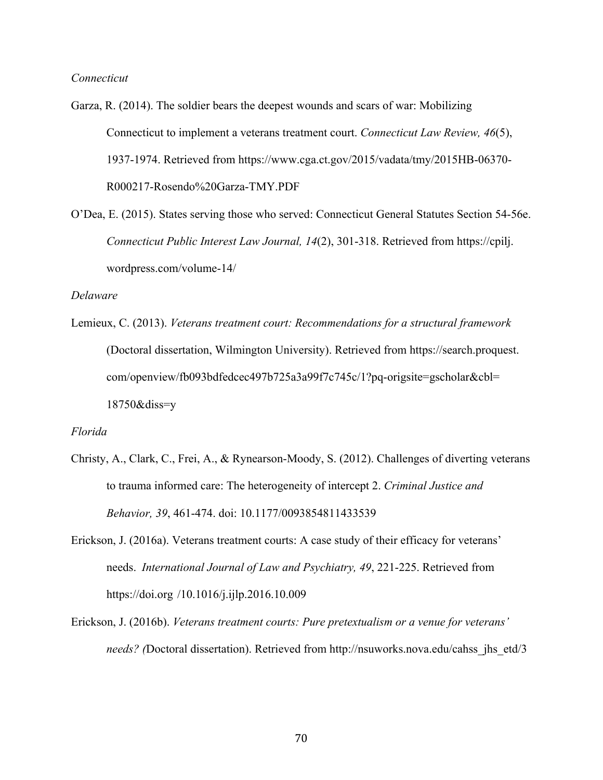### *Connecticut*

Garza, R. (2014). The soldier bears the deepest wounds and scars of war: Mobilizing Connecticut to implement a veterans treatment court. *Connecticut Law Review, 46*(5), 1937-1974. Retrieved from https://www.cga.ct.gov/2015/vadata/tmy/2015HB-06370- R000217-Rosendo%20Garza-TMY.PDF

O'Dea, E. (2015). States serving those who served: Connecticut General Statutes Section 54-56e. *Connecticut Public Interest Law Journal, 14*(2), 301-318. Retrieved from https://cpilj. wordpress.com/volume-14/

## *Delaware*

Lemieux, C. (2013). *Veterans treatment court: Recommendations for a structural framework* (Doctoral dissertation, Wilmington University). Retrieved from https://search.proquest. com/openview/fb093bdfedcec497b725a3a99f7c745c/1?pq-origsite=gscholar&cbl= 18750&diss=y

#### *Florida*

- Christy, A., Clark, C., Frei, A., & Rynearson-Moody, S. (2012). Challenges of diverting veterans to trauma informed care: The heterogeneity of intercept 2. *Criminal Justice and Behavior, 39*, 461-474. doi: 10.1177/0093854811433539
- Erickson, J. (2016a). Veterans treatment courts: A case study of their efficacy for veterans' needs. *International Journal of Law and Psychiatry, 49*, 221-225. Retrieved from https://doi.org /10.1016/j.ijlp.2016.10.009
- Erickson, J. (2016b). *Veterans treatment courts: Pure pretextualism or a venue for veterans' needs? (*Doctoral dissertation). Retrieved from http://nsuworks.nova.edu/cahss\_jhs\_etd/3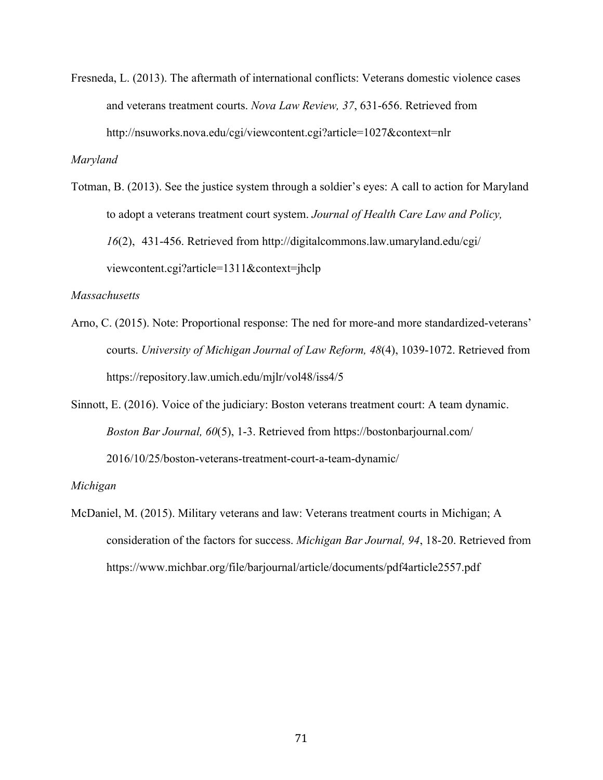Fresneda, L. (2013). The aftermath of international conflicts: Veterans domestic violence cases and veterans treatment courts. *Nova Law Review, 37*, 631-656. Retrieved from http://nsuworks.nova.edu/cgi/viewcontent.cgi?article=1027&context=nlr

*Maryland*

Totman, B. (2013). See the justice system through a soldier's eyes: A call to action for Maryland to adopt a veterans treatment court system. *Journal of Health Care Law and Policy, 16*(2), 431-456. Retrieved from http://digitalcommons.law.umaryland.edu/cgi/ viewcontent.cgi?article=1311&context=jhclp

# *Massachusetts*

- Arno, C. (2015). Note: Proportional response: The ned for more-and more standardized-veterans' courts. *University of Michigan Journal of Law Reform, 48*(4), 1039-1072. Retrieved from https://repository.law.umich.edu/mjlr/vol48/iss4/5
- Sinnott, E. (2016). Voice of the judiciary: Boston veterans treatment court: A team dynamic. *Boston Bar Journal, 60*(5), 1-3. Retrieved from https://bostonbarjournal.com/ 2016/10/25/boston-veterans-treatment-court-a-team-dynamic/

#### *Michigan*

McDaniel, M. (2015). Military veterans and law: Veterans treatment courts in Michigan; A consideration of the factors for success. *Michigan Bar Journal, 94*, 18-20. Retrieved from https://www.michbar.org/file/barjournal/article/documents/pdf4article2557.pdf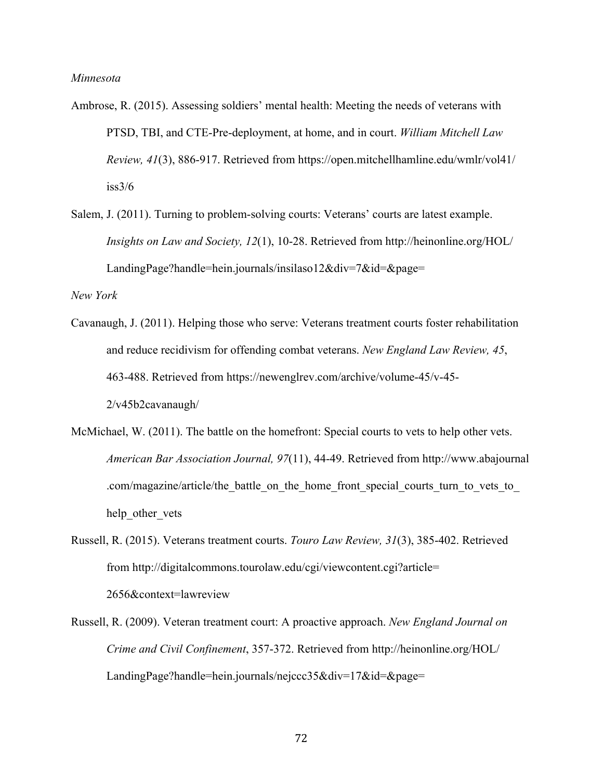### *Minnesota*

- Ambrose, R. (2015). Assessing soldiers' mental health: Meeting the needs of veterans with PTSD, TBI, and CTE-Pre-deployment, at home, and in court. *William Mitchell Law Review, 41*(3), 886-917. Retrieved from https://open.mitchellhamline.edu/wmlr/vol41/  $iss3/6$
- Salem, J. (2011). Turning to problem-solving courts: Veterans' courts are latest example. *Insights on Law and Society, 12*(1), 10-28. Retrieved from http://heinonline.org/HOL/ LandingPage?handle=hein.journals/insilaso12&div=7&id=&page=

*New York*

- Cavanaugh, J. (2011). Helping those who serve: Veterans treatment courts foster rehabilitation and reduce recidivism for offending combat veterans. *New England Law Review, 45*, 463-488. Retrieved from https://newenglrev.com/archive/volume-45/v-45- 2/v45b2cavanaugh/
- McMichael, W. (2011). The battle on the homefront: Special courts to vets to help other vets. *American Bar Association Journal, 97*(11), 44-49. Retrieved from http://www.abajournal .com/magazine/article/the\_battle\_on\_the\_home\_front\_special\_courts\_turn\_to\_vets\_to help other vets
- Russell, R. (2015). Veterans treatment courts. *Touro Law Review, 31*(3), 385-402. Retrieved from http://digitalcommons.tourolaw.edu/cgi/viewcontent.cgi?article= 2656&context=lawreview
- Russell, R. (2009). Veteran treatment court: A proactive approach. *New England Journal on Crime and Civil Confinement*, 357-372. Retrieved from http://heinonline.org/HOL/ LandingPage?handle=hein.journals/nejccc35&div=17&id=&page=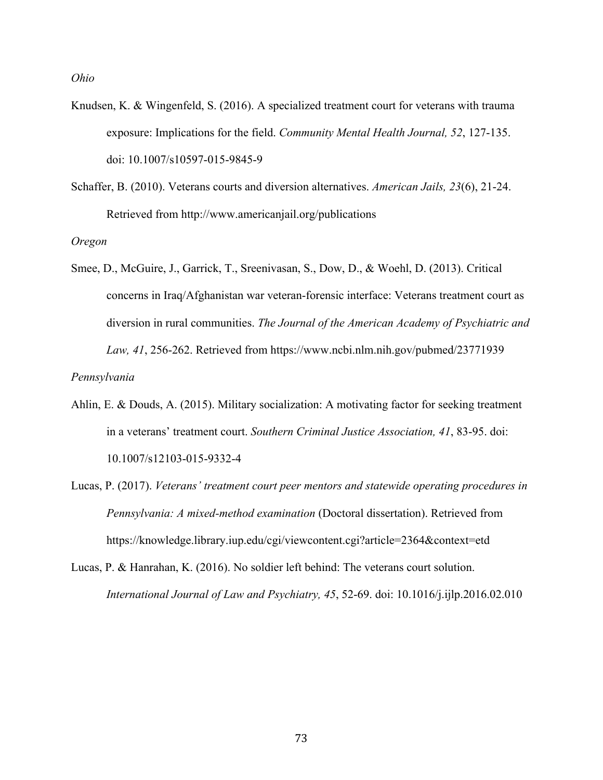*Ohio*

- Knudsen, K. & Wingenfeld, S. (2016). A specialized treatment court for veterans with trauma exposure: Implications for the field. *Community Mental Health Journal, 52*, 127-135. doi: 10.1007/s10597-015-9845-9
- Schaffer, B. (2010). Veterans courts and diversion alternatives. *American Jails, 23*(6), 21-24. Retrieved from http://www.americanjail.org/publications

*Oregon*

Smee, D., McGuire, J., Garrick, T., Sreenivasan, S., Dow, D., & Woehl, D. (2013). Critical concerns in Iraq/Afghanistan war veteran-forensic interface: Veterans treatment court as diversion in rural communities. *The Journal of the American Academy of Psychiatric and Law, 41*, 256-262. Retrieved from https://www.ncbi.nlm.nih.gov/pubmed/23771939

*Pennsylvania*

- Ahlin, E. & Douds, A. (2015). Military socialization: A motivating factor for seeking treatment in a veterans' treatment court. *Southern Criminal Justice Association, 41*, 83-95. doi: 10.1007/s12103-015-9332-4
- Lucas, P. (2017). *Veterans' treatment court peer mentors and statewide operating procedures in Pennsylvania: A mixed-method examination* (Doctoral dissertation). Retrieved from https://knowledge.library.iup.edu/cgi/viewcontent.cgi?article=2364&context=etd
- Lucas, P. & Hanrahan, K. (2016). No soldier left behind: The veterans court solution. *International Journal of Law and Psychiatry, 45*, 52-69. doi: 10.1016/j.ijlp.2016.02.010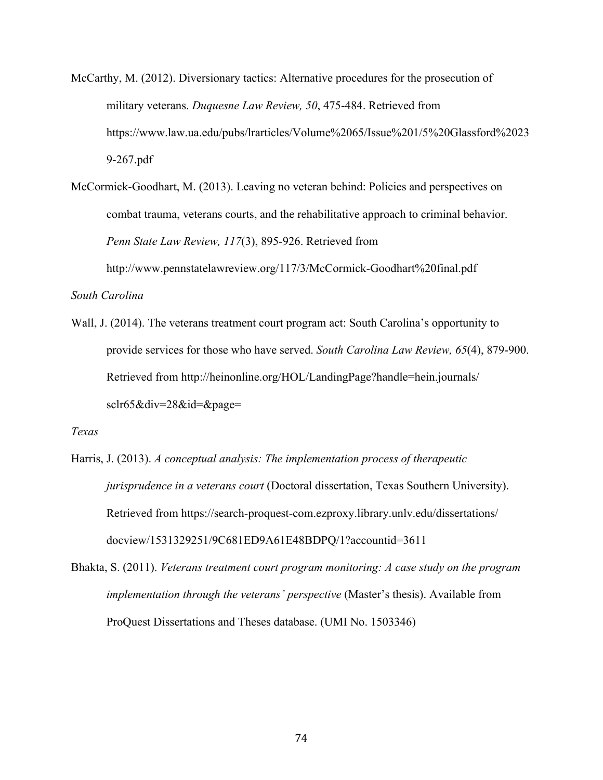- McCarthy, M. (2012). Diversionary tactics: Alternative procedures for the prosecution of military veterans. *Duquesne Law Review, 50*, 475-484. Retrieved from https://www.law.ua.edu/pubs/lrarticles/Volume%2065/Issue%201/5%20Glassford%2023 9-267.pdf
- McCormick-Goodhart, M. (2013). Leaving no veteran behind: Policies and perspectives on combat trauma, veterans courts, and the rehabilitative approach to criminal behavior. *Penn State Law Review, 117*(3), 895-926. Retrieved from http://www.pennstatelawreview.org/117/3/McCormick-Goodhart%20final.pdf

*South Carolina*

Wall, J. (2014). The veterans treatment court program act: South Carolina's opportunity to provide services for those who have served. *South Carolina Law Review, 65*(4), 879-900. Retrieved from http://heinonline.org/HOL/LandingPage?handle=hein.journals/ sclr65&div=28&id=&page=

*Texas*

- Harris, J. (2013). *A conceptual analysis: The implementation process of therapeutic jurisprudence in a veterans court* (Doctoral dissertation, Texas Southern University). Retrieved from https://search-proquest-com.ezproxy.library.unlv.edu/dissertations/ docview/1531329251/9C681ED9A61E48BDPQ/1?accountid=3611
- Bhakta, S. (2011). *Veterans treatment court program monitoring: A case study on the program implementation through the veterans' perspective* (Master's thesis). Available from ProQuest Dissertations and Theses database. (UMI No. 1503346)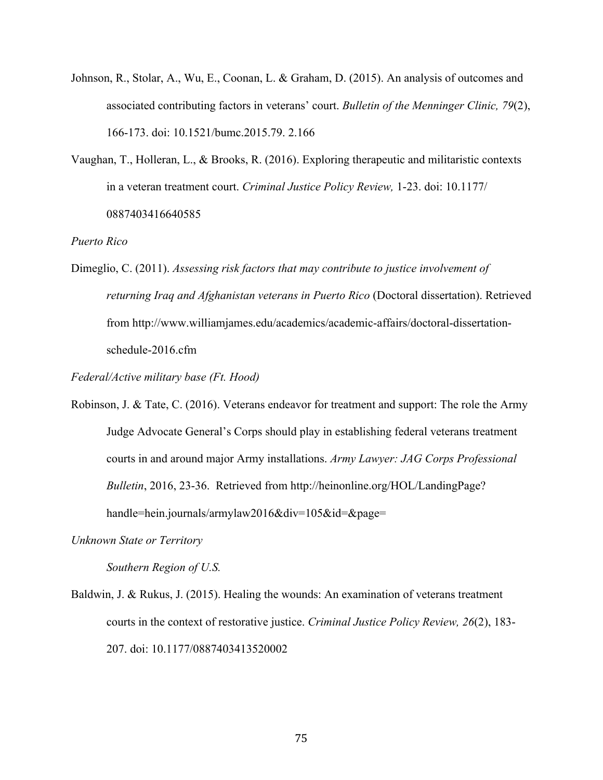- Johnson, R., Stolar, A., Wu, E., Coonan, L. & Graham, D. (2015). An analysis of outcomes and associated contributing factors in veterans' court. *Bulletin of the Menninger Clinic, 79*(2), 166-173. doi: 10.1521/bumc.2015.79. 2.166
- Vaughan, T., Holleran, L., & Brooks, R. (2016). Exploring therapeutic and militaristic contexts in a veteran treatment court. *Criminal Justice Policy Review,* 1-23. doi: 10.1177/ 0887403416640585

*Puerto Rico*

Dimeglio, C. (2011). *Assessing risk factors that may contribute to justice involvement of returning Iraq and Afghanistan veterans in Puerto Rico* (Doctoral dissertation). Retrieved from http://www.williamjames.edu/academics/academic-affairs/doctoral-dissertationschedule-2016.cfm

*Federal/Active military base (Ft. Hood)*

Robinson, J. & Tate, C. (2016). Veterans endeavor for treatment and support: The role the Army Judge Advocate General's Corps should play in establishing federal veterans treatment courts in and around major Army installations. *Army Lawyer: JAG Corps Professional Bulletin*, 2016, 23-36. Retrieved from http://heinonline.org/HOL/LandingPage? handle=hein.journals/armylaw2016&div=105&id=&page=

*Unknown State or Territory*

*Southern Region of U.S.*

Baldwin, J. & Rukus, J. (2015). Healing the wounds: An examination of veterans treatment courts in the context of restorative justice. *Criminal Justice Policy Review, 26*(2), 183- 207. doi: 10.1177/0887403413520002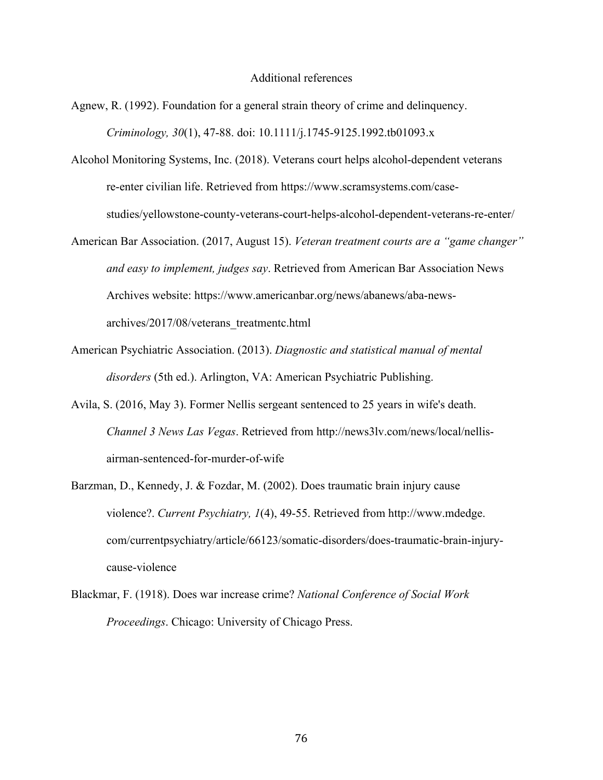#### Additional references

- Agnew, R. (1992). Foundation for a general strain theory of crime and delinquency. *Criminology, 30*(1), 47-88. doi: 10.1111/j.1745-9125.1992.tb01093.x
- Alcohol Monitoring Systems, Inc. (2018). Veterans court helps alcohol-dependent veterans re-enter civilian life. Retrieved from https://www.scramsystems.com/casestudies/yellowstone-county-veterans-court-helps-alcohol-dependent-veterans-re-enter/
- American Bar Association. (2017, August 15). *Veteran treatment courts are a "game changer" and easy to implement, judges say*. Retrieved from American Bar Association News Archives website: https://www.americanbar.org/news/abanews/aba-newsarchives/2017/08/veterans\_treatmentc.html
- American Psychiatric Association. (2013). *Diagnostic and statistical manual of mental disorders* (5th ed.). Arlington, VA: American Psychiatric Publishing.
- Avila, S. (2016, May 3). Former Nellis sergeant sentenced to 25 years in wife's death. *Channel 3 News Las Vegas*. Retrieved from http://news3lv.com/news/local/nellisairman-sentenced-for-murder-of-wife
- Barzman, D., Kennedy, J. & Fozdar, M. (2002). Does traumatic brain injury cause violence?. *Current Psychiatry, 1*(4), 49-55. Retrieved from http://www.mdedge. com/currentpsychiatry/article/66123/somatic-disorders/does-traumatic-brain-injurycause-violence
- Blackmar, F. (1918). Does war increase crime? *National Conference of Social Work Proceedings*. Chicago: University of Chicago Press.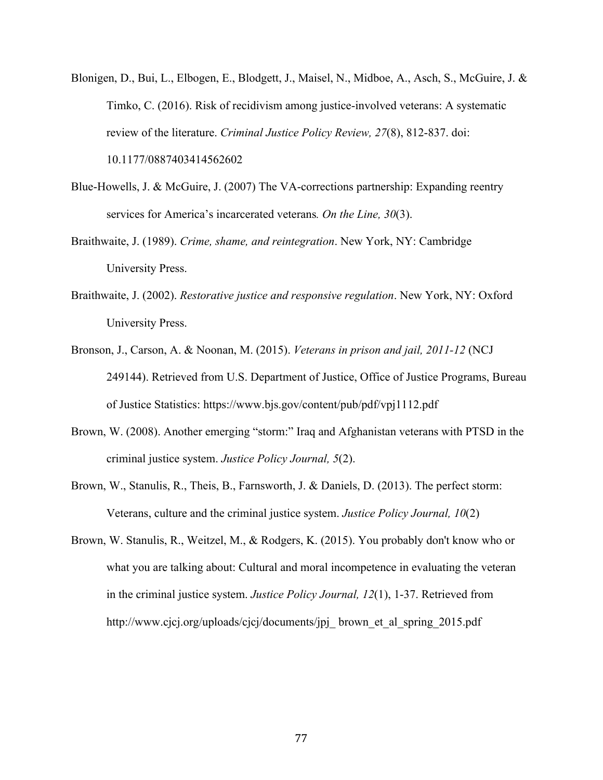- Blonigen, D., Bui, L., Elbogen, E., Blodgett, J., Maisel, N., Midboe, A., Asch, S., McGuire, J. & Timko, C. (2016). Risk of recidivism among justice-involved veterans: A systematic review of the literature. *Criminal Justice Policy Review, 27*(8), 812-837. doi: 10.1177/0887403414562602
- Blue-Howells, J. & McGuire, J. (2007) The VA-corrections partnership: Expanding reentry services for America's incarcerated veterans*. On the Line, 30*(3).
- Braithwaite, J. (1989). *Crime, shame, and reintegration*. New York, NY: Cambridge University Press.
- Braithwaite, J. (2002). *Restorative justice and responsive regulation*. New York, NY: Oxford University Press.
- Bronson, J., Carson, A. & Noonan, M. (2015). *Veterans in prison and jail, 2011-12* (NCJ 249144). Retrieved from U.S. Department of Justice, Office of Justice Programs, Bureau of Justice Statistics: https://www.bjs.gov/content/pub/pdf/vpj1112.pdf
- Brown, W. (2008). Another emerging "storm:" Iraq and Afghanistan veterans with PTSD in the criminal justice system. *Justice Policy Journal, 5*(2).
- Brown, W., Stanulis, R., Theis, B., Farnsworth, J. & Daniels, D. (2013). The perfect storm: Veterans, culture and the criminal justice system. *Justice Policy Journal, 10*(2)
- Brown, W. Stanulis, R., Weitzel, M., & Rodgers, K. (2015). You probably don't know who or what you are talking about: Cultural and moral incompetence in evaluating the veteran in the criminal justice system. *Justice Policy Journal, 12*(1), 1-37. Retrieved from http://www.cjcj.org/uploads/cjcj/documents/jpj\_brown\_et\_al\_spring\_2015.pdf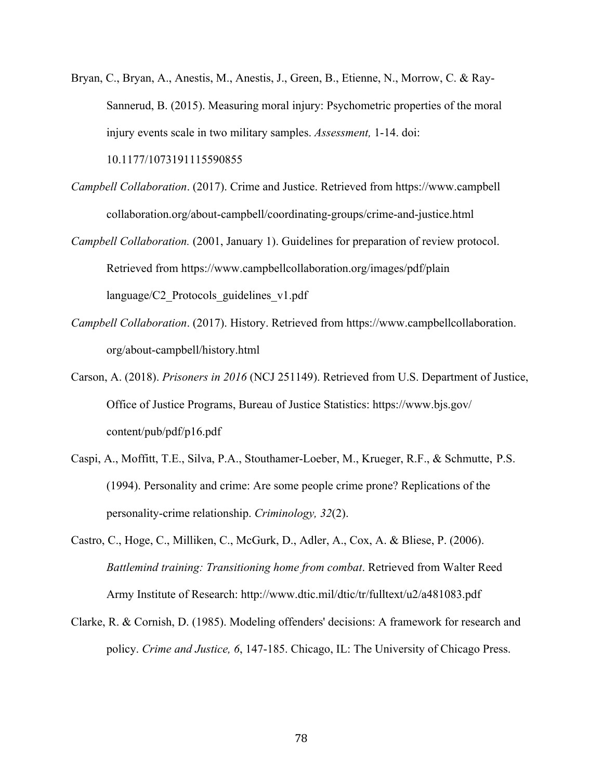- Bryan, C., Bryan, A., Anestis, M., Anestis, J., Green, B., Etienne, N., Morrow, C. & Ray-Sannerud, B. (2015). Measuring moral injury: Psychometric properties of the moral injury events scale in two military samples. *Assessment,* 1-14. doi: 10.1177/1073191115590855
- *Campbell Collaboration*. (2017). Crime and Justice. Retrieved from https://www.campbell collaboration.org/about-campbell/coordinating-groups/crime-and-justice.html
- *Campbell Collaboration.* (2001, January 1). Guidelines for preparation of review protocol. Retrieved from https://www.campbellcollaboration.org/images/pdf/plain language/C2\_Protocols\_guidelines\_v1.pdf
- *Campbell Collaboration*. (2017). History. Retrieved from https://www.campbellcollaboration. org/about-campbell/history.html
- Carson, A. (2018). *Prisoners in 2016* (NCJ 251149). Retrieved from U.S. Department of Justice, Office of Justice Programs, Bureau of Justice Statistics: https://www.bjs.gov/ content/pub/pdf/p16.pdf
- Caspi, A., Moffitt, T.E., Silva, P.A., Stouthamer-Loeber, M., Krueger, R.F., & Schmutte, P.S. (1994). Personality and crime: Are some people crime prone? Replications of the personality-crime relationship. *Criminology, 32*(2).
- Castro, C., Hoge, C., Milliken, C., McGurk, D., Adler, A., Cox, A. & Bliese, P. (2006). *Battlemind training: Transitioning home from combat*. Retrieved from Walter Reed Army Institute of Research: http://www.dtic.mil/dtic/tr/fulltext/u2/a481083.pdf
- Clarke, R. & Cornish, D. (1985). Modeling offenders' decisions: A framework for research and policy. *Crime and Justice, 6*, 147-185. Chicago, IL: The University of Chicago Press.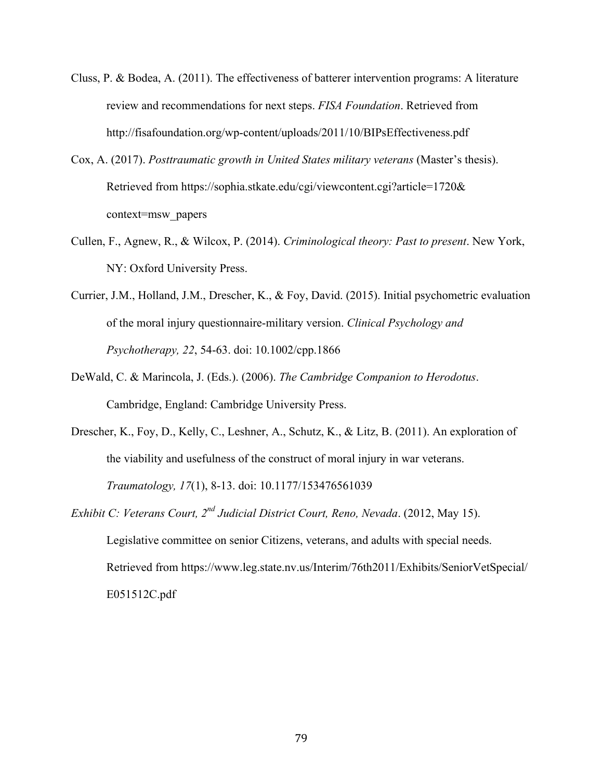- Cluss, P. & Bodea, A. (2011). The effectiveness of batterer intervention programs: A literature review and recommendations for next steps. *FISA Foundation*. Retrieved from http://fisafoundation.org/wp-content/uploads/2011/10/BIPsEffectiveness.pdf
- Cox, A. (2017). *Posttraumatic growth in United States military veterans* (Master's thesis). Retrieved from https://sophia.stkate.edu/cgi/viewcontent.cgi?article=1720& context=msw\_papers
- Cullen, F., Agnew, R., & Wilcox, P. (2014). *Criminological theory: Past to present*. New York, NY: Oxford University Press.
- Currier, J.M., Holland, J.M., Drescher, K., & Foy, David. (2015). Initial psychometric evaluation of the moral injury questionnaire-military version. *Clinical Psychology and Psychotherapy, 22*, 54-63. doi: 10.1002/cpp.1866
- DeWald, C. & Marincola, J. (Eds.). (2006). *The Cambridge Companion to Herodotus*. Cambridge, England: Cambridge University Press.
- Drescher, K., Foy, D., Kelly, C., Leshner, A., Schutz, K., & Litz, B. (2011). An exploration of the viability and usefulness of the construct of moral injury in war veterans. *Traumatology, 17*(1), 8-13. doi: 10.1177/153476561039
- *Exhibit C: Veterans Court, 2nd Judicial District Court, Reno, Nevada*. (2012, May 15). Legislative committee on senior Citizens, veterans, and adults with special needs. Retrieved from https://www.leg.state.nv.us/Interim/76th2011/Exhibits/SeniorVetSpecial/ E051512C.pdf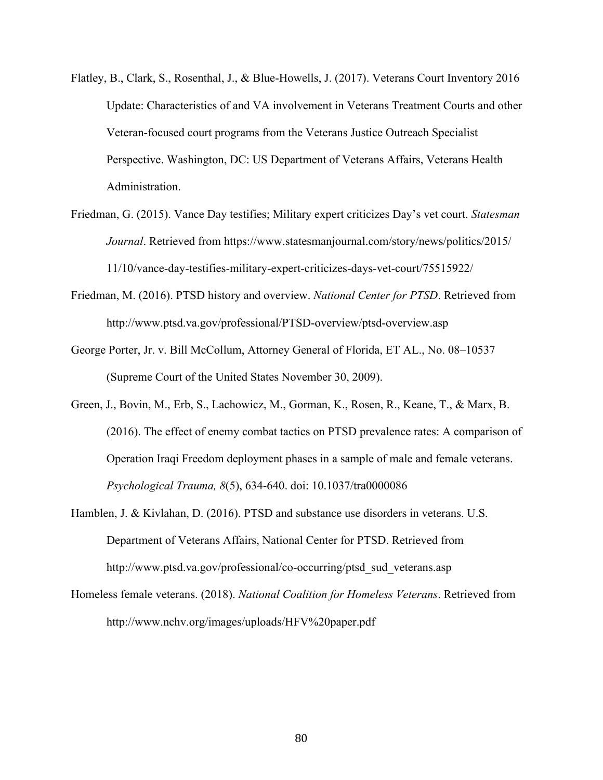- Flatley, B., Clark, S., Rosenthal, J., & Blue-Howells, J. (2017). Veterans Court Inventory 2016 Update: Characteristics of and VA involvement in Veterans Treatment Courts and other Veteran-focused court programs from the Veterans Justice Outreach Specialist Perspective. Washington, DC: US Department of Veterans Affairs, Veterans Health Administration.
- Friedman, G. (2015). Vance Day testifies; Military expert criticizes Day's vet court. *Statesman Journal*. Retrieved from https://www.statesmanjournal.com/story/news/politics/2015/ 11/10/vance-day-testifies-military-expert-criticizes-days-vet-court/75515922/
- Friedman, M. (2016). PTSD history and overview. *National Center for PTSD*. Retrieved from http://www.ptsd.va.gov/professional/PTSD-overview/ptsd-overview.asp
- George Porter, Jr. v. Bill McCollum, Attorney General of Florida, ET AL., No. 08–10537 (Supreme Court of the United States November 30, 2009).
- Green, J., Bovin, M., Erb, S., Lachowicz, M., Gorman, K., Rosen, R., Keane, T., & Marx, B. (2016). The effect of enemy combat tactics on PTSD prevalence rates: A comparison of Operation Iraqi Freedom deployment phases in a sample of male and female veterans. *Psychological Trauma, 8*(5), 634-640. doi: 10.1037/tra0000086
- Hamblen, J. & Kivlahan, D. (2016). PTSD and substance use disorders in veterans. U.S. Department of Veterans Affairs, National Center for PTSD. Retrieved from http://www.ptsd.va.gov/professional/co-occurring/ptsd\_sud\_veterans.asp
- Homeless female veterans. (2018). *National Coalition for Homeless Veterans*. Retrieved from http://www.nchv.org/images/uploads/HFV%20paper.pdf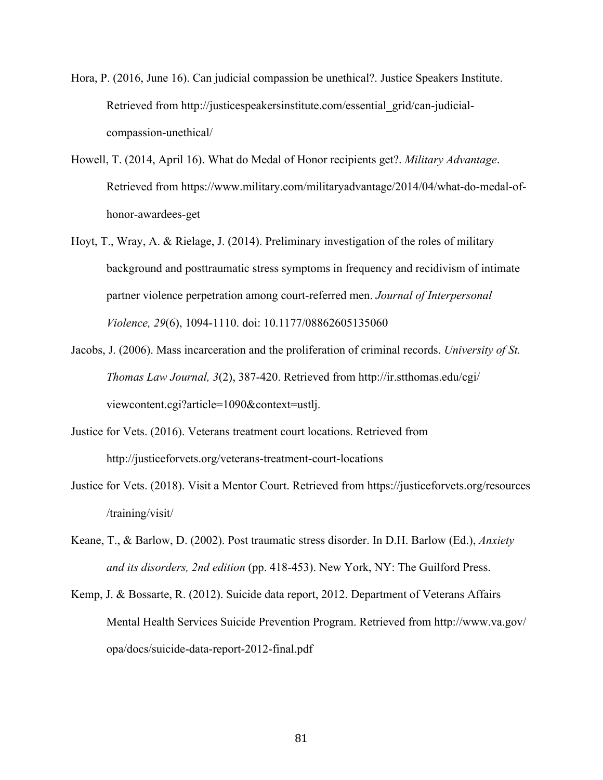- Hora, P. (2016, June 16). Can judicial compassion be unethical?. Justice Speakers Institute. Retrieved from http://justicespeakersinstitute.com/essential\_grid/can-judicialcompassion-unethical/
- Howell, T. (2014, April 16). What do Medal of Honor recipients get?. *Military Advantage*. Retrieved from https://www.military.com/militaryadvantage/2014/04/what-do-medal-ofhonor-awardees-get
- Hoyt, T., Wray, A. & Rielage, J. (2014). Preliminary investigation of the roles of military background and posttraumatic stress symptoms in frequency and recidivism of intimate partner violence perpetration among court-referred men. *Journal of Interpersonal Violence, 29*(6), 1094-1110. doi: 10.1177/08862605135060
- Jacobs, J. (2006). Mass incarceration and the proliferation of criminal records. *University of St. Thomas Law Journal, 3*(2), 387-420. Retrieved from http://ir.stthomas.edu/cgi/ viewcontent.cgi?article=1090&context=ustlj.
- Justice for Vets. (2016). Veterans treatment court locations. Retrieved from http://justiceforvets.org/veterans-treatment-court-locations
- Justice for Vets. (2018). Visit a Mentor Court. Retrieved from https://justiceforvets.org/resources /training/visit/
- Keane, T., & Barlow, D. (2002). Post traumatic stress disorder. In D.H. Barlow (Ed.), *Anxiety and its disorders, 2nd edition* (pp. 418-453). New York, NY: The Guilford Press.
- Kemp, J. & Bossarte, R. (2012). Suicide data report, 2012. Department of Veterans Affairs Mental Health Services Suicide Prevention Program. Retrieved from http://www.va.gov/ opa/docs/suicide-data-report-2012-final.pdf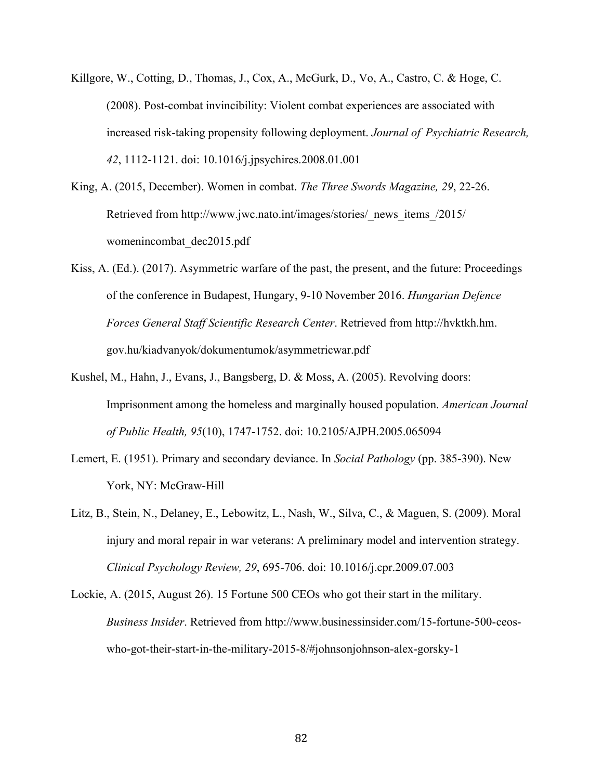- Killgore, W., Cotting, D., Thomas, J., Cox, A., McGurk, D., Vo, A., Castro, C. & Hoge, C. (2008). Post-combat invincibility: Violent combat experiences are associated with increased risk-taking propensity following deployment. *Journal of Psychiatric Research, 42*, 1112-1121. doi: 10.1016/j.jpsychires.2008.01.001
- King, A. (2015, December). Women in combat. *The Three Swords Magazine, 29*, 22-26. Retrieved from http://www.jwc.nato.int/images/stories/\_news\_items\_/2015/ womenincombat\_dec2015.pdf
- Kiss, A. (Ed.). (2017). Asymmetric warfare of the past, the present, and the future: Proceedings of the conference in Budapest, Hungary, 9-10 November 2016. *Hungarian Defence Forces General Staff Scientific Research Center*. Retrieved from http://hvktkh.hm. gov.hu/kiadvanyok/dokumentumok/asymmetricwar.pdf
- Kushel, M., Hahn, J., Evans, J., Bangsberg, D. & Moss, A. (2005). Revolving doors: Imprisonment among the homeless and marginally housed population. *American Journal of Public Health, 95*(10), 1747-1752. doi: 10.2105/AJPH.2005.065094
- Lemert, E. (1951). Primary and secondary deviance. In *Social Pathology* (pp. 385-390). New York, NY: McGraw-Hill
- Litz, B., Stein, N., Delaney, E., Lebowitz, L., Nash, W., Silva, C., & Maguen, S. (2009). Moral injury and moral repair in war veterans: A preliminary model and intervention strategy. *Clinical Psychology Review, 29*, 695-706. doi: 10.1016/j.cpr.2009.07.003
- Lockie, A. (2015, August 26). 15 Fortune 500 CEOs who got their start in the military. *Business Insider*. Retrieved from http://www.businessinsider.com/15-fortune-500-ceoswho-got-their-start-in-the-military-2015-8/#johnsonjohnson-alex-gorsky-1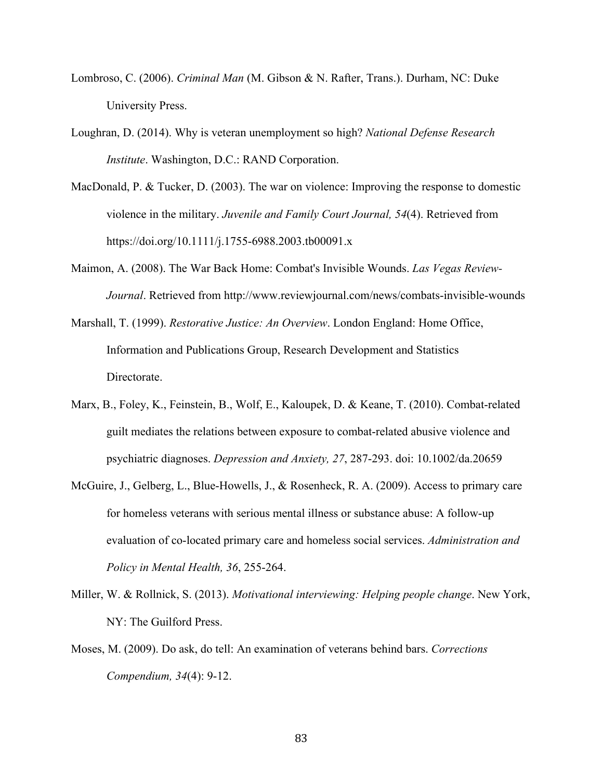- Lombroso, C. (2006). *Criminal Man* (M. Gibson & N. Rafter, Trans.). Durham, NC: Duke University Press.
- Loughran, D. (2014). Why is veteran unemployment so high? *National Defense Research Institute*. Washington, D.C.: RAND Corporation.
- MacDonald, P. & Tucker, D. (2003). The war on violence: Improving the response to domestic violence in the military. *Juvenile and Family Court Journal, 54*(4). Retrieved from https://doi.org/10.1111/j.1755-6988.2003.tb00091.x
- Maimon, A. (2008). The War Back Home: Combat's Invisible Wounds. *Las Vegas Review-Journal*. Retrieved from http://www.reviewjournal.com/news/combats-invisible-wounds
- Marshall, T. (1999). *Restorative Justice: An Overview*. London England: Home Office, Information and Publications Group, Research Development and Statistics Directorate.
- Marx, B., Foley, K., Feinstein, B., Wolf, E., Kaloupek, D. & Keane, T. (2010). Combat-related guilt mediates the relations between exposure to combat-related abusive violence and psychiatric diagnoses. *Depression and Anxiety, 27*, 287-293. doi: 10.1002/da.20659
- McGuire, J., Gelberg, L., Blue-Howells, J., & Rosenheck, R. A. (2009). Access to primary care for homeless veterans with serious mental illness or substance abuse: A follow-up evaluation of co-located primary care and homeless social services. *Administration and Policy in Mental Health, 36*, 255-264.
- Miller, W. & Rollnick, S. (2013). *Motivational interviewing: Helping people change*. New York, NY: The Guilford Press.
- Moses, M. (2009). Do ask, do tell: An examination of veterans behind bars. *Corrections Compendium, 34*(4): 9-12.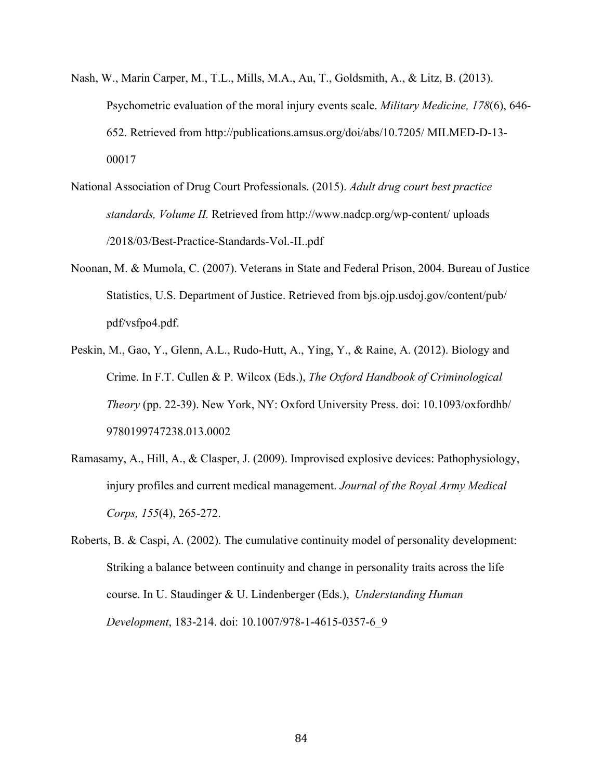- Nash, W., Marin Carper, M., T.L., Mills, M.A., Au, T., Goldsmith, A., & Litz, B. (2013). Psychometric evaluation of the moral injury events scale. *Military Medicine, 178*(6), 646- 652. Retrieved from http://publications.amsus.org/doi/abs/10.7205/ MILMED-D-13- 00017
- National Association of Drug Court Professionals. (2015). *Adult drug court best practice standards, Volume II.* Retrieved from http://www.nadcp.org/wp-content/ uploads /2018/03/Best-Practice-Standards-Vol.-II..pdf
- Noonan, M. & Mumola, C. (2007). Veterans in State and Federal Prison, 2004. Bureau of Justice Statistics, U.S. Department of Justice. Retrieved from bjs.ojp.usdoj.gov/content/pub/ pdf/vsfpo4.pdf.
- Peskin, M., Gao, Y., Glenn, A.L., Rudo-Hutt, A., Ying, Y., & Raine, A. (2012). Biology and Crime. In F.T. Cullen & P. Wilcox (Eds.), *The Oxford Handbook of Criminological Theory* (pp. 22-39). New York, NY: Oxford University Press. doi: 10.1093/oxfordhb/ 9780199747238.013.0002
- Ramasamy, A., Hill, A., & Clasper, J. (2009). Improvised explosive devices: Pathophysiology, injury profiles and current medical management. *Journal of the Royal Army Medical Corps, 155*(4), 265-272.
- Roberts, B. & Caspi, A. (2002). The cumulative continuity model of personality development: Striking a balance between continuity and change in personality traits across the life course. In U. Staudinger & U. Lindenberger (Eds.), *Understanding Human Development*, 183-214. doi: 10.1007/978-1-4615-0357-6\_9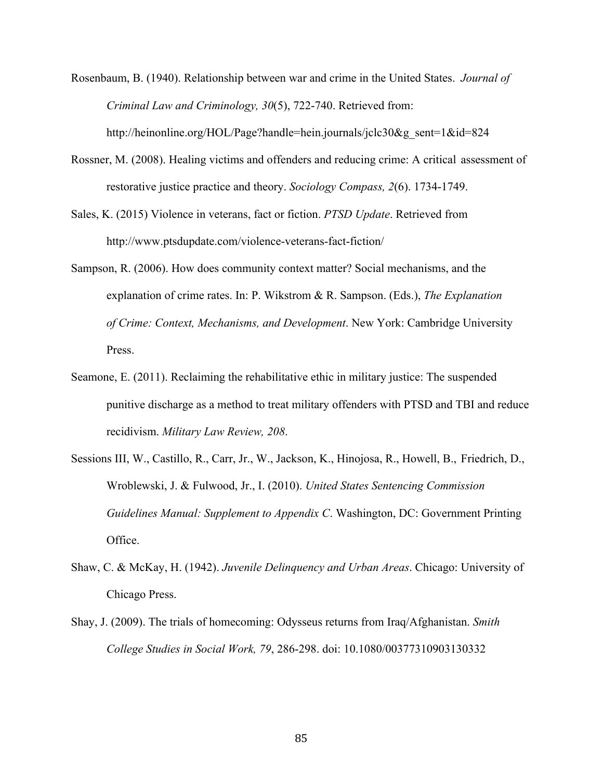Rosenbaum, B. (1940). Relationship between war and crime in the United States. *Journal of Criminal Law and Criminology, 30*(5), 722-740. Retrieved from: http://heinonline.org/HOL/Page?handle=hein.journals/jclc30&g\_sent=1&id=824

- Rossner, M. (2008). Healing victims and offenders and reducing crime: A critical assessment of restorative justice practice and theory. *Sociology Compass, 2*(6). 1734-1749.
- Sales, K. (2015) Violence in veterans, fact or fiction. *PTSD Update*. Retrieved from http://www.ptsdupdate.com/violence-veterans-fact-fiction/
- Sampson, R. (2006). How does community context matter? Social mechanisms, and the explanation of crime rates. In: P. Wikstrom & R. Sampson. (Eds.), *The Explanation of Crime: Context, Mechanisms, and Development*. New York: Cambridge University Press.
- Seamone, E. (2011). Reclaiming the rehabilitative ethic in military justice: The suspended punitive discharge as a method to treat military offenders with PTSD and TBI and reduce recidivism. *Military Law Review, 208*.
- Sessions III, W., Castillo, R., Carr, Jr., W., Jackson, K., Hinojosa, R., Howell, B., Friedrich, D., Wroblewski, J. & Fulwood, Jr., I. (2010). *United States Sentencing Commission Guidelines Manual: Supplement to Appendix C*. Washington, DC: Government Printing Office.
- Shaw, C. & McKay, H. (1942). *Juvenile Delinquency and Urban Areas*. Chicago: University of Chicago Press.
- Shay, J. (2009). The trials of homecoming: Odysseus returns from Iraq/Afghanistan. *Smith College Studies in Social Work, 79*, 286-298. doi: 10.1080/00377310903130332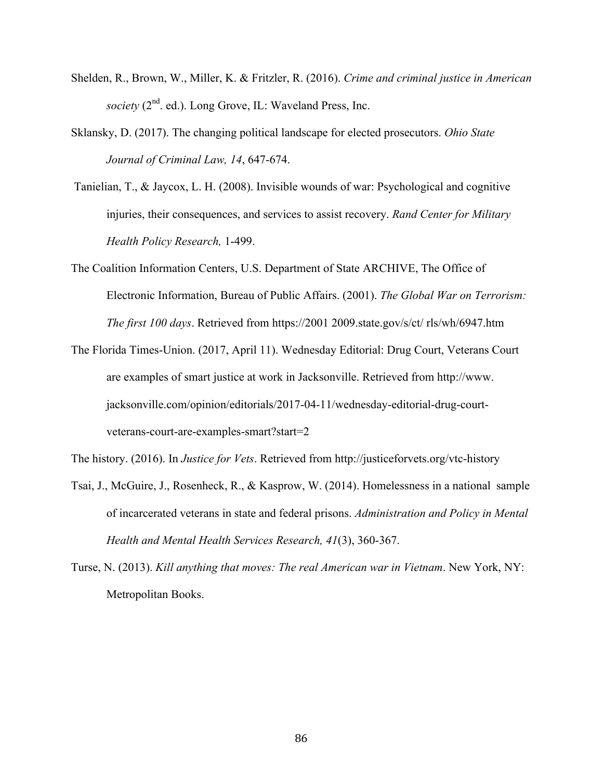- Shelden, R., Brown, W., Miller, K. & Fritzler, R. (2016). *Crime and criminal justice in American society* (2<sup>nd</sup>. ed.). Long Grove, IL: Waveland Press, Inc.
- Sklansky, D. (2017). The changing political landscape for elected prosecutors. *Ohio State Journal of Criminal Law, 14*, 647-674.
- Tanielian, T., & Jaycox, L. H. (2008). Invisible wounds of war: Psychological and cognitive injuries, their consequences, and services to assist recovery. *Rand Center for Military Health Policy Research,* 1-499.
- The Coalition Information Centers, U.S. Department of State ARCHIVE, The Office of Electronic Information, Bureau of Public Affairs. (2001). *The Global War on Terrorism: The first 100 days*. Retrieved from https://2001 2009.state.gov/s/ct/ rls/wh/6947.htm
- The Florida Times-Union. (2017, April 11). Wednesday Editorial: Drug Court, Veterans Court are examples of smart justice at work in Jacksonville. Retrieved from http://www. jacksonville.com/opinion/editorials/2017-04-11/wednesday-editorial-drug-courtveterans-court-are-examples-smart?start=2

The history. (2016). In *Justice for Vets*. Retrieved from http://justiceforvets.org/vtc-history

Tsai, J., McGuire, J., Rosenheck, R., & Kasprow, W. (2014). Homelessness in a national sample of incarcerated veterans in state and federal prisons. *Administration and Policy in Mental Health and Mental Health Services Research, 41*(3), 360-367.

Turse, N. (2013). *Kill anything that moves: The real American war in Vietnam*. New York, NY: Metropolitan Books.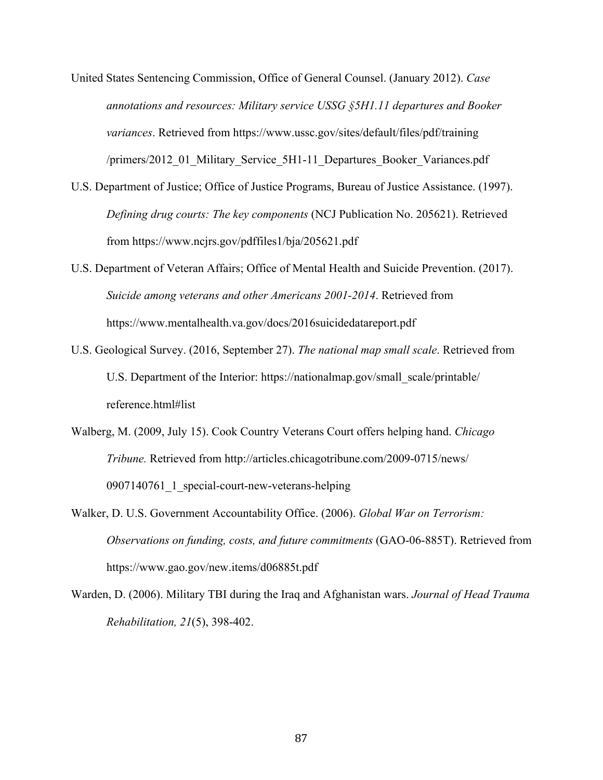- United States Sentencing Commission, Office of General Counsel. (January 2012). *Case annotations and resources: Military service USSG §5H1.11 departures and Booker variances*. Retrieved from https://www.ussc.gov/sites/default/files/pdf/training /primers/2012\_01\_Military\_Service\_5H1-11\_Departures\_Booker\_Variances.pdf
- U.S. Department of Justice; Office of Justice Programs, Bureau of Justice Assistance. (1997). *Defining drug courts: The key components* (NCJ Publication No. 205621). Retrieved from https://www.ncjrs.gov/pdffiles1/bja/205621.pdf
- U.S. Department of Veteran Affairs; Office of Mental Health and Suicide Prevention. (2017). *Suicide among veterans and other Americans 2001-2014*. Retrieved from https://www.mentalhealth.va.gov/docs/2016suicidedatareport.pdf
- U.S. Geological Survey. (2016, September 27). *The national map small scale*. Retrieved from U.S. Department of the Interior: https://nationalmap.gov/small\_scale/printable/ reference.html#list
- Walberg, M. (2009, July 15). Cook Country Veterans Court offers helping hand. *Chicago Tribune.* Retrieved from http://articles.chicagotribune.com/2009-0715/news/ 0907140761 1 special-court-new-veterans-helping
- Walker, D. U.S. Government Accountability Office. (2006). *Global War on Terrorism: Observations on funding, costs, and future commitments* (GAO-06-885T). Retrieved from https://www.gao.gov/new.items/d06885t.pdf
- Warden, D. (2006). Military TBI during the Iraq and Afghanistan wars. *Journal of Head Trauma Rehabilitation, 21*(5), 398-402.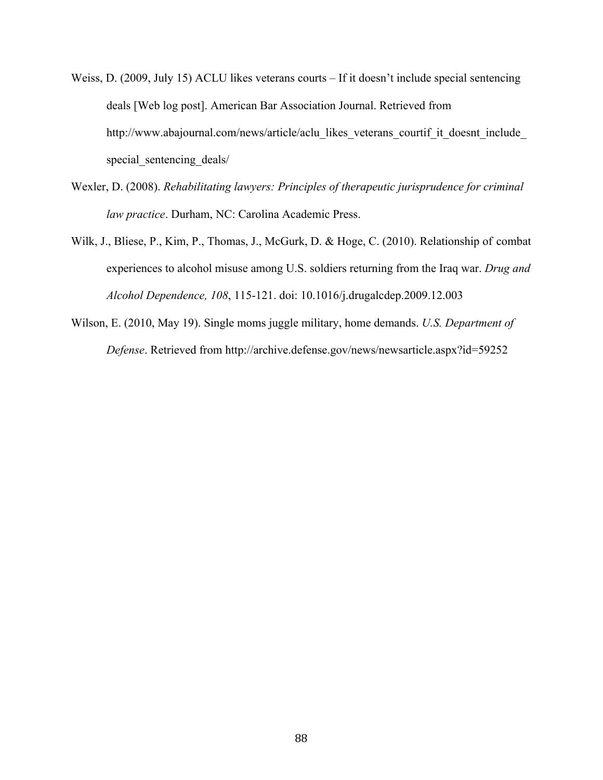- Weiss, D. (2009, July 15) ACLU likes veterans courts If it doesn't include special sentencing deals [Web log post]. American Bar Association Journal. Retrieved from http://www.abajournal.com/news/article/aclu\_likes\_veterans\_courtif\_it\_doesnt\_include special sentencing deals/
- Wexler, D. (2008). *Rehabilitating lawyers: Principles of therapeutic jurisprudence for criminal law practice*. Durham, NC: Carolina Academic Press.
- Wilk, J., Bliese, P., Kim, P., Thomas, J., McGurk, D. & Hoge, C. (2010). Relationship of combat experiences to alcohol misuse among U.S. soldiers returning from the Iraq war. *Drug and Alcohol Dependence, 108*, 115-121. doi: 10.1016/j.drugalcdep.2009.12.003
- Wilson, E. (2010, May 19). Single moms juggle military, home demands. *U.S. Department of Defense*. Retrieved from http://archive.defense.gov/news/newsarticle.aspx?id=59252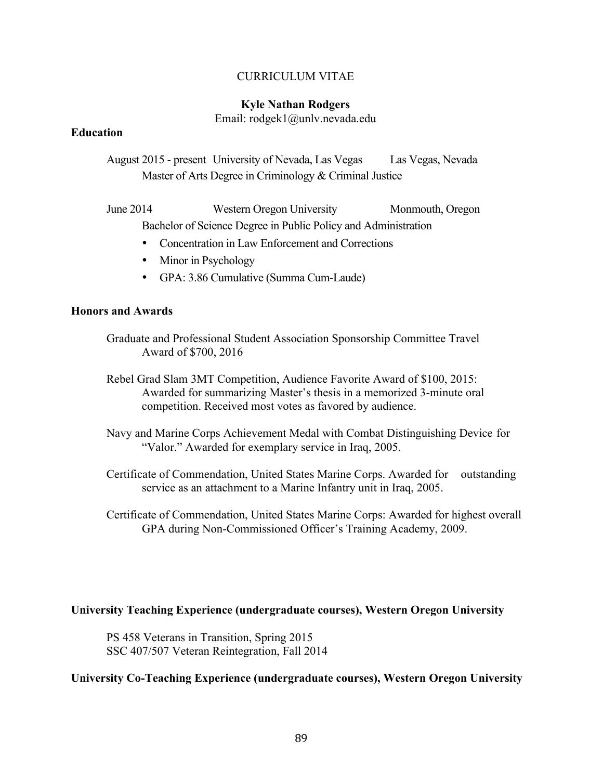# CURRICULUM VITAE

## **Kyle Nathan Rodgers**

Email: rodgek1@unlv.nevada.edu

## **Education**

August 2015 - present University of Nevada, Las Vegas Las Vegas, Nevada Master of Arts Degree in Criminology & Criminal Justice

June 2014 Western Oregon University Monmouth, Oregon Bachelor of Science Degree in Public Policy and Administration

- Concentration in Law Enforcement and Corrections
- Minor in Psychology
- GPA: 3.86 Cumulative (Summa Cum-Laude)

### **Honors and Awards**

- Graduate and Professional Student Association Sponsorship Committee Travel Award of \$700, 2016
- Rebel Grad Slam 3MT Competition, Audience Favorite Award of \$100, 2015: Awarded for summarizing Master's thesis in a memorized 3-minute oral competition. Received most votes as favored by audience.
- Navy and Marine Corps Achievement Medal with Combat Distinguishing Device for "Valor." Awarded for exemplary service in Iraq, 2005.
- Certificate of Commendation, United States Marine Corps. Awarded for outstanding service as an attachment to a Marine Infantry unit in Iraq, 2005.
- Certificate of Commendation, United States Marine Corps: Awarded for highest overall GPA during Non-Commissioned Officer's Training Academy, 2009.

### **University Teaching Experience (undergraduate courses), Western Oregon University**

PS 458 Veterans in Transition, Spring 2015 SSC 407/507 Veteran Reintegration, Fall 2014

## **University Co-Teaching Experience (undergraduate courses), Western Oregon University**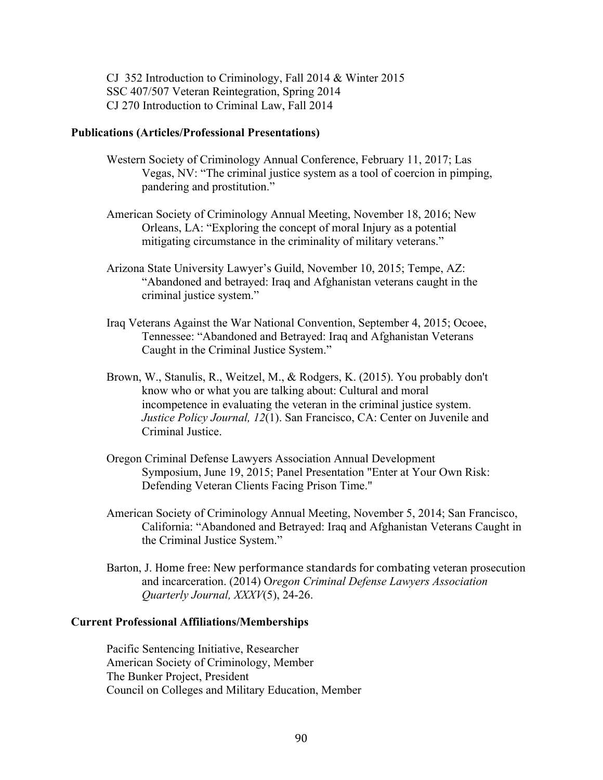CJ 352 Introduction to Criminology, Fall 2014 & Winter 2015 SSC 407/507 Veteran Reintegration, Spring 2014 CJ 270 Introduction to Criminal Law, Fall 2014

#### **Publications (Articles/Professional Presentations)**

- Western Society of Criminology Annual Conference, February 11, 2017; Las Vegas, NV: "The criminal justice system as a tool of coercion in pimping, pandering and prostitution."
- American Society of Criminology Annual Meeting, November 18, 2016; New Orleans, LA: "Exploring the concept of moral Injury as a potential mitigating circumstance in the criminality of military veterans."
- Arizona State University Lawyer's Guild, November 10, 2015; Tempe, AZ: "Abandoned and betrayed: Iraq and Afghanistan veterans caught in the criminal justice system."
- Iraq Veterans Against the War National Convention, September 4, 2015; Ocoee, Tennessee: "Abandoned and Betrayed: Iraq and Afghanistan Veterans Caught in the Criminal Justice System."
- Brown, W., Stanulis, R., Weitzel, M., & Rodgers, K. (2015). You probably don't know who or what you are talking about: Cultural and moral incompetence in evaluating the veteran in the criminal justice system. *Justice Policy Journal, 12*(1). San Francisco, CA: Center on Juvenile and Criminal Justice.
- Oregon Criminal Defense Lawyers Association Annual Development Symposium, June 19, 2015; Panel Presentation "Enter at Your Own Risk: Defending Veteran Clients Facing Prison Time."
- American Society of Criminology Annual Meeting, November 5, 2014; San Francisco, California: "Abandoned and Betrayed: Iraq and Afghanistan Veterans Caught in the Criminal Justice System."
- Barton, J. Home free: New performance standards for combating veteran prosecution and incarceration. (2014) O*regon Criminal Defense Lawyers Association Quarterly Journal, XXXV*(5), 24-26.

#### **Current Professional Affiliations/Memberships**

Pacific Sentencing Initiative, Researcher American Society of Criminology, Member The Bunker Project, President Council on Colleges and Military Education, Member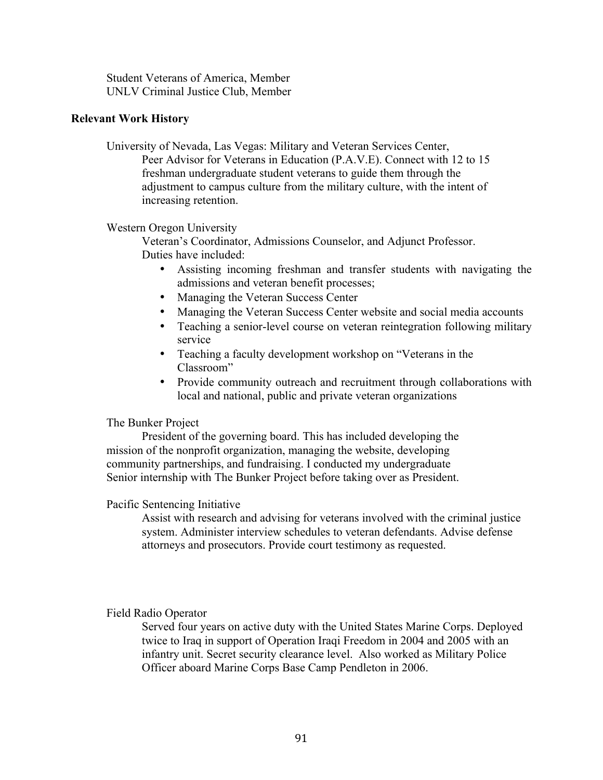Student Veterans of America, Member UNLV Criminal Justice Club, Member

## **Relevant Work History**

University of Nevada, Las Vegas: Military and Veteran Services Center, Peer Advisor for Veterans in Education (P.A.V.E). Connect with 12 to 15 freshman undergraduate student veterans to guide them through the adjustment to campus culture from the military culture, with the intent of increasing retention.

Western Oregon University

Veteran's Coordinator, Admissions Counselor, and Adjunct Professor. Duties have included:

- Assisting incoming freshman and transfer students with navigating the admissions and veteran benefit processes;
- Managing the Veteran Success Center
- Managing the Veteran Success Center website and social media accounts
- Teaching a senior-level course on veteran reintegration following military service
- Teaching a faculty development workshop on "Veterans in the Classroom"
- Provide community outreach and recruitment through collaborations with local and national, public and private veteran organizations

## The Bunker Project

President of the governing board. This has included developing the mission of the nonprofit organization, managing the website, developing community partnerships, and fundraising. I conducted my undergraduate Senior internship with The Bunker Project before taking over as President.

### Pacific Sentencing Initiative

Assist with research and advising for veterans involved with the criminal justice system. Administer interview schedules to veteran defendants. Advise defense attorneys and prosecutors. Provide court testimony as requested.

# Field Radio Operator

Served four years on active duty with the United States Marine Corps. Deployed twice to Iraq in support of Operation Iraqi Freedom in 2004 and 2005 with an infantry unit. Secret security clearance level. Also worked as Military Police Officer aboard Marine Corps Base Camp Pendleton in 2006.